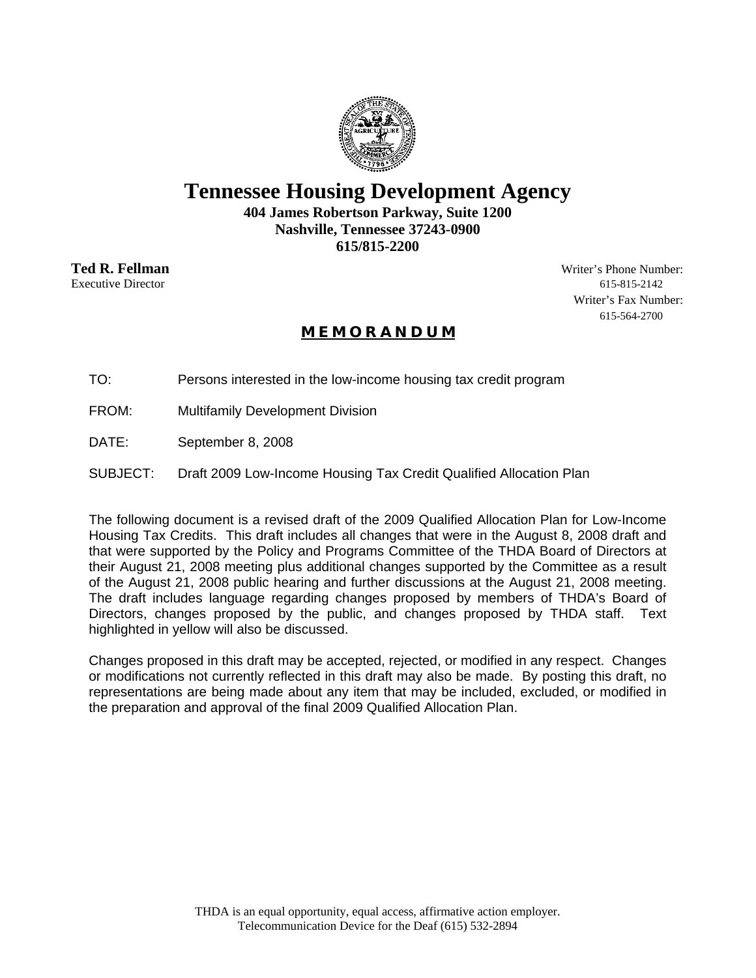

# **Tennessee Housing Development Agency**

**404 James Robertson Parkway, Suite 1200 Nashville, Tennessee 37243-0900 615/815-2200** 

**Ted R. Fellman** Writer's Phone Number: Executive Director 615-815-2142 Writer's Fax Number: 615-564-2700

# **M E M O R A N D U M**

TO: Persons interested in the low-income housing tax credit program

FROM: Multifamily Development Division

DATE: September 8, 2008

SUBJECT: Draft 2009 Low-Income Housing Tax Credit Qualified Allocation Plan

The following document is a revised draft of the 2009 Qualified Allocation Plan for Low-Income Housing Tax Credits. This draft includes all changes that were in the August 8, 2008 draft and that were supported by the Policy and Programs Committee of the THDA Board of Directors at their August 21, 2008 meeting plus additional changes supported by the Committee as a result of the August 21, 2008 public hearing and further discussions at the August 21, 2008 meeting. The draft includes language regarding changes proposed by members of THDA's Board of Directors, changes proposed by the public, and changes proposed by THDA staff. Text highlighted in yellow will also be discussed.

Changes proposed in this draft may be accepted, rejected, or modified in any respect. Changes or modifications not currently reflected in this draft may also be made. By posting this draft, no representations are being made about any item that may be included, excluded, or modified in the preparation and approval of the final 2009 Qualified Allocation Plan.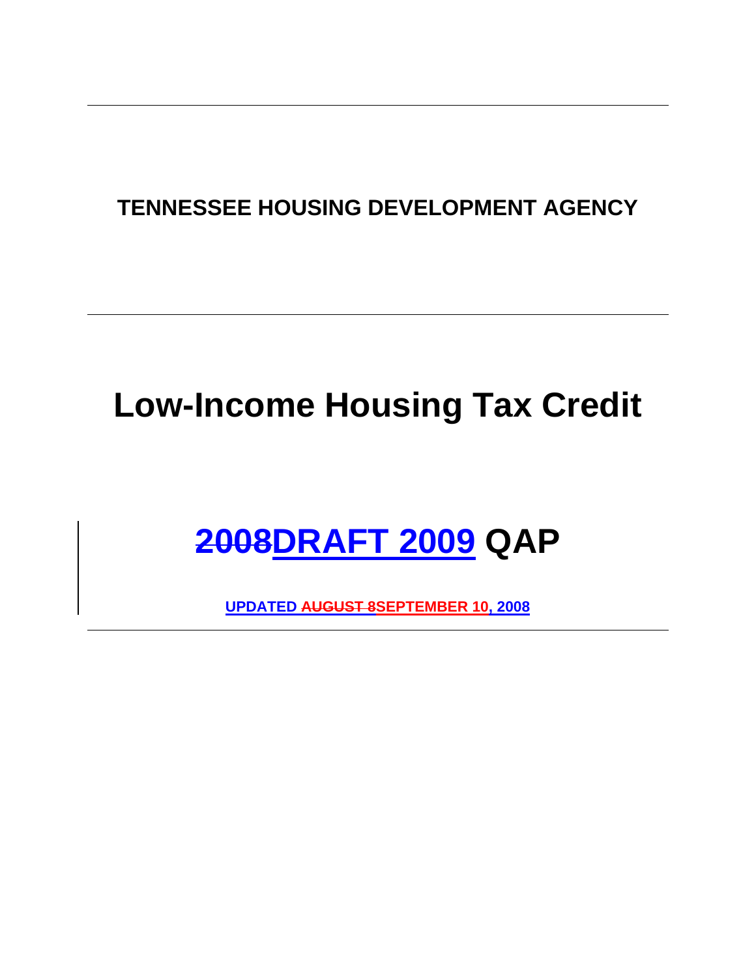# **TENNESSEE HOUSING DEVELOPMENT AGENCY**

# **Low-Income Housing Tax Credit**

# **2008DRAFT 2009 QAP**

**UPDATED AUGUST 8SEPTEMBER 10, 2008**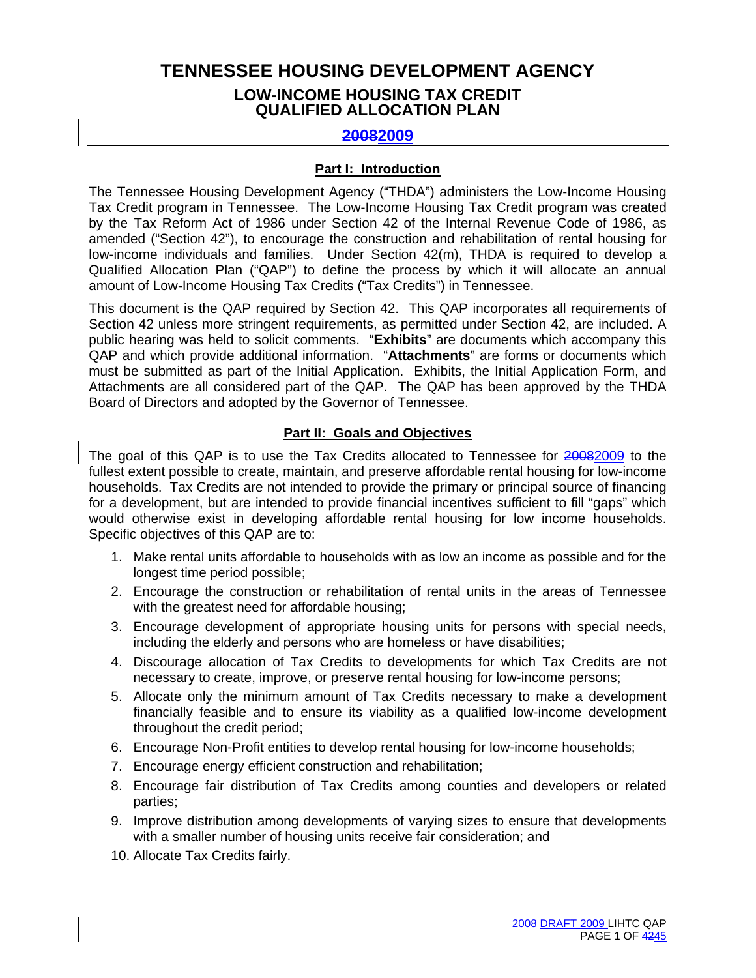# **TENNESSEE HOUSING DEVELOPMENT AGENCY LOW-INCOME HOUSING TAX CREDIT QUALIFIED ALLOCATION PLAN**

# **20082009**

#### **Part I: Introduction**

The Tennessee Housing Development Agency ("THDA") administers the Low-Income Housing Tax Credit program in Tennessee. The Low-Income Housing Tax Credit program was created by the Tax Reform Act of 1986 under Section 42 of the Internal Revenue Code of 1986, as amended ("Section 42"), to encourage the construction and rehabilitation of rental housing for low-income individuals and families. Under Section 42(m), THDA is required to develop a Qualified Allocation Plan ("QAP") to define the process by which it will allocate an annual amount of Low-Income Housing Tax Credits ("Tax Credits") in Tennessee.

This document is the QAP required by Section 42. This QAP incorporates all requirements of Section 42 unless more stringent requirements, as permitted under Section 42, are included. A public hearing was held to solicit comments. "**Exhibits**" are documents which accompany this QAP and which provide additional information. "**Attachments**" are forms or documents which must be submitted as part of the Initial Application. Exhibits, the Initial Application Form, and Attachments are all considered part of the QAP. The QAP has been approved by the THDA Board of Directors and adopted by the Governor of Tennessee.

#### **Part II: Goals and Objectives**

The goal of this QAP is to use the Tax Credits allocated to Tennessee for 20082009 to the fullest extent possible to create, maintain, and preserve affordable rental housing for low-income households. Tax Credits are not intended to provide the primary or principal source of financing for a development, but are intended to provide financial incentives sufficient to fill "gaps" which would otherwise exist in developing affordable rental housing for low income households. Specific objectives of this QAP are to:

- 1. Make rental units affordable to households with as low an income as possible and for the longest time period possible;
- 2. Encourage the construction or rehabilitation of rental units in the areas of Tennessee with the greatest need for affordable housing;
- 3. Encourage development of appropriate housing units for persons with special needs, including the elderly and persons who are homeless or have disabilities;
- 4. Discourage allocation of Tax Credits to developments for which Tax Credits are not necessary to create, improve, or preserve rental housing for low-income persons;
- 5. Allocate only the minimum amount of Tax Credits necessary to make a development financially feasible and to ensure its viability as a qualified low-income development throughout the credit period;
- 6. Encourage Non-Profit entities to develop rental housing for low-income households;
- 7. Encourage energy efficient construction and rehabilitation;
- 8. Encourage fair distribution of Tax Credits among counties and developers or related parties;
- 9. Improve distribution among developments of varying sizes to ensure that developments with a smaller number of housing units receive fair consideration; and
- 10. Allocate Tax Credits fairly.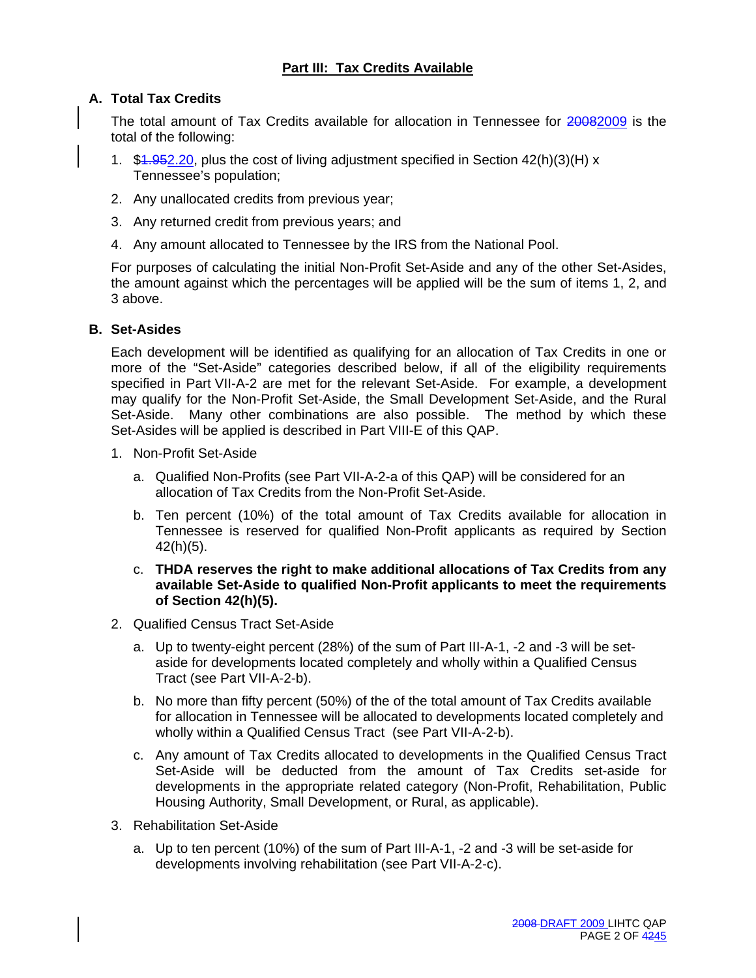# **Part III: Tax Credits Available**

# **A. Total Tax Credits**

The total amount of Tax Credits available for allocation in Tennessee for 20082009 is the total of the following:

- 1.  $$4.952.20$ , plus the cost of living adjustment specified in Section  $42(h)(3)(H)$  x Tennessee's population;
- 2. Any unallocated credits from previous year;
- 3. Any returned credit from previous years; and
- 4. Any amount allocated to Tennessee by the IRS from the National Pool.

For purposes of calculating the initial Non-Profit Set-Aside and any of the other Set-Asides, the amount against which the percentages will be applied will be the sum of items 1, 2, and 3 above.

#### **B. Set-Asides**

Each development will be identified as qualifying for an allocation of Tax Credits in one or more of the "Set-Aside" categories described below, if all of the eligibility requirements specified in Part VII-A-2 are met for the relevant Set-Aside. For example, a development may qualify for the Non-Profit Set-Aside, the Small Development Set-Aside, and the Rural Set-Aside. Many other combinations are also possible. The method by which these Set-Asides will be applied is described in Part VIII-E of this QAP.

- 1. Non-Profit Set-Aside
	- a. Qualified Non-Profits (see Part VII-A-2-a of this QAP) will be considered for an allocation of Tax Credits from the Non-Profit Set-Aside.
	- b. Ten percent (10%) of the total amount of Tax Credits available for allocation in Tennessee is reserved for qualified Non-Profit applicants as required by Section 42(h)(5).
	- c. **THDA reserves the right to make additional allocations of Tax Credits from any available Set-Aside to qualified Non-Profit applicants to meet the requirements of Section 42(h)(5).**
- 2. Qualified Census Tract Set-Aside
	- a. Up to twenty-eight percent (28%) of the sum of Part III-A-1, -2 and -3 will be setaside for developments located completely and wholly within a Qualified Census Tract (see Part VII-A-2-b).
	- b. No more than fifty percent (50%) of the of the total amount of Tax Credits available for allocation in Tennessee will be allocated to developments located completely and wholly within a Qualified Census Tract (see Part VII-A-2-b).
	- c. Any amount of Tax Credits allocated to developments in the Qualified Census Tract Set-Aside will be deducted from the amount of Tax Credits set-aside for developments in the appropriate related category (Non-Profit, Rehabilitation, Public Housing Authority, Small Development, or Rural, as applicable).
- 3. Rehabilitation Set-Aside
	- a. Up to ten percent (10%) of the sum of Part III-A-1, -2 and -3 will be set-aside for developments involving rehabilitation (see Part VII-A-2-c).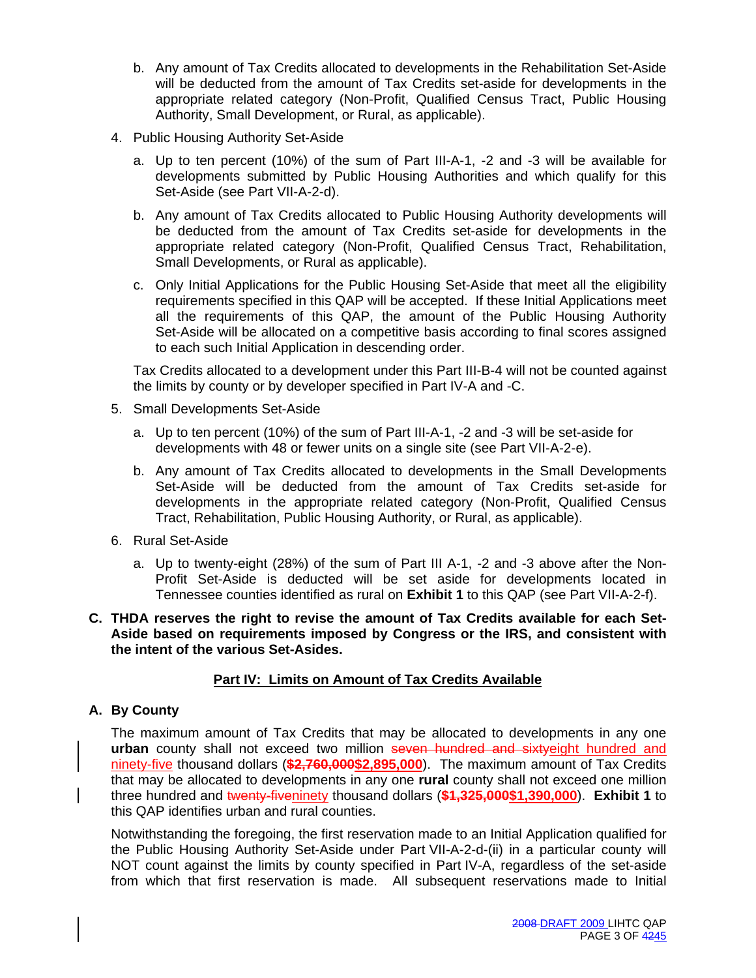- b. Any amount of Tax Credits allocated to developments in the Rehabilitation Set-Aside will be deducted from the amount of Tax Credits set-aside for developments in the appropriate related category (Non-Profit, Qualified Census Tract, Public Housing Authority, Small Development, or Rural, as applicable).
- 4. Public Housing Authority Set-Aside
	- a. Up to ten percent (10%) of the sum of Part III-A-1, -2 and -3 will be available for developments submitted by Public Housing Authorities and which qualify for this Set-Aside (see Part VII-A-2-d).
	- b. Any amount of Tax Credits allocated to Public Housing Authority developments will be deducted from the amount of Tax Credits set-aside for developments in the appropriate related category (Non-Profit, Qualified Census Tract, Rehabilitation, Small Developments, or Rural as applicable).
	- c. Only Initial Applications for the Public Housing Set-Aside that meet all the eligibility requirements specified in this QAP will be accepted. If these Initial Applications meet all the requirements of this QAP, the amount of the Public Housing Authority Set-Aside will be allocated on a competitive basis according to final scores assigned to each such Initial Application in descending order.

 Tax Credits allocated to a development under this Part III-B-4 will not be counted against the limits by county or by developer specified in Part IV-A and -C.

- 5. Small Developments Set-Aside
	- a. Up to ten percent (10%) of the sum of Part III-A-1, -2 and -3 will be set-aside for developments with 48 or fewer units on a single site (see Part VII-A-2-e).
	- b. Any amount of Tax Credits allocated to developments in the Small Developments Set-Aside will be deducted from the amount of Tax Credits set-aside for developments in the appropriate related category (Non-Profit, Qualified Census Tract, Rehabilitation, Public Housing Authority, or Rural, as applicable).
- 6. Rural Set-Aside
	- a. Up to twenty-eight (28%) of the sum of Part III A-1, -2 and -3 above after the Non-Profit Set-Aside is deducted will be set aside for developments located in Tennessee counties identified as rural on **Exhibit 1** to this QAP (see Part VII-A-2-f).

#### **C. THDA reserves the right to revise the amount of Tax Credits available for each Set-Aside based on requirements imposed by Congress or the IRS, and consistent with the intent of the various Set-Asides.**

# **Part IV: Limits on Amount of Tax Credits Available**

# **A. By County**

The maximum amount of Tax Credits that may be allocated to developments in any one **urban** county shall not exceed two million seven hundred and sixtyeight hundred and ninety-five thousand dollars (**\$2,760,000\$2,895,000**). The maximum amount of Tax Credits that may be allocated to developments in any one **rural** county shall not exceed one million three hundred and twenty-fiveninety thousand dollars (**\$1,325,000\$1,390,000**). **Exhibit 1** to this QAP identifies urban and rural counties.

Notwithstanding the foregoing, the first reservation made to an Initial Application qualified for the Public Housing Authority Set-Aside under Part VII-A-2-d-(ii) in a particular county will NOT count against the limits by county specified in Part IV-A, regardless of the set-aside from which that first reservation is made. All subsequent reservations made to Initial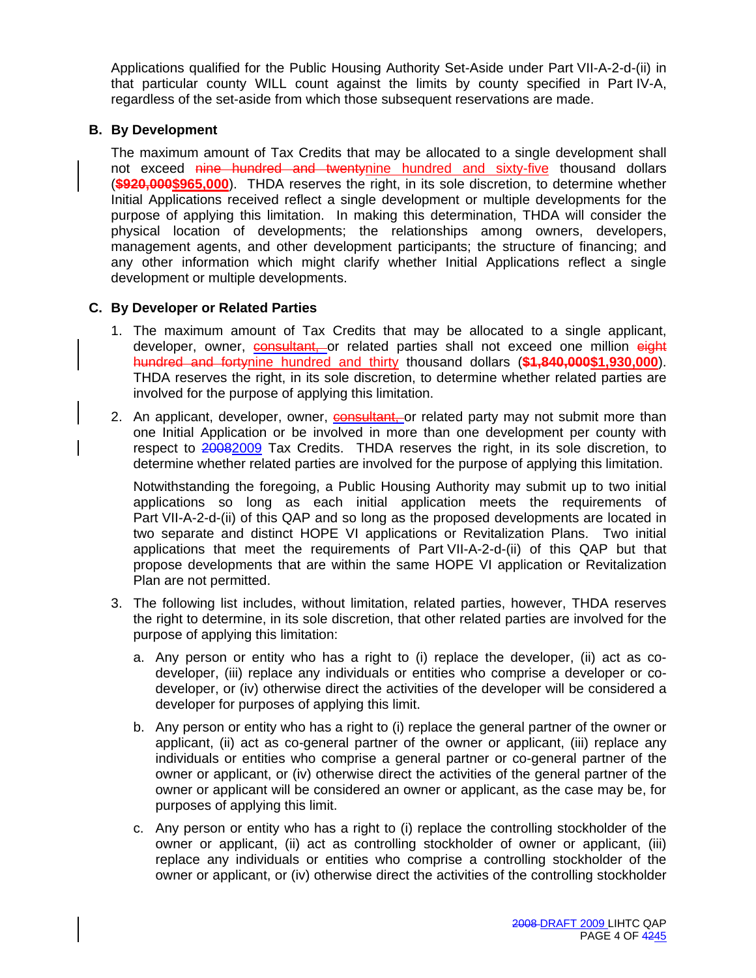Applications qualified for the Public Housing Authority Set-Aside under Part VII-A-2-d-(ii) in that particular county WILL count against the limits by county specified in Part IV-A, regardless of the set-aside from which those subsequent reservations are made.

# **B. By Development**

The maximum amount of Tax Credits that may be allocated to a single development shall not exceed nine hundred and twentynine hundred and sixty-five thousand dollars (**\$920,000\$965,000**). THDA reserves the right, in its sole discretion, to determine whether Initial Applications received reflect a single development or multiple developments for the purpose of applying this limitation. In making this determination, THDA will consider the physical location of developments; the relationships among owners, developers, management agents, and other development participants; the structure of financing; and any other information which might clarify whether Initial Applications reflect a single development or multiple developments.

# **C. By Developer or Related Parties**

- 1. The maximum amount of Tax Credits that may be allocated to a single applicant, developer, owner, **consultant**, or related parties shall not exceed one million eight hundred and fortynine hundred and thirty thousand dollars (**\$1,840,000\$1,930,000**). THDA reserves the right, in its sole discretion, to determine whether related parties are involved for the purpose of applying this limitation.
- 2. An applicant, developer, owner, consultant, or related party may not submit more than one Initial Application or be involved in more than one development per county with respect to 20082009 Tax Credits. THDA reserves the right, in its sole discretion, to determine whether related parties are involved for the purpose of applying this limitation.

Notwithstanding the foregoing, a Public Housing Authority may submit up to two initial applications so long as each initial application meets the requirements of Part VII-A-2-d-(ii) of this QAP and so long as the proposed developments are located in two separate and distinct HOPE VI applications or Revitalization Plans. Two initial applications that meet the requirements of Part VII-A-2-d-(ii) of this QAP but that propose developments that are within the same HOPE VI application or Revitalization Plan are not permitted.

- 3. The following list includes, without limitation, related parties, however, THDA reserves the right to determine, in its sole discretion, that other related parties are involved for the purpose of applying this limitation:
	- a. Any person or entity who has a right to (i) replace the developer, (ii) act as codeveloper, (iii) replace any individuals or entities who comprise a developer or codeveloper, or (iv) otherwise direct the activities of the developer will be considered a developer for purposes of applying this limit.
	- b. Any person or entity who has a right to (i) replace the general partner of the owner or applicant, (ii) act as co-general partner of the owner or applicant, (iii) replace any individuals or entities who comprise a general partner or co-general partner of the owner or applicant, or (iv) otherwise direct the activities of the general partner of the owner or applicant will be considered an owner or applicant, as the case may be, for purposes of applying this limit.
	- c. Any person or entity who has a right to (i) replace the controlling stockholder of the owner or applicant, (ii) act as controlling stockholder of owner or applicant, (iii) replace any individuals or entities who comprise a controlling stockholder of the owner or applicant, or (iv) otherwise direct the activities of the controlling stockholder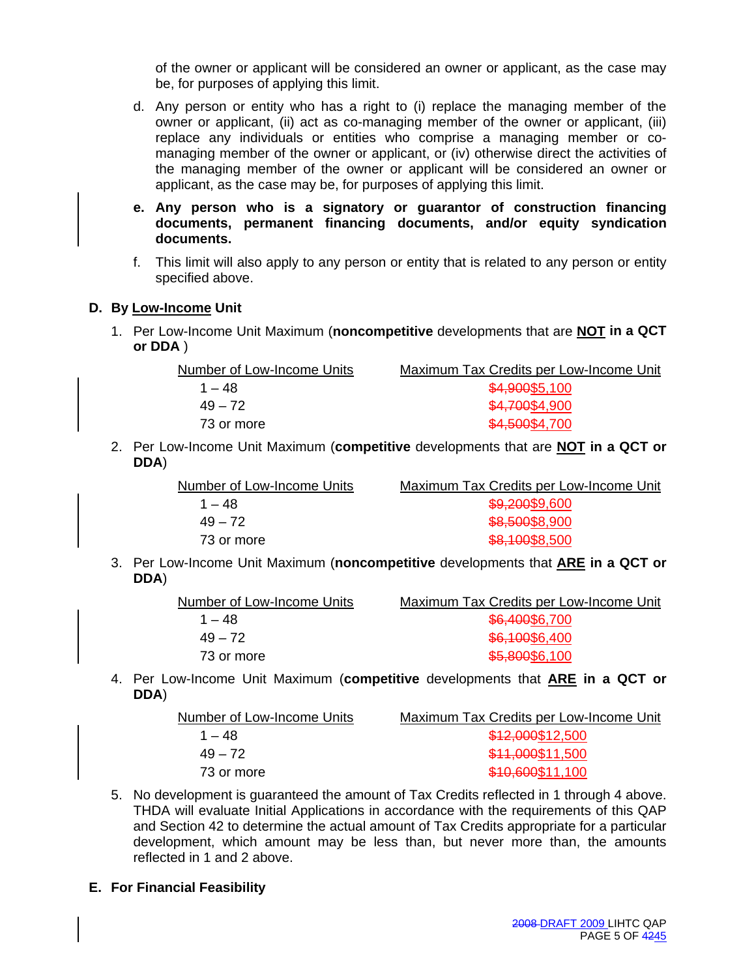of the owner or applicant will be considered an owner or applicant, as the case may be, for purposes of applying this limit.

- d. Any person or entity who has a right to (i) replace the managing member of the owner or applicant, (ii) act as co-managing member of the owner or applicant, (iii) replace any individuals or entities who comprise a managing member or comanaging member of the owner or applicant, or (iv) otherwise direct the activities of the managing member of the owner or applicant will be considered an owner or applicant, as the case may be, for purposes of applying this limit.
- **e. Any person who is a signatory or guarantor of construction financing documents, permanent financing documents, and/or equity syndication documents.**
- f. This limit will also apply to any person or entity that is related to any person or entity specified above.

# **D. By Low-Income Unit**

1. Per Low-Income Unit Maximum (**noncompetitive** developments that are **NOT in a QCT or DDA** )

| Number of Low-Income Units | Maximum Tax Credits per Low-Income Unit |
|----------------------------|-----------------------------------------|
| $1 - 48$                   | \$4,900\$5,100                          |
| $49 - 72$                  | \$4,700\$4,900                          |
| 73 or more                 | \$4,500\$4,700                          |

2. Per Low-Income Unit Maximum (**competitive** developments that are **NOT in a QCT or DDA**)

| Number of Low-Income Units | Maximum Tax Credits per Low-Income Unit |
|----------------------------|-----------------------------------------|
| $1 - 48$                   | \$9,200\$9,600                          |
| $49 - 72$                  | \$8,500\$8,900                          |
| 73 or more                 | \$8,100\$8,500                          |

3. Per Low-Income Unit Maximum (**noncompetitive** developments that **ARE in a QCT or DDA**)

| Maximum Tax Credits per Low-Income Unit |
|-----------------------------------------|
| \$6,400\$6,700                          |
| \$6,100\$6,400                          |
| \$5,800\$6,100                          |
|                                         |

4. Per Low-Income Unit Maximum (**competitive** developments that **ARE in a QCT or DDA**)

| Number of Low-Income Units | Maximum Tax Credits per Low-Income Unit |
|----------------------------|-----------------------------------------|
| $1 - 48$                   | \$12,000\$12,500                        |
| $49 - 72$                  | \$11,000\$11,500                        |
| 73 or more                 | \$10,600\$11,100                        |

- 5. No development is guaranteed the amount of Tax Credits reflected in 1 through 4 above. THDA will evaluate Initial Applications in accordance with the requirements of this QAP and Section 42 to determine the actual amount of Tax Credits appropriate for a particular development, which amount may be less than, but never more than, the amounts reflected in 1 and 2 above.
- **E. For Financial Feasibility**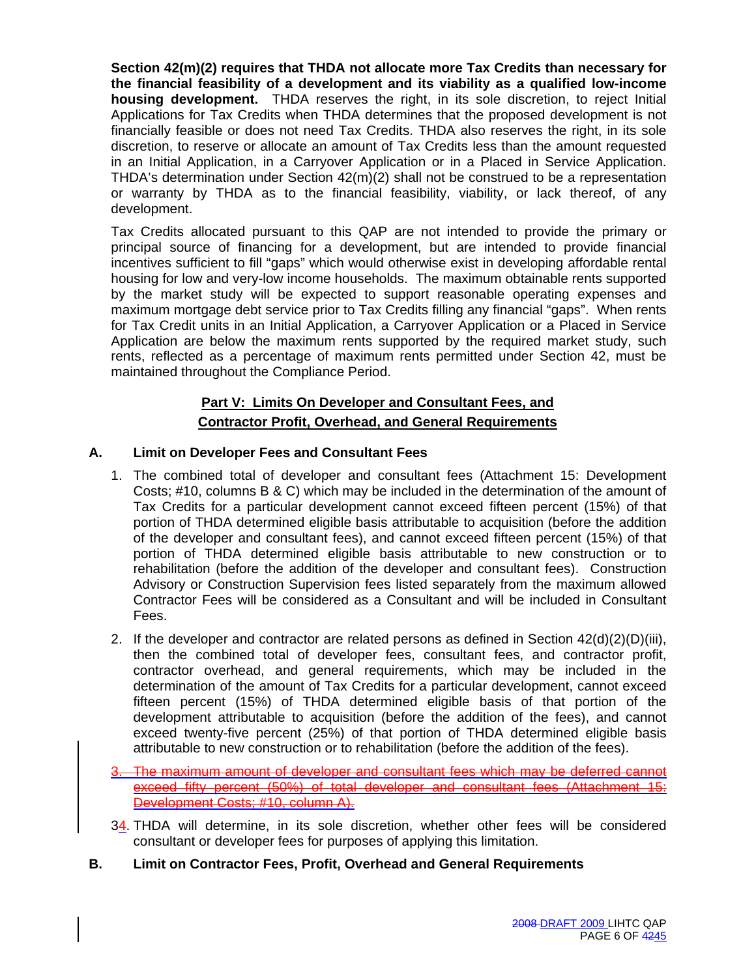**Section 42(m)(2) requires that THDA not allocate more Tax Credits than necessary for the financial feasibility of a development and its viability as a qualified low-income housing development.** THDA reserves the right, in its sole discretion, to reject Initial Applications for Tax Credits when THDA determines that the proposed development is not financially feasible or does not need Tax Credits. THDA also reserves the right, in its sole discretion, to reserve or allocate an amount of Tax Credits less than the amount requested in an Initial Application, in a Carryover Application or in a Placed in Service Application. THDA's determination under Section 42(m)(2) shall not be construed to be a representation or warranty by THDA as to the financial feasibility, viability, or lack thereof, of any development.

Tax Credits allocated pursuant to this QAP are not intended to provide the primary or principal source of financing for a development, but are intended to provide financial incentives sufficient to fill "gaps" which would otherwise exist in developing affordable rental housing for low and very-low income households. The maximum obtainable rents supported by the market study will be expected to support reasonable operating expenses and maximum mortgage debt service prior to Tax Credits filling any financial "gaps". When rents for Tax Credit units in an Initial Application, a Carryover Application or a Placed in Service Application are below the maximum rents supported by the required market study, such rents, reflected as a percentage of maximum rents permitted under Section 42, must be maintained throughout the Compliance Period.

# **Part V: Limits On Developer and Consultant Fees, and Contractor Profit, Overhead, and General Requirements**

# **A. Limit on Developer Fees and Consultant Fees**

- 1. The combined total of developer and consultant fees (Attachment 15: Development Costs; #10, columns B & C) which may be included in the determination of the amount of Tax Credits for a particular development cannot exceed fifteen percent (15%) of that portion of THDA determined eligible basis attributable to acquisition (before the addition of the developer and consultant fees), and cannot exceed fifteen percent (15%) of that portion of THDA determined eligible basis attributable to new construction or to rehabilitation (before the addition of the developer and consultant fees). Construction Advisory or Construction Supervision fees listed separately from the maximum allowed Contractor Fees will be considered as a Consultant and will be included in Consultant Fees.
- 2. If the developer and contractor are related persons as defined in Section  $42(d)(2)(D)(iii)$ , then the combined total of developer fees, consultant fees, and contractor profit, contractor overhead, and general requirements, which may be included in the determination of the amount of Tax Credits for a particular development, cannot exceed fifteen percent (15%) of THDA determined eligible basis of that portion of the development attributable to acquisition (before the addition of the fees), and cannot exceed twenty-five percent (25%) of that portion of THDA determined eligible basis attributable to new construction or to rehabilitation (before the addition of the fees).
- The maximum amount of developer and consultant fees which may be deferred cannot exceed fifty percent (50%) of total developer and consultant fees (Attachment 15: Development Costs; #10, column A).
- 34. THDA will determine, in its sole discretion, whether other fees will be considered consultant or developer fees for purposes of applying this limitation.
- **B. Limit on Contractor Fees, Profit, Overhead and General Requirements**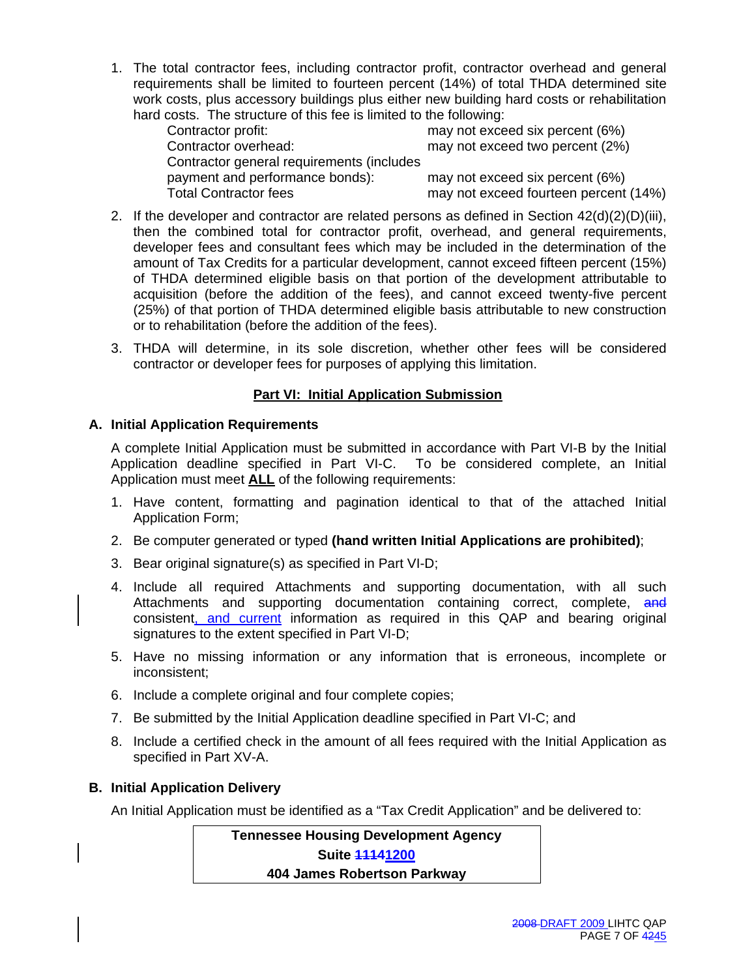1. The total contractor fees, including contractor profit, contractor overhead and general requirements shall be limited to fourteen percent (14%) of total THDA determined site work costs, plus accessory buildings plus either new building hard costs or rehabilitation hard costs. The structure of this fee is limited to the following:

| Contractor profit:                        | may not exceed six percent (6%)       |
|-------------------------------------------|---------------------------------------|
| Contractor overhead:                      | may not exceed two percent (2%)       |
| Contractor general requirements (includes |                                       |
| payment and performance bonds):           | may not exceed six percent (6%)       |
| Total Contractor fees                     | may not exceed fourteen percent (14%) |

- 2. If the developer and contractor are related persons as defined in Section  $42(d)(2)(D)(iii)$ , then the combined total for contractor profit, overhead, and general requirements, developer fees and consultant fees which may be included in the determination of the amount of Tax Credits for a particular development, cannot exceed fifteen percent (15%) of THDA determined eligible basis on that portion of the development attributable to acquisition (before the addition of the fees), and cannot exceed twenty-five percent (25%) of that portion of THDA determined eligible basis attributable to new construction or to rehabilitation (before the addition of the fees).
- 3. THDA will determine, in its sole discretion, whether other fees will be considered contractor or developer fees for purposes of applying this limitation.

# **Part VI: Initial Application Submission**

# **A. Initial Application Requirements**

A complete Initial Application must be submitted in accordance with Part VI-B by the Initial Application deadline specified in Part VI-C. To be considered complete, an Initial Application must meet **ALL** of the following requirements:

- 1. Have content, formatting and pagination identical to that of the attached Initial Application Form;
- 2. Be computer generated or typed **(hand written Initial Applications are prohibited)**;
- 3. Bear original signature(s) as specified in Part VI-D;
- 4. Include all required Attachments and supporting documentation, with all such Attachments and supporting documentation containing correct, complete, and consistent, and current information as required in this QAP and bearing original signatures to the extent specified in Part VI-D;
- 5. Have no missing information or any information that is erroneous, incomplete or inconsistent;
- 6. Include a complete original and four complete copies;
- 7. Be submitted by the Initial Application deadline specified in Part VI-C; and
- 8. Include a certified check in the amount of all fees required with the Initial Application as specified in Part XV-A.

# **B. Initial Application Delivery**

An Initial Application must be identified as a "Tax Credit Application" and be delivered to:

**Tennessee Housing Development Agency Suite 11141200 404 James Robertson Parkway**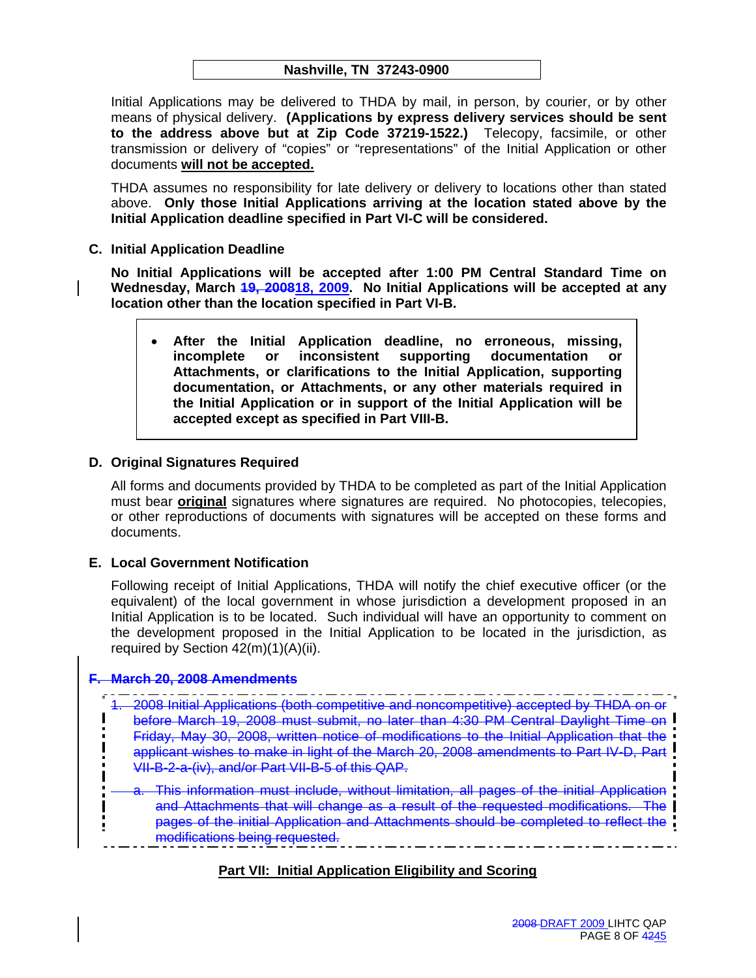Initial Applications may be delivered to THDA by mail, in person, by courier, or by other means of physical delivery. **(Applications by express delivery services should be sent to the address above but at Zip Code 37219-1522.)** Telecopy, facsimile, or other transmission or delivery of "copies" or "representations" of the Initial Application or other documents **will not be accepted.**

THDA assumes no responsibility for late delivery or delivery to locations other than stated above. **Only those Initial Applications arriving at the location stated above by the Initial Application deadline specified in Part VI-C will be considered.** 

**C. Initial Application Deadline** 

**No Initial Applications will be accepted after 1:00 PM Central Standard Time on Wednesday, March 19, 200818, 2009. No Initial Applications will be accepted at any location other than the location specified in Part VI-B.** 

• **After the Initial Application deadline, no erroneous, missing, incomplete or inconsistent supporting documentation or Attachments, or clarifications to the Initial Application, supporting documentation, or Attachments, or any other materials required in the Initial Application or in support of the Initial Application will be accepted except as specified in Part VIII-B.** 

# **D. Original Signatures Required**

All forms and documents provided by THDA to be completed as part of the Initial Application must bear **original** signatures where signatures are required. No photocopies, telecopies, or other reproductions of documents with signatures will be accepted on these forms and documents.

# **E. Local Government Notification**

Following receipt of Initial Applications, THDA will notify the chief executive officer (or the equivalent) of the local government in whose jurisdiction a development proposed in an Initial Application is to be located. Such individual will have an opportunity to comment on the development proposed in the Initial Application to be located in the jurisdiction, as required by Section 42(m)(1)(A)(ii).

#### **F. March 20, 2008 Amendments**

1. 2008 Initial Applications (both competitive and noncompetitive) accepted by THDA on or before March 19, 2008 must submit, no later than 4:30 PM Central Daylight Time on Friday, May 30, 2008, written notice of modifications to the Initial Application that the applicant wishes to make in light of the March 20, 2008 amendments to Part IV-D, Part VII-B-2-a-(iv), and/or Part VII-B-5 of this QAP.

This information must include, without limitation, all pages of the initial Application and Attachments that will change as a result of the requested modifications. The pages of the initial Application and Attachments should be completed to reflect the modifications being requested.

# **Part VII: Initial Application Eligibility and Scoring**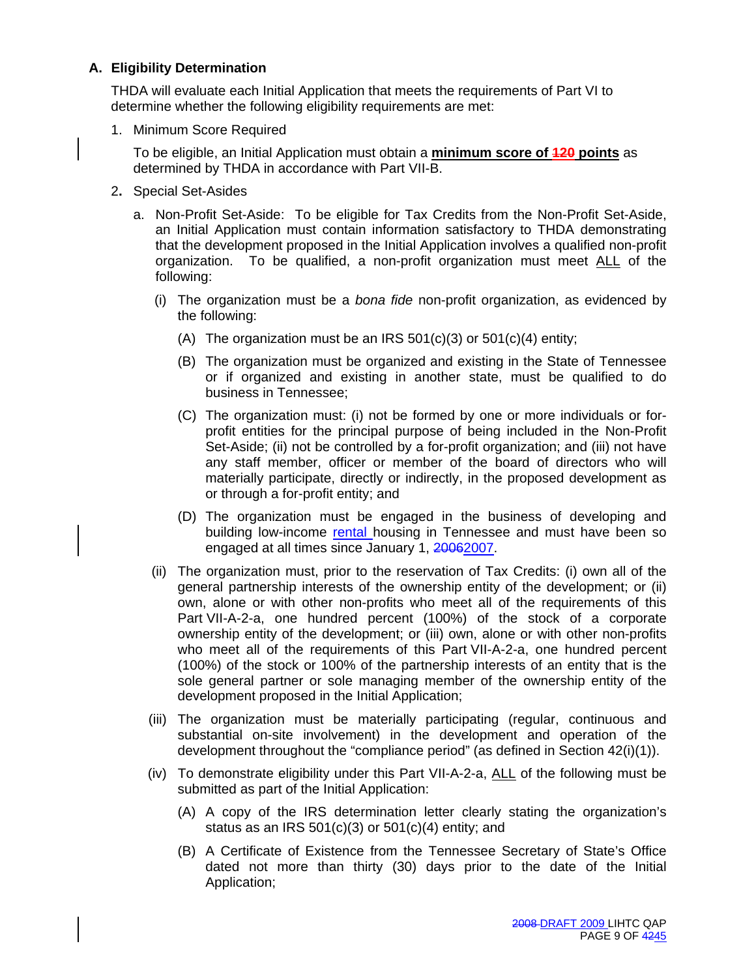# **A. Eligibility Determination**

THDA will evaluate each Initial Application that meets the requirements of Part VI to determine whether the following eligibility requirements are met:

1. Minimum Score Required

To be eligible, an Initial Application must obtain a **minimum score of 120 points** as determined by THDA in accordance with Part VII-B.

- 2**.** Special Set-Asides
	- a. Non-Profit Set-Aside: To be eligible for Tax Credits from the Non-Profit Set-Aside, an Initial Application must contain information satisfactory to THDA demonstrating that the development proposed in the Initial Application involves a qualified non-profit organization. To be qualified, a non-profit organization must meet ALL of the following:
		- (i) The organization must be a *bona fide* non-profit organization, as evidenced by the following:
			- (A) The organization must be an IRS  $501(c)(3)$  or  $501(c)(4)$  entity;
			- (B) The organization must be organized and existing in the State of Tennessee or if organized and existing in another state, must be qualified to do business in Tennessee;
			- (C) The organization must: (i) not be formed by one or more individuals or forprofit entities for the principal purpose of being included in the Non-Profit Set-Aside; (ii) not be controlled by a for-profit organization; and (iii) not have any staff member, officer or member of the board of directors who will materially participate, directly or indirectly, in the proposed development as or through a for-profit entity; and
			- (D) The organization must be engaged in the business of developing and building low-income rental housing in Tennessee and must have been so engaged at all times since January 1, 20062007.
		- (ii) The organization must, prior to the reservation of Tax Credits: (i) own all of the general partnership interests of the ownership entity of the development; or (ii) own, alone or with other non-profits who meet all of the requirements of this Part VII-A-2-a, one hundred percent (100%) of the stock of a corporate ownership entity of the development; or (iii) own, alone or with other non-profits who meet all of the requirements of this Part VII-A-2-a, one hundred percent (100%) of the stock or 100% of the partnership interests of an entity that is the sole general partner or sole managing member of the ownership entity of the development proposed in the Initial Application;
		- (iii) The organization must be materially participating (regular, continuous and substantial on-site involvement) in the development and operation of the development throughout the "compliance period" (as defined in Section 42(i)(1)).
		- (iv) To demonstrate eligibility under this Part VII-A-2-a, ALL of the following must be submitted as part of the Initial Application:
			- (A) A copy of the IRS determination letter clearly stating the organization's status as an IRS  $501(c)(3)$  or  $501(c)(4)$  entity; and
			- (B) A Certificate of Existence from the Tennessee Secretary of State's Office dated not more than thirty (30) days prior to the date of the Initial Application;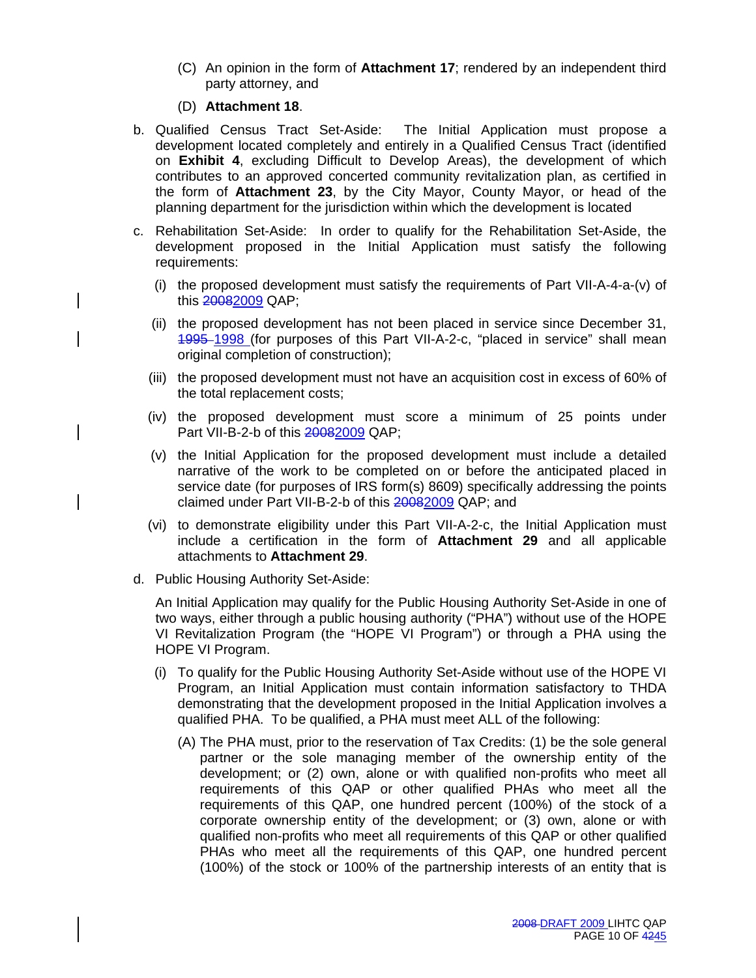(C) An opinion in the form of **Attachment 17**; rendered by an independent third party attorney, and

# (D) **Attachment 18**.

- b. Qualified Census Tract Set-Aside: The Initial Application must propose a development located completely and entirely in a Qualified Census Tract (identified on **Exhibit 4**, excluding Difficult to Develop Areas), the development of which contributes to an approved concerted community revitalization plan, as certified in the form of **Attachment 23**, by the City Mayor, County Mayor, or head of the planning department for the jurisdiction within which the development is located
- c. Rehabilitation Set-Aside: In order to qualify for the Rehabilitation Set-Aside, the development proposed in the Initial Application must satisfy the following requirements:
	- (i) the proposed development must satisfy the requirements of Part VII-A-4-a-(v) of this 20082009 QAP;
	- (ii) the proposed development has not been placed in service since December 31, 1995 1998 (for purposes of this Part VII-A-2-c, "placed in service" shall mean original completion of construction);
	- (iii) the proposed development must not have an acquisition cost in excess of 60% of the total replacement costs;
	- (iv) the proposed development must score a minimum of 25 points under Part VII-B-2-b of this 20082009 QAP;
	- (v) the Initial Application for the proposed development must include a detailed narrative of the work to be completed on or before the anticipated placed in service date (for purposes of IRS form(s) 8609) specifically addressing the points claimed under Part VII-B-2-b of this 20082009 QAP; and
	- (vi) to demonstrate eligibility under this Part VII-A-2-c, the Initial Application must include a certification in the form of **Attachment 29** and all applicable attachments to **Attachment 29**.
- d. Public Housing Authority Set-Aside:

An Initial Application may qualify for the Public Housing Authority Set-Aside in one of two ways, either through a public housing authority ("PHA") without use of the HOPE VI Revitalization Program (the "HOPE VI Program") or through a PHA using the HOPE VI Program.

- (i) To qualify for the Public Housing Authority Set-Aside without use of the HOPE VI Program, an Initial Application must contain information satisfactory to THDA demonstrating that the development proposed in the Initial Application involves a qualified PHA. To be qualified, a PHA must meet ALL of the following:
	- (A) The PHA must, prior to the reservation of Tax Credits: (1) be the sole general partner or the sole managing member of the ownership entity of the development; or (2) own, alone or with qualified non-profits who meet all requirements of this QAP or other qualified PHAs who meet all the requirements of this QAP, one hundred percent (100%) of the stock of a corporate ownership entity of the development; or (3) own, alone or with qualified non-profits who meet all requirements of this QAP or other qualified PHAs who meet all the requirements of this QAP, one hundred percent (100%) of the stock or 100% of the partnership interests of an entity that is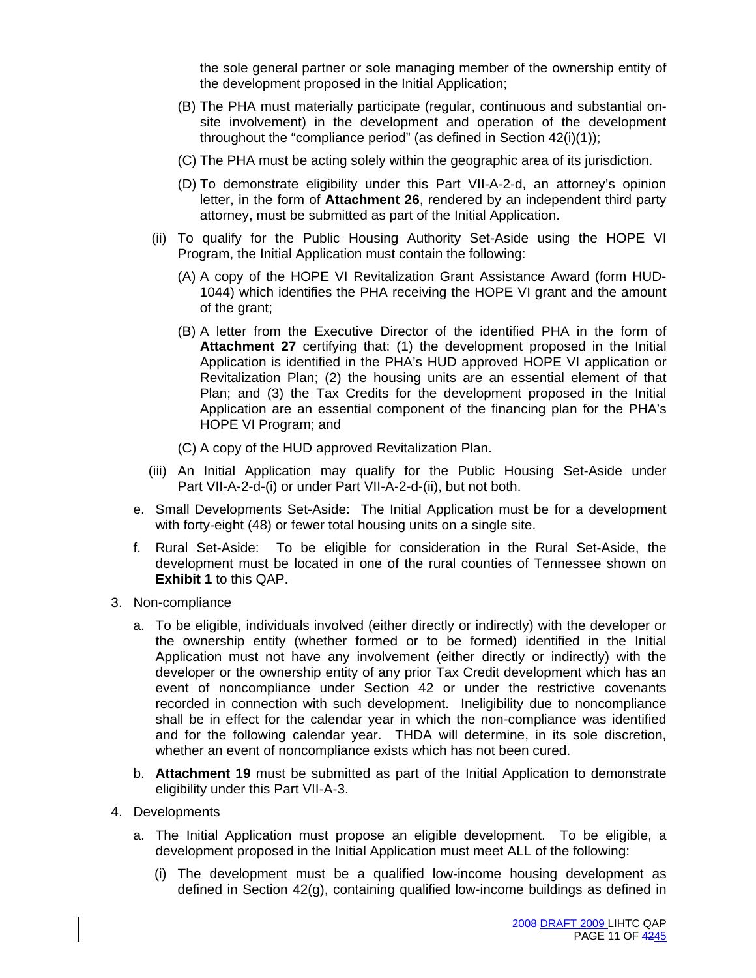the sole general partner or sole managing member of the ownership entity of the development proposed in the Initial Application;

- (B) The PHA must materially participate (regular, continuous and substantial onsite involvement) in the development and operation of the development throughout the "compliance period" (as defined in Section 42(i)(1));
- (C) The PHA must be acting solely within the geographic area of its jurisdiction.
- (D) To demonstrate eligibility under this Part VII-A-2-d, an attorney's opinion letter, in the form of **Attachment 26**, rendered by an independent third party attorney, must be submitted as part of the Initial Application.
- (ii) To qualify for the Public Housing Authority Set-Aside using the HOPE VI Program, the Initial Application must contain the following:
	- (A) A copy of the HOPE VI Revitalization Grant Assistance Award (form HUD-1044) which identifies the PHA receiving the HOPE VI grant and the amount of the grant;
	- (B) A letter from the Executive Director of the identified PHA in the form of **Attachment 27** certifying that: (1) the development proposed in the Initial Application is identified in the PHA's HUD approved HOPE VI application or Revitalization Plan; (2) the housing units are an essential element of that Plan; and (3) the Tax Credits for the development proposed in the Initial Application are an essential component of the financing plan for the PHA's HOPE VI Program; and
	- (C) A copy of the HUD approved Revitalization Plan.
- (iii) An Initial Application may qualify for the Public Housing Set-Aside under Part VII-A-2-d-(i) or under Part VII-A-2-d-(ii), but not both.
- e. Small Developments Set-Aside: The Initial Application must be for a development with forty-eight (48) or fewer total housing units on a single site.
- f. Rural Set-Aside: To be eligible for consideration in the Rural Set-Aside, the development must be located in one of the rural counties of Tennessee shown on **Exhibit 1** to this QAP.
- 3. Non-compliance
	- a. To be eligible, individuals involved (either directly or indirectly) with the developer or the ownership entity (whether formed or to be formed) identified in the Initial Application must not have any involvement (either directly or indirectly) with the developer or the ownership entity of any prior Tax Credit development which has an event of noncompliance under Section 42 or under the restrictive covenants recorded in connection with such development. Ineligibility due to noncompliance shall be in effect for the calendar year in which the non-compliance was identified and for the following calendar year. THDA will determine, in its sole discretion, whether an event of noncompliance exists which has not been cured.
	- b. **Attachment 19** must be submitted as part of the Initial Application to demonstrate eligibility under this Part VII-A-3.
- 4. Developments
	- a. The Initial Application must propose an eligible development. To be eligible, a development proposed in the Initial Application must meet ALL of the following:
		- (i) The development must be a qualified low-income housing development as defined in Section 42(g), containing qualified low-income buildings as defined in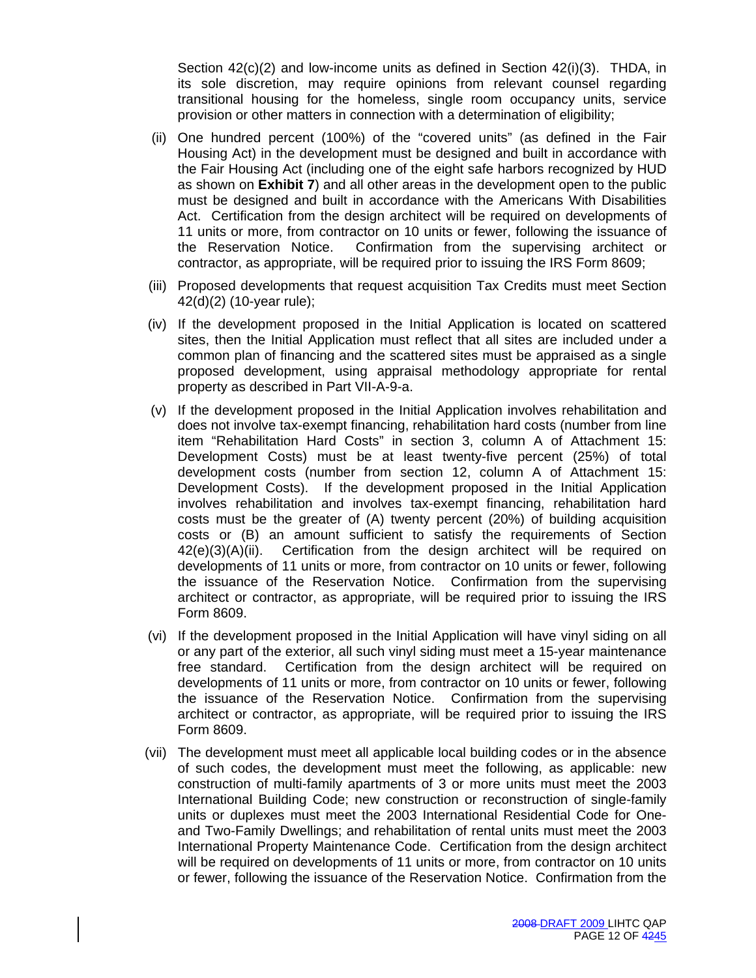Section 42(c)(2) and low-income units as defined in Section 42(i)(3). THDA, in its sole discretion, may require opinions from relevant counsel regarding transitional housing for the homeless, single room occupancy units, service provision or other matters in connection with a determination of eligibility;

- (ii) One hundred percent (100%) of the "covered units" (as defined in the Fair Housing Act) in the development must be designed and built in accordance with the Fair Housing Act (including one of the eight safe harbors recognized by HUD as shown on **Exhibit 7**) and all other areas in the development open to the public must be designed and built in accordance with the Americans With Disabilities Act. Certification from the design architect will be required on developments of 11 units or more, from contractor on 10 units or fewer, following the issuance of the Reservation Notice. Confirmation from the supervising architect or contractor, as appropriate, will be required prior to issuing the IRS Form 8609;
- (iii) Proposed developments that request acquisition Tax Credits must meet Section 42(d)(2) (10-year rule);
- (iv) If the development proposed in the Initial Application is located on scattered sites, then the Initial Application must reflect that all sites are included under a common plan of financing and the scattered sites must be appraised as a single proposed development, using appraisal methodology appropriate for rental property as described in Part VII-A-9-a.
- (v) If the development proposed in the Initial Application involves rehabilitation and does not involve tax-exempt financing, rehabilitation hard costs (number from line item "Rehabilitation Hard Costs" in section 3, column A of Attachment 15: Development Costs) must be at least twenty-five percent (25%) of total development costs (number from section 12, column A of Attachment 15: Development Costs). If the development proposed in the Initial Application involves rehabilitation and involves tax-exempt financing, rehabilitation hard costs must be the greater of (A) twenty percent (20%) of building acquisition costs or (B) an amount sufficient to satisfy the requirements of Section  $42(e)(3)(A)(ii)$ . Certification from the design architect will be required on developments of 11 units or more, from contractor on 10 units or fewer, following the issuance of the Reservation Notice. Confirmation from the supervising architect or contractor, as appropriate, will be required prior to issuing the IRS Form 8609.
- (vi) If the development proposed in the Initial Application will have vinyl siding on all or any part of the exterior, all such vinyl siding must meet a 15-year maintenance free standard. Certification from the design architect will be required on developments of 11 units or more, from contractor on 10 units or fewer, following the issuance of the Reservation Notice. Confirmation from the supervising architect or contractor, as appropriate, will be required prior to issuing the IRS Form 8609.
- (vii) The development must meet all applicable local building codes or in the absence of such codes, the development must meet the following, as applicable: new construction of multi-family apartments of 3 or more units must meet the 2003 International Building Code; new construction or reconstruction of single-family units or duplexes must meet the 2003 International Residential Code for Oneand Two-Family Dwellings; and rehabilitation of rental units must meet the 2003 International Property Maintenance Code. Certification from the design architect will be required on developments of 11 units or more, from contractor on 10 units or fewer, following the issuance of the Reservation Notice. Confirmation from the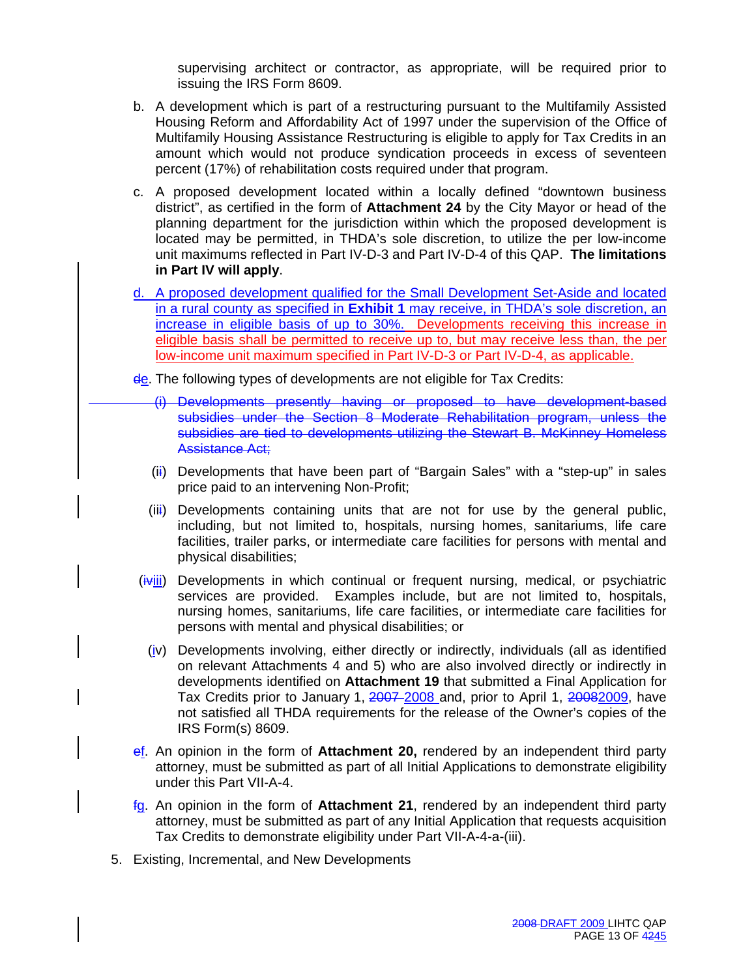supervising architect or contractor, as appropriate, will be required prior to issuing the IRS Form 8609.

- b. A development which is part of a restructuring pursuant to the Multifamily Assisted Housing Reform and Affordability Act of 1997 under the supervision of the Office of Multifamily Housing Assistance Restructuring is eligible to apply for Tax Credits in an amount which would not produce syndication proceeds in excess of seventeen percent (17%) of rehabilitation costs required under that program.
- c. A proposed development located within a locally defined "downtown business district", as certified in the form of **Attachment 24** by the City Mayor or head of the planning department for the jurisdiction within which the proposed development is located may be permitted, in THDA's sole discretion, to utilize the per low-income unit maximums reflected in Part IV-D-3 and Part IV-D-4 of this QAP. **The limitations in Part IV will apply**.
- d. A proposed development qualified for the Small Development Set-Aside and located in a rural county as specified in **Exhibit 1** may receive, in THDA's sole discretion, an increase in eligible basis of up to 30%. Developments receiving this increase in eligible basis shall be permitted to receive up to, but may receive less than, the per low-income unit maximum specified in Part IV-D-3 or Part IV-D-4, as applicable.
- de. The following types of developments are not eligible for Tax Credits:
	- (i) Developments presently having or proposed to have development-based subsidies under the Section 8 Moderate Rehabilitation program, unless the subsidies are tied to developments utilizing the Stewart B. McKinney Homeless Assistance Act;
	- (ii) Developments that have been part of "Bargain Sales" with a "step-up" in sales price paid to an intervening Non-Profit;
	- (iii) Developments containing units that are not for use by the general public, including, but not limited to, hospitals, nursing homes, sanitariums, life care facilities, trailer parks, or intermediate care facilities for persons with mental and physical disabilities;
- $(i\gamma iii)$  Developments in which continual or frequent nursing, medical, or psychiatric services are provided. Examples include, but are not limited to, hospitals, nursing homes, sanitariums, life care facilities, or intermediate care facilities for persons with mental and physical disabilities; or
	- (iv) Developments involving, either directly or indirectly, individuals (all as identified on relevant Attachments 4 and 5) who are also involved directly or indirectly in developments identified on **Attachment 19** that submitted a Final Application for Tax Credits prior to January 1, 2007-2008 and, prior to April 1, 20082009, have not satisfied all THDA requirements for the release of the Owner's copies of the IRS Form(s) 8609.
- ef. An opinion in the form of **Attachment 20,** rendered by an independent third party attorney, must be submitted as part of all Initial Applications to demonstrate eligibility under this Part VII-A-4.
- fg. An opinion in the form of **Attachment 21**, rendered by an independent third party attorney, must be submitted as part of any Initial Application that requests acquisition Tax Credits to demonstrate eligibility under Part VII-A-4-a-(iii).
- 5. Existing, Incremental, and New Developments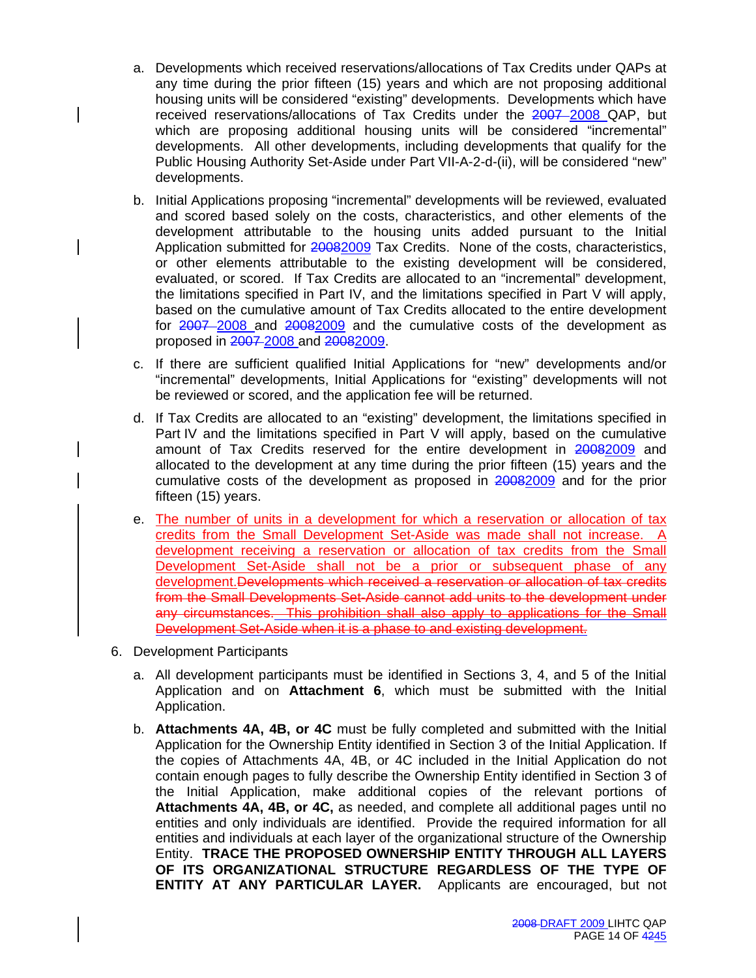- a. Developments which received reservations/allocations of Tax Credits under QAPs at any time during the prior fifteen (15) years and which are not proposing additional housing units will be considered "existing" developments. Developments which have received reservations/allocations of Tax Credits under the 2007-2008 QAP, but which are proposing additional housing units will be considered "incremental" developments. All other developments, including developments that qualify for the Public Housing Authority Set-Aside under Part VII-A-2-d-(ii), will be considered "new" developments.
- b. Initial Applications proposing "incremental" developments will be reviewed, evaluated and scored based solely on the costs, characteristics, and other elements of the development attributable to the housing units added pursuant to the Initial Application submitted for 20082009 Tax Credits. None of the costs, characteristics, or other elements attributable to the existing development will be considered, evaluated, or scored. If Tax Credits are allocated to an "incremental" development, the limitations specified in Part IV, and the limitations specified in Part V will apply, based on the cumulative amount of Tax Credits allocated to the entire development for 2007 2008 and 20082009 and the cumulative costs of the development as proposed in 2007 2008 and 20082009.
- c. If there are sufficient qualified Initial Applications for "new" developments and/or "incremental" developments, Initial Applications for "existing" developments will not be reviewed or scored, and the application fee will be returned.
- d. If Tax Credits are allocated to an "existing" development, the limitations specified in Part IV and the limitations specified in Part V will apply, based on the cumulative amount of Tax Credits reserved for the entire development in 20082009 and allocated to the development at any time during the prior fifteen (15) years and the cumulative costs of the development as proposed in 20082009 and for the prior fifteen (15) years.
- e. The number of units in a development for which a reservation or allocation of tax credits from the Small Development Set-Aside was made shall not increase. A development receiving a reservation or allocation of tax credits from the Small Development Set-Aside shall not be a prior or subsequent phase of any development. Developments which received a reservation or allocation of tax credits from the Small Developments Set-Aside cannot add units to the development under any circumstances. This prohibition shall also apply to applications for the Small Development Set-Aside when it is a phase to and existing development.
- 6. Development Participants
	- a. All development participants must be identified in Sections 3, 4, and 5 of the Initial Application and on **Attachment 6**, which must be submitted with the Initial Application.
	- b. **Attachments 4A, 4B, or 4C** must be fully completed and submitted with the Initial Application for the Ownership Entity identified in Section 3 of the Initial Application. If the copies of Attachments 4A, 4B, or 4C included in the Initial Application do not contain enough pages to fully describe the Ownership Entity identified in Section 3 of the Initial Application, make additional copies of the relevant portions of **Attachments 4A, 4B, or 4C,** as needed, and complete all additional pages until no entities and only individuals are identified. Provide the required information for all entities and individuals at each layer of the organizational structure of the Ownership Entity. **TRACE THE PROPOSED OWNERSHIP ENTITY THROUGH ALL LAYERS OF ITS ORGANIZATIONAL STRUCTURE REGARDLESS OF THE TYPE OF ENTITY AT ANY PARTICULAR LAYER.** Applicants are encouraged, but not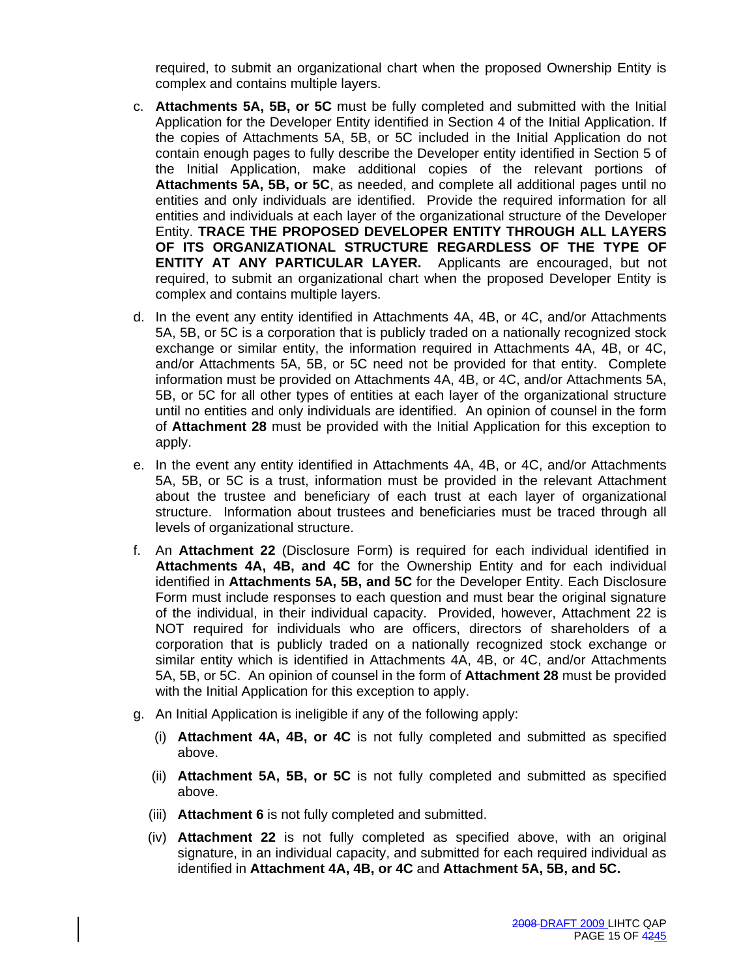required, to submit an organizational chart when the proposed Ownership Entity is complex and contains multiple layers.

- c. **Attachments 5A, 5B, or 5C** must be fully completed and submitted with the Initial Application for the Developer Entity identified in Section 4 of the Initial Application. If the copies of Attachments 5A, 5B, or 5C included in the Initial Application do not contain enough pages to fully describe the Developer entity identified in Section 5 of the Initial Application, make additional copies of the relevant portions of **Attachments 5A, 5B, or 5C**, as needed, and complete all additional pages until no entities and only individuals are identified. Provide the required information for all entities and individuals at each layer of the organizational structure of the Developer Entity. **TRACE THE PROPOSED DEVELOPER ENTITY THROUGH ALL LAYERS OF ITS ORGANIZATIONAL STRUCTURE REGARDLESS OF THE TYPE OF ENTITY AT ANY PARTICULAR LAYER.** Applicants are encouraged, but not required, to submit an organizational chart when the proposed Developer Entity is complex and contains multiple layers.
- d. In the event any entity identified in Attachments 4A, 4B, or 4C, and/or Attachments 5A, 5B, or 5C is a corporation that is publicly traded on a nationally recognized stock exchange or similar entity, the information required in Attachments 4A, 4B, or 4C, and/or Attachments 5A, 5B, or 5C need not be provided for that entity. Complete information must be provided on Attachments 4A, 4B, or 4C, and/or Attachments 5A, 5B, or 5C for all other types of entities at each layer of the organizational structure until no entities and only individuals are identified. An opinion of counsel in the form of **Attachment 28** must be provided with the Initial Application for this exception to apply.
- e. In the event any entity identified in Attachments 4A, 4B, or 4C, and/or Attachments 5A, 5B, or 5C is a trust, information must be provided in the relevant Attachment about the trustee and beneficiary of each trust at each layer of organizational structure. Information about trustees and beneficiaries must be traced through all levels of organizational structure.
- f. An **Attachment 22** (Disclosure Form) is required for each individual identified in **Attachments 4A, 4B, and 4C** for the Ownership Entity and for each individual identified in **Attachments 5A, 5B, and 5C** for the Developer Entity. Each Disclosure Form must include responses to each question and must bear the original signature of the individual, in their individual capacity. Provided, however, Attachment 22 is NOT required for individuals who are officers, directors of shareholders of a corporation that is publicly traded on a nationally recognized stock exchange or similar entity which is identified in Attachments 4A, 4B, or 4C, and/or Attachments 5A, 5B, or 5C. An opinion of counsel in the form of **Attachment 28** must be provided with the Initial Application for this exception to apply.
- g. An Initial Application is ineligible if any of the following apply:
	- (i) **Attachment 4A, 4B, or 4C** is not fully completed and submitted as specified above.
	- (ii) **Attachment 5A, 5B, or 5C** is not fully completed and submitted as specified above.
	- (iii) **Attachment 6** is not fully completed and submitted.
	- (iv) **Attachment 22** is not fully completed as specified above, with an original signature, in an individual capacity, and submitted for each required individual as identified in **Attachment 4A, 4B, or 4C** and **Attachment 5A, 5B, and 5C.**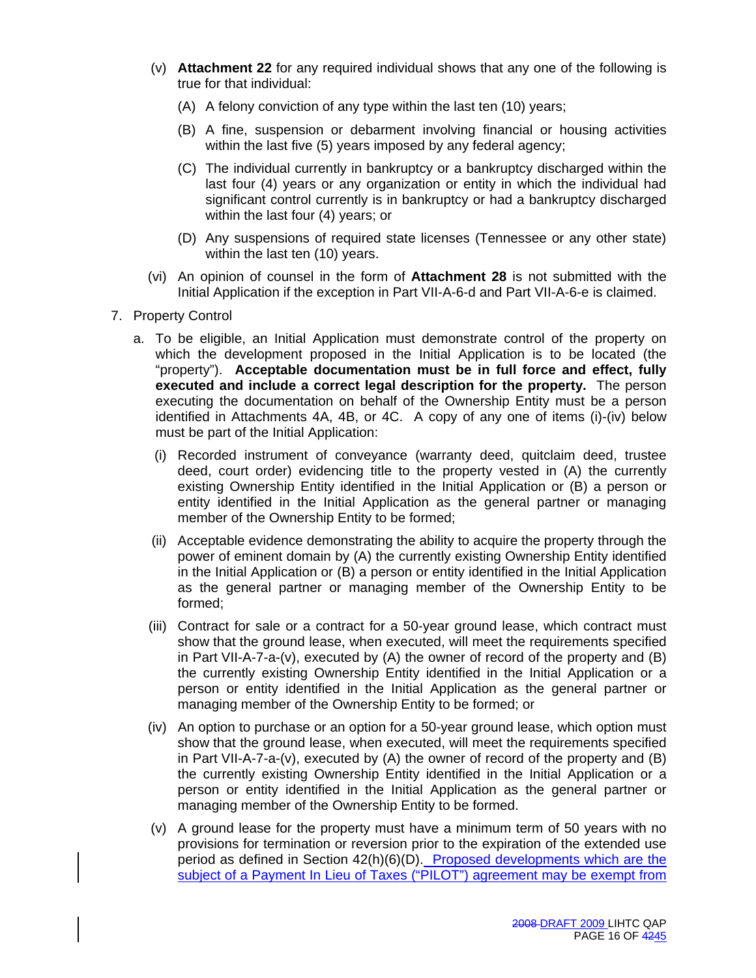- (v) **Attachment 22** for any required individual shows that any one of the following is true for that individual:
	- (A) A felony conviction of any type within the last ten (10) years;
	- (B) A fine, suspension or debarment involving financial or housing activities within the last five (5) years imposed by any federal agency;
	- (C) The individual currently in bankruptcy or a bankruptcy discharged within the last four (4) years or any organization or entity in which the individual had significant control currently is in bankruptcy or had a bankruptcy discharged within the last four (4) years; or
	- (D) Any suspensions of required state licenses (Tennessee or any other state) within the last ten (10) years.
- (vi) An opinion of counsel in the form of **Attachment 28** is not submitted with the Initial Application if the exception in Part VII-A-6-d and Part VII-A-6-e is claimed.
- 7. Property Control
	- a. To be eligible, an Initial Application must demonstrate control of the property on which the development proposed in the Initial Application is to be located (the "property"). **Acceptable documentation must be in full force and effect, fully executed and include a correct legal description for the property.** The person executing the documentation on behalf of the Ownership Entity must be a person identified in Attachments 4A, 4B, or 4C. A copy of any one of items (i)-(iv) below must be part of the Initial Application:
		- (i) Recorded instrument of conveyance (warranty deed, quitclaim deed, trustee deed, court order) evidencing title to the property vested in (A) the currently existing Ownership Entity identified in the Initial Application or (B) a person or entity identified in the Initial Application as the general partner or managing member of the Ownership Entity to be formed;
		- (ii) Acceptable evidence demonstrating the ability to acquire the property through the power of eminent domain by (A) the currently existing Ownership Entity identified in the Initial Application or (B) a person or entity identified in the Initial Application as the general partner or managing member of the Ownership Entity to be formed;
		- (iii) Contract for sale or a contract for a 50-year ground lease, which contract must show that the ground lease, when executed, will meet the requirements specified in Part VII-A-7-a-(v), executed by (A) the owner of record of the property and (B) the currently existing Ownership Entity identified in the Initial Application or a person or entity identified in the Initial Application as the general partner or managing member of the Ownership Entity to be formed; or
		- (iv) An option to purchase or an option for a 50-year ground lease, which option must show that the ground lease, when executed, will meet the requirements specified in Part VII-A-7-a-(v), executed by (A) the owner of record of the property and (B) the currently existing Ownership Entity identified in the Initial Application or a person or entity identified in the Initial Application as the general partner or managing member of the Ownership Entity to be formed.
		- (v) A ground lease for the property must have a minimum term of 50 years with no provisions for termination or reversion prior to the expiration of the extended use period as defined in Section 42(h)(6)(D). Proposed developments which are the subject of a Payment In Lieu of Taxes ("PILOT") agreement may be exempt from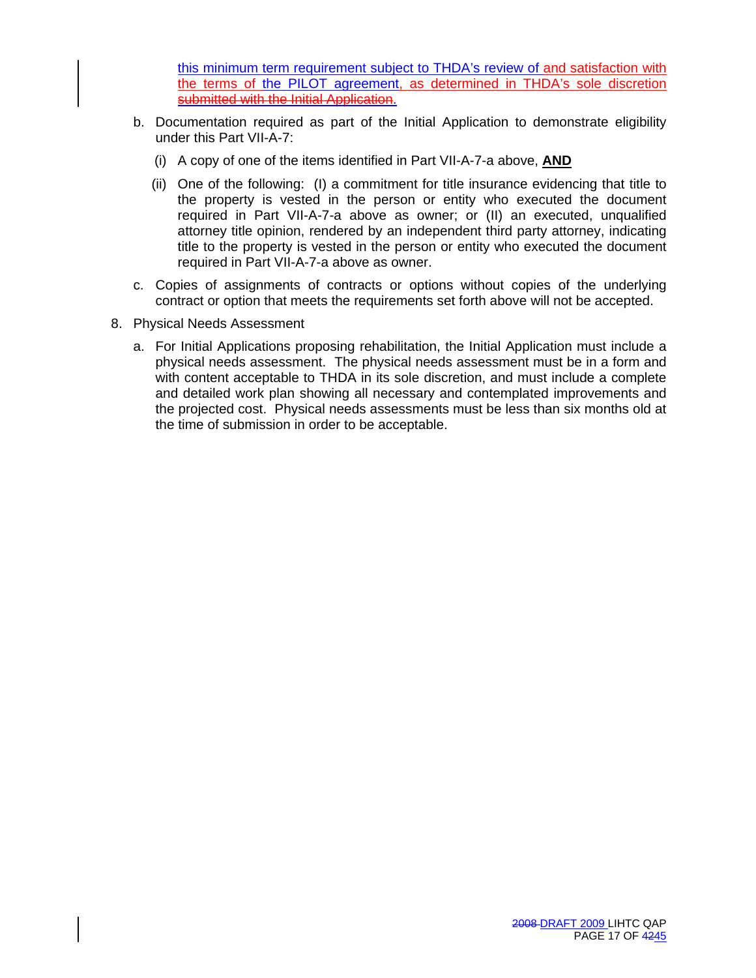this minimum term requirement subject to THDA's review of and satisfaction with the terms of the PILOT agreement, as determined in THDA's sole discretion submitted with the Initial Application.

- b. Documentation required as part of the Initial Application to demonstrate eligibility under this Part VII-A-7:
	- (i) A copy of one of the items identified in Part VII-A-7-a above, **AND**
	- (ii) One of the following: (I) a commitment for title insurance evidencing that title to the property is vested in the person or entity who executed the document required in Part VII-A-7-a above as owner; or (II) an executed, unqualified attorney title opinion, rendered by an independent third party attorney, indicating title to the property is vested in the person or entity who executed the document required in Part VII-A-7-a above as owner.
- c. Copies of assignments of contracts or options without copies of the underlying contract or option that meets the requirements set forth above will not be accepted.
- 8. Physical Needs Assessment
	- a. For Initial Applications proposing rehabilitation, the Initial Application must include a physical needs assessment. The physical needs assessment must be in a form and with content acceptable to THDA in its sole discretion, and must include a complete and detailed work plan showing all necessary and contemplated improvements and the projected cost. Physical needs assessments must be less than six months old at the time of submission in order to be acceptable.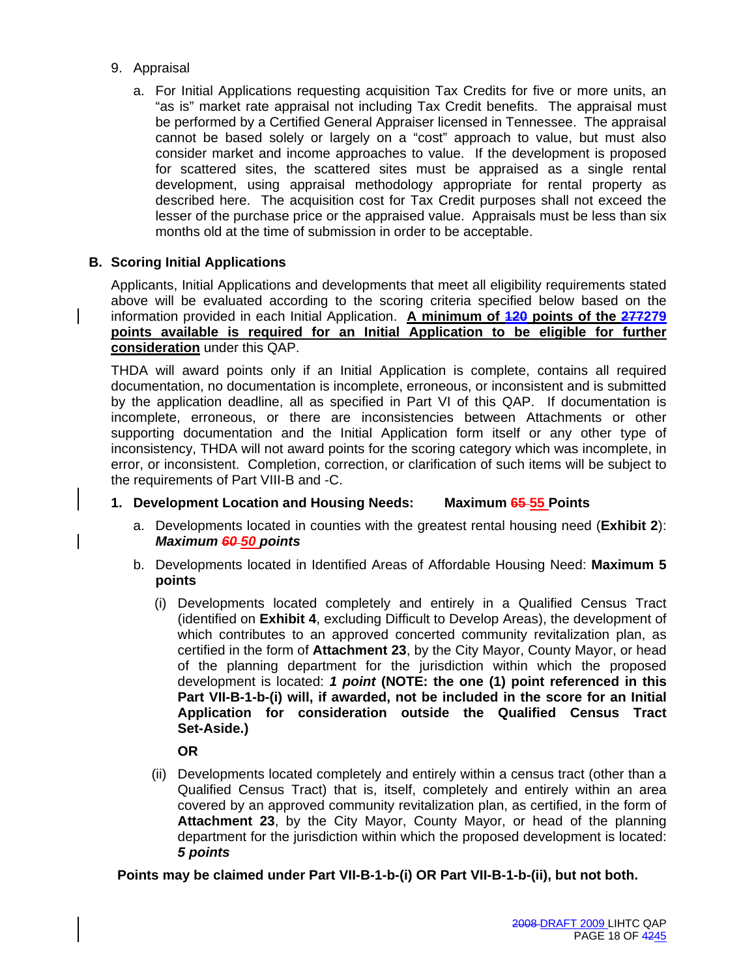- 9. Appraisal
	- a. For Initial Applications requesting acquisition Tax Credits for five or more units, an "as is" market rate appraisal not including Tax Credit benefits. The appraisal must be performed by a Certified General Appraiser licensed in Tennessee. The appraisal cannot be based solely or largely on a "cost" approach to value, but must also consider market and income approaches to value. If the development is proposed for scattered sites, the scattered sites must be appraised as a single rental development, using appraisal methodology appropriate for rental property as described here. The acquisition cost for Tax Credit purposes shall not exceed the lesser of the purchase price or the appraised value. Appraisals must be less than six months old at the time of submission in order to be acceptable.

# **B. Scoring Initial Applications**

Applicants, Initial Applications and developments that meet all eligibility requirements stated above will be evaluated according to the scoring criteria specified below based on the information provided in each Initial Application. **A minimum of 120 points of the 277279 points available is required for an Initial Application to be eligible for further consideration** under this QAP.

THDA will award points only if an Initial Application is complete, contains all required documentation, no documentation is incomplete, erroneous, or inconsistent and is submitted by the application deadline, all as specified in Part VI of this QAP. If documentation is incomplete, erroneous, or there are inconsistencies between Attachments or other supporting documentation and the Initial Application form itself or any other type of inconsistency, THDA will not award points for the scoring category which was incomplete, in error, or inconsistent. Completion, correction, or clarification of such items will be subject to the requirements of Part VIII-B and -C.

- **1. Development Location and Housing Needs: Maximum 65 55 Points**
	- a. Developments located in counties with the greatest rental housing need (**Exhibit 2**): *Maximum 60 50 points*
	- b. Developments located in Identified Areas of Affordable Housing Need: **Maximum 5 points** 
		- (i) Developments located completely and entirely in a Qualified Census Tract (identified on **Exhibit 4**, excluding Difficult to Develop Areas), the development of which contributes to an approved concerted community revitalization plan, as certified in the form of **Attachment 23**, by the City Mayor, County Mayor, or head of the planning department for the jurisdiction within which the proposed development is located: *1 point* **(NOTE: the one (1) point referenced in this Part VII-B-1-b-(i) will, if awarded, not be included in the score for an Initial Application for consideration outside the Qualified Census Tract Set-Aside.)**

 **OR**

 (ii) Developments located completely and entirely within a census tract (other than a Qualified Census Tract) that is, itself, completely and entirely within an area covered by an approved community revitalization plan, as certified, in the form of **Attachment 23**, by the City Mayor, County Mayor, or head of the planning department for the jurisdiction within which the proposed development is located: *5 points* 

**Points may be claimed under Part VII-B-1-b-(i) OR Part VII-B-1-b-(ii), but not both.**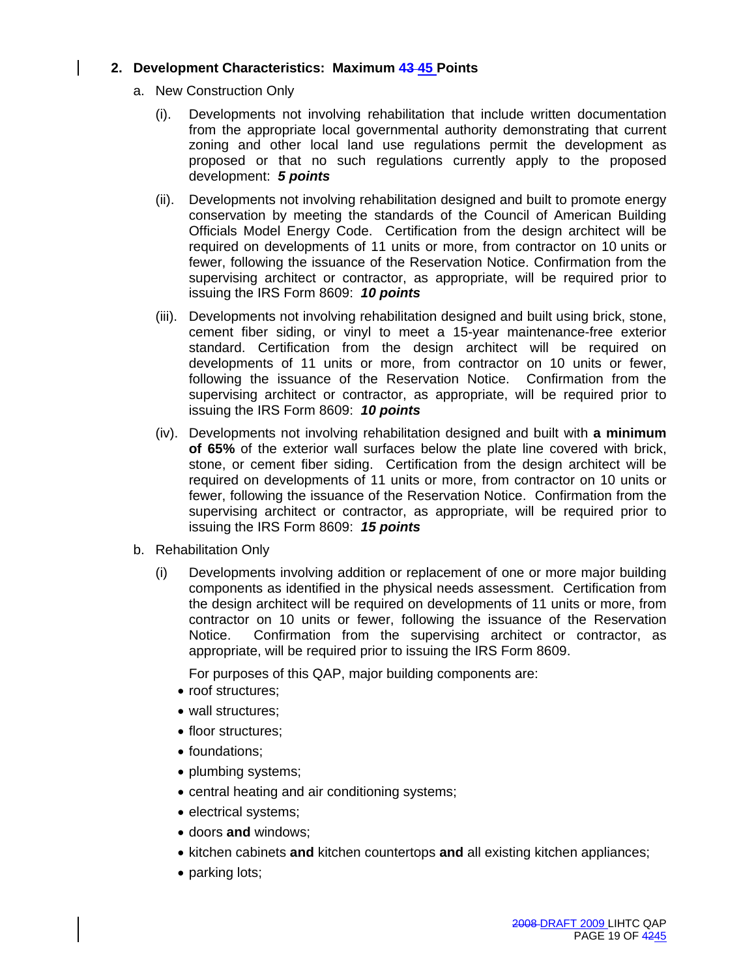# **2. Development Characteristics: Maximum 43 45 Points**

- a. New Construction Only
	- (i). Developments not involving rehabilitation that include written documentation from the appropriate local governmental authority demonstrating that current zoning and other local land use regulations permit the development as proposed or that no such regulations currently apply to the proposed development: *5 points*
	- (ii). Developments not involving rehabilitation designed and built to promote energy conservation by meeting the standards of the Council of American Building Officials Model Energy Code. Certification from the design architect will be required on developments of 11 units or more, from contractor on 10 units or fewer, following the issuance of the Reservation Notice. Confirmation from the supervising architect or contractor, as appropriate, will be required prior to issuing the IRS Form 8609: *10 points*
	- (iii). Developments not involving rehabilitation designed and built using brick, stone, cement fiber siding, or vinyl to meet a 15-year maintenance-free exterior standard. Certification from the design architect will be required on developments of 11 units or more, from contractor on 10 units or fewer, following the issuance of the Reservation Notice. Confirmation from the supervising architect or contractor, as appropriate, will be required prior to issuing the IRS Form 8609: *10 points*
	- (iv). Developments not involving rehabilitation designed and built with **a minimum of 65%** of the exterior wall surfaces below the plate line covered with brick, stone, or cement fiber siding. Certification from the design architect will be required on developments of 11 units or more, from contractor on 10 units or fewer, following the issuance of the Reservation Notice. Confirmation from the supervising architect or contractor, as appropriate, will be required prior to issuing the IRS Form 8609: *15 points*
- b. Rehabilitation Only
	- (i) Developments involving addition or replacement of one or more major building components as identified in the physical needs assessment. Certification from the design architect will be required on developments of 11 units or more, from contractor on 10 units or fewer, following the issuance of the Reservation Notice. Confirmation from the supervising architect or contractor, as appropriate, will be required prior to issuing the IRS Form 8609.

For purposes of this QAP, major building components are:

- roof structures;
- wall structures:
- floor structures;
- foundations;
- plumbing systems;
- central heating and air conditioning systems;
- electrical systems;
- doors **and** windows;
- kitchen cabinets **and** kitchen countertops **and** all existing kitchen appliances;
- parking lots;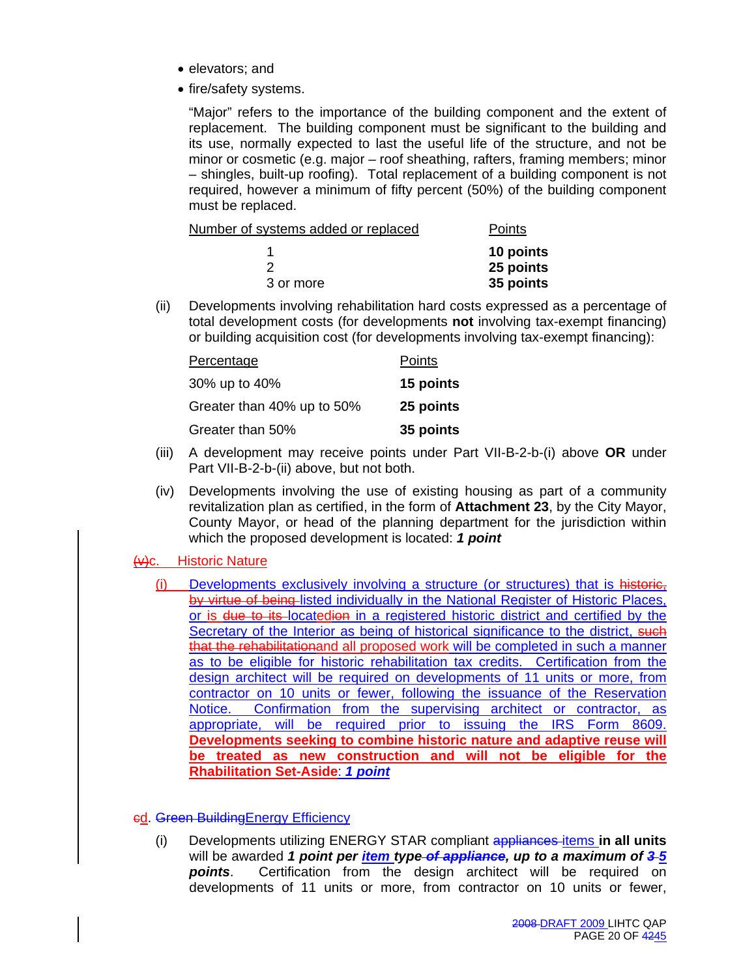- elevators; and
- fire/safety systems.

 "Major" refers to the importance of the building component and the extent of replacement. The building component must be significant to the building and its use, normally expected to last the useful life of the structure, and not be minor or cosmetic (e.g. major – roof sheathing, rafters, framing members; minor – shingles, built-up roofing). Total replacement of a building component is not required, however a minimum of fifty percent (50%) of the building component must be replaced.

| Points    |
|-----------|
| 10 points |
| 25 points |
| 35 points |
|           |

(ii) Developments involving rehabilitation hard costs expressed as a percentage of total development costs (for developments **not** involving tax-exempt financing) or building acquisition cost (for developments involving tax-exempt financing):

| <b>Percentage</b>          | Points    |
|----------------------------|-----------|
| 30% up to 40%              | 15 points |
| Greater than 40% up to 50% | 25 points |
| Greater than 50%           | 35 points |

- (iii) A development may receive points under Part VII-B-2-b-(i) above **OR** under Part VII-B-2-b-(ii) above, but not both.
- (iv) Developments involving the use of existing housing as part of a community revitalization plan as certified, in the form of **Attachment 23**, by the City Mayor, County Mayor, or head of the planning department for the jurisdiction within which the proposed development is located: *1 point*

# (v)c. Historic Nature

(i) Developments exclusively involving a structure (or structures) that is historic, by virtue of being listed individually in the National Register of Historic Places, or is due to its locatedion in a registered historic district and certified by the Secretary of the Interior as being of historical significance to the district, such that the rehabilitationand all proposed work will be completed in such a manner as to be eligible for historic rehabilitation tax credits. Certification from the design architect will be required on developments of 11 units or more, from contractor on 10 units or fewer, following the issuance of the Reservation Notice. Confirmation from the supervising architect or contractor, as appropriate, will be required prior to issuing the IRS Form 8609. **Developments seeking to combine historic nature and adaptive reuse will be treated as new construction and will not be eligible for the Rhabilitation Set-Aside**: *1 point*

# cd. Green BuildingEnergy Efficiency

(i) Developments utilizing ENERGY STAR compliant appliances items **in all units** will be awarded *1 point per item type of appliance, up to a maximum of 3 5 points*. Certification from the design architect will be required on developments of 11 units or more, from contractor on 10 units or fewer,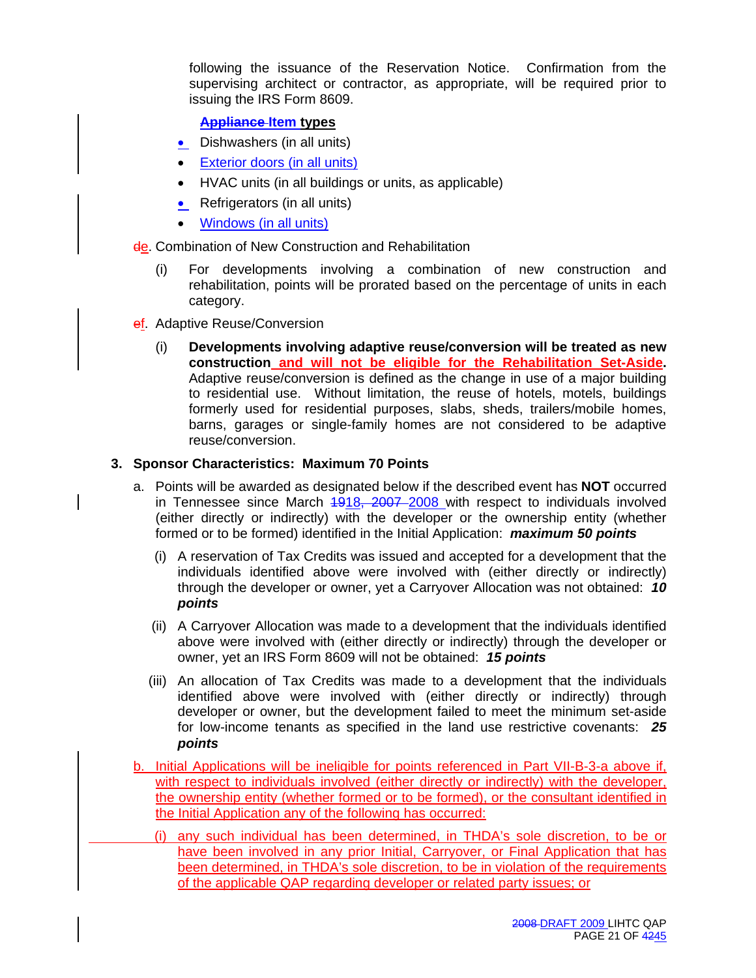following the issuance of the Reservation Notice. Confirmation from the supervising architect or contractor, as appropriate, will be required prior to issuing the IRS Form 8609.

# **Appliance Item types**

- Dishwashers (in all units)
- **Exterior doors (in all units)**
- HVAC units (in all buildings or units, as applicable)
- Refrigerators (in all units)
- Windows (in all units)

de. Combination of New Construction and Rehabilitation

- (i) For developments involving a combination of new construction and rehabilitation, points will be prorated based on the percentage of units in each category.
- ef. Adaptive Reuse/Conversion
	- (i) **Developments involving adaptive reuse/conversion will be treated as new construction and will not be eligible for the Rehabilitation Set-Aside.** Adaptive reuse/conversion is defined as the change in use of a major building to residential use. Without limitation, the reuse of hotels, motels, buildings formerly used for residential purposes, slabs, sheds, trailers/mobile homes, barns, garages or single-family homes are not considered to be adaptive reuse/conversion.

#### **3. Sponsor Characteristics: Maximum 70 Points**

- a. Points will be awarded as designated below if the described event has **NOT** occurred in Tennessee since March 4918, 2007 2008 with respect to individuals involved (either directly or indirectly) with the developer or the ownership entity (whether formed or to be formed) identified in the Initial Application: *maximum 50 points*
	- (i) A reservation of Tax Credits was issued and accepted for a development that the individuals identified above were involved with (either directly or indirectly) through the developer or owner, yet a Carryover Allocation was not obtained: *10 points*
	- (ii) A Carryover Allocation was made to a development that the individuals identified above were involved with (either directly or indirectly) through the developer or owner, yet an IRS Form 8609 will not be obtained: *15 points*
	- (iii) An allocation of Tax Credits was made to a development that the individuals identified above were involved with (either directly or indirectly) through developer or owner, but the development failed to meet the minimum set-aside for low-income tenants as specified in the land use restrictive covenants: *25 points*
- b. Initial Applications will be ineligible for points referenced in Part VII-B-3-a above if, with respect to individuals involved (either directly or indirectly) with the developer, the ownership entity (whether formed or to be formed), or the consultant identified in the Initial Application any of the following has occurred:
	- (i) any such individual has been determined, in THDA's sole discretion, to be or have been involved in any prior Initial, Carryover, or Final Application that has been determined, in THDA's sole discretion, to be in violation of the requirements of the applicable QAP regarding developer or related party issues; or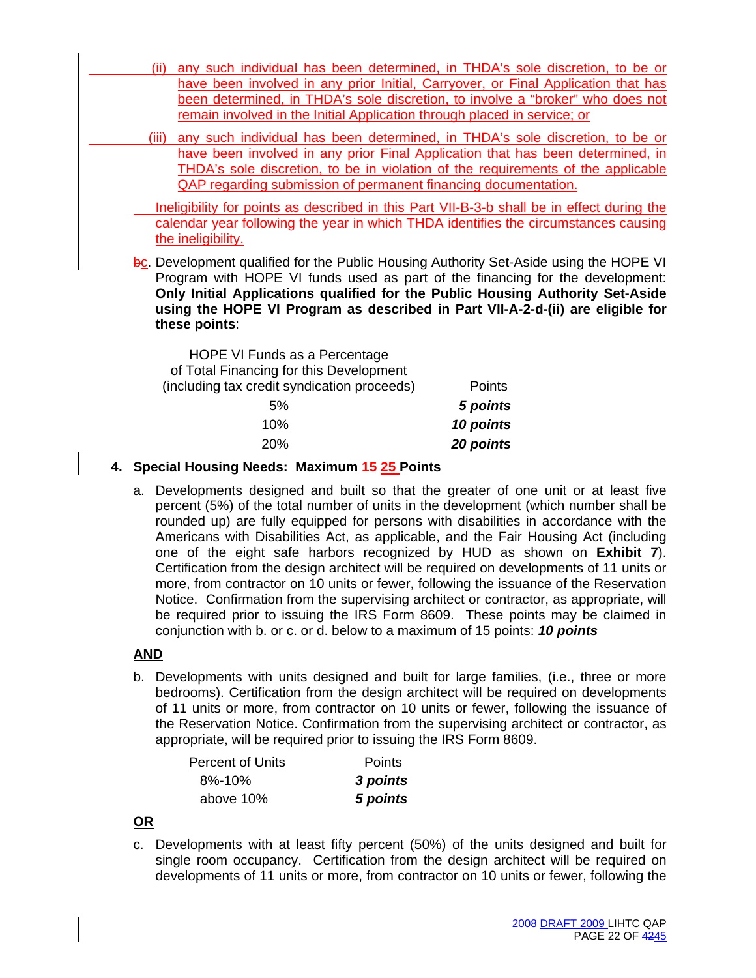- (ii) any such individual has been determined, in THDA's sole discretion, to be or have been involved in any prior Initial, Carryover, or Final Application that has been determined, in THDA's sole discretion, to involve a "broker" who does not remain involved in the Initial Application through placed in service; or
- (iii) any such individual has been determined, in THDA's sole discretion, to be or have been involved in any prior Final Application that has been determined, in THDA's sole discretion, to be in violation of the requirements of the applicable QAP regarding submission of permanent financing documentation.

 Ineligibility for points as described in this Part VII-B-3-b shall be in effect during the calendar year following the year in which THDA identifies the circumstances causing the ineligibility.

bc. Development qualified for the Public Housing Authority Set-Aside using the HOPE VI Program with HOPE VI funds used as part of the financing for the development: **Only Initial Applications qualified for the Public Housing Authority Set-Aside using the HOPE VI Program as described in Part VII-A-2-d-(ii) are eligible for these points**:

| HOPE VI Funds as a Percentage               |           |
|---------------------------------------------|-----------|
| of Total Financing for this Development     |           |
| (including tax credit syndication proceeds) | Points    |
| 5%                                          | 5 points  |
| 10%                                         | 10 points |
| 20%                                         | 20 points |

# **4. Special Housing Needs: Maximum 15 25 Points**

a. Developments designed and built so that the greater of one unit or at least five percent (5%) of the total number of units in the development (which number shall be rounded up) are fully equipped for persons with disabilities in accordance with the Americans with Disabilities Act, as applicable, and the Fair Housing Act (including one of the eight safe harbors recognized by HUD as shown on **Exhibit 7**). Certification from the design architect will be required on developments of 11 units or more, from contractor on 10 units or fewer, following the issuance of the Reservation Notice. Confirmation from the supervising architect or contractor, as appropriate, will be required prior to issuing the IRS Form 8609. These points may be claimed in conjunction with b. or c. or d. below to a maximum of 15 points: *10 points*

# **AND**

b. Developments with units designed and built for large families, (i.e., three or more bedrooms). Certification from the design architect will be required on developments of 11 units or more, from contractor on 10 units or fewer, following the issuance of the Reservation Notice. Confirmation from the supervising architect or contractor, as appropriate, will be required prior to issuing the IRS Form 8609.

| <b>Percent of Units</b> | Points   |
|-------------------------|----------|
| 8%-10%                  | 3 points |
| above 10%               | 5 points |

# **OR**

c. Developments with at least fifty percent (50%) of the units designed and built for single room occupancy. Certification from the design architect will be required on developments of 11 units or more, from contractor on 10 units or fewer, following the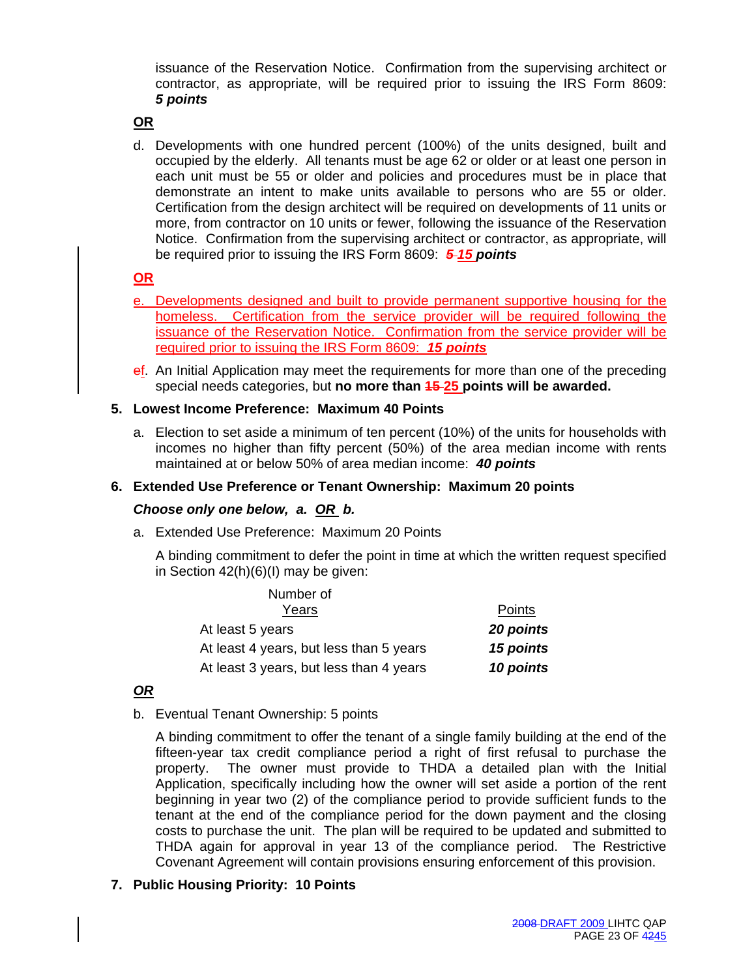issuance of the Reservation Notice. Confirmation from the supervising architect or contractor, as appropriate, will be required prior to issuing the IRS Form 8609: *5 points* 

# **OR**

d. Developments with one hundred percent (100%) of the units designed, built and occupied by the elderly. All tenants must be age 62 or older or at least one person in each unit must be 55 or older and policies and procedures must be in place that demonstrate an intent to make units available to persons who are 55 or older. Certification from the design architect will be required on developments of 11 units or more, from contractor on 10 units or fewer, following the issuance of the Reservation Notice. Confirmation from the supervising architect or contractor, as appropriate, will be required prior to issuing the IRS Form 8609: *5 15 points*

#### **OR**

- e. Developments designed and built to provide permanent supportive housing for the homeless. Certification from the service provider will be required following the issuance of the Reservation Notice. Confirmation from the service provider will be required prior to issuing the IRS Form 8609: *15 points*
- ef. An Initial Application may meet the requirements for more than one of the preceding special needs categories, but **no more than 15 25 points will be awarded.**

#### **5. Lowest Income Preference: Maximum 40 Points**

a. Election to set aside a minimum of ten percent (10%) of the units for households with incomes no higher than fifty percent (50%) of the area median income with rents maintained at or below 50% of area median income: *40 points*

#### **6. Extended Use Preference or Tenant Ownership: Maximum 20 points**

#### *Choose only one below, a. OR b.*

a. Extended Use Preference: Maximum 20 Points

A binding commitment to defer the point in time at which the written request specified in Section 42(h)(6)(I) may be given:

| Number of                               |           |
|-----------------------------------------|-----------|
| Years                                   | Points    |
| At least 5 years                        | 20 points |
| At least 4 years, but less than 5 years | 15 points |
| At least 3 years, but less than 4 years | 10 points |

# *OR*

b. Eventual Tenant Ownership: 5 points

A binding commitment to offer the tenant of a single family building at the end of the fifteen-year tax credit compliance period a right of first refusal to purchase the property. The owner must provide to THDA a detailed plan with the Initial Application, specifically including how the owner will set aside a portion of the rent beginning in year two (2) of the compliance period to provide sufficient funds to the tenant at the end of the compliance period for the down payment and the closing costs to purchase the unit. The plan will be required to be updated and submitted to THDA again for approval in year 13 of the compliance period. The Restrictive Covenant Agreement will contain provisions ensuring enforcement of this provision.

# **7. Public Housing Priority: 10 Points**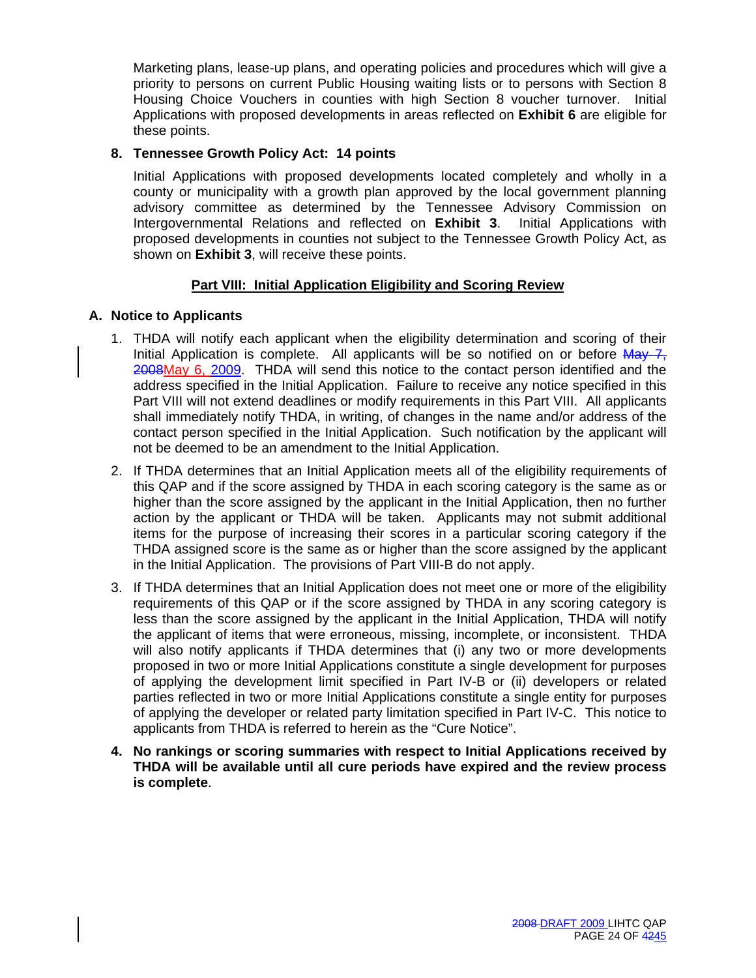Marketing plans, lease-up plans, and operating policies and procedures which will give a priority to persons on current Public Housing waiting lists or to persons with Section 8 Housing Choice Vouchers in counties with high Section 8 voucher turnover. Initial Applications with proposed developments in areas reflected on **Exhibit 6** are eligible for these points.

# **8. Tennessee Growth Policy Act: 14 points**

Initial Applications with proposed developments located completely and wholly in a county or municipality with a growth plan approved by the local government planning advisory committee as determined by the Tennessee Advisory Commission on Intergovernmental Relations and reflected on **Exhibit 3**. Initial Applications with proposed developments in counties not subject to the Tennessee Growth Policy Act, as shown on **Exhibit 3**, will receive these points.

# **Part VIII: Initial Application Eligibility and Scoring Review**

# **A. Notice to Applicants**

- 1. THDA will notify each applicant when the eligibility determination and scoring of their Initial Application is complete. All applicants will be so notified on or before  $\frac{MAV - T}{T}$ 2008May 6, 2009. THDA will send this notice to the contact person identified and the address specified in the Initial Application. Failure to receive any notice specified in this Part VIII will not extend deadlines or modify requirements in this Part VIII. All applicants shall immediately notify THDA, in writing, of changes in the name and/or address of the contact person specified in the Initial Application. Such notification by the applicant will not be deemed to be an amendment to the Initial Application.
- 2. If THDA determines that an Initial Application meets all of the eligibility requirements of this QAP and if the score assigned by THDA in each scoring category is the same as or higher than the score assigned by the applicant in the Initial Application, then no further action by the applicant or THDA will be taken. Applicants may not submit additional items for the purpose of increasing their scores in a particular scoring category if the THDA assigned score is the same as or higher than the score assigned by the applicant in the Initial Application. The provisions of Part VIII-B do not apply.
- 3. If THDA determines that an Initial Application does not meet one or more of the eligibility requirements of this QAP or if the score assigned by THDA in any scoring category is less than the score assigned by the applicant in the Initial Application, THDA will notify the applicant of items that were erroneous, missing, incomplete, or inconsistent. THDA will also notify applicants if THDA determines that (i) any two or more developments proposed in two or more Initial Applications constitute a single development for purposes of applying the development limit specified in Part IV-B or (ii) developers or related parties reflected in two or more Initial Applications constitute a single entity for purposes of applying the developer or related party limitation specified in Part IV-C. This notice to applicants from THDA is referred to herein as the "Cure Notice".
- **4. No rankings or scoring summaries with respect to Initial Applications received by THDA will be available until all cure periods have expired and the review process is complete**.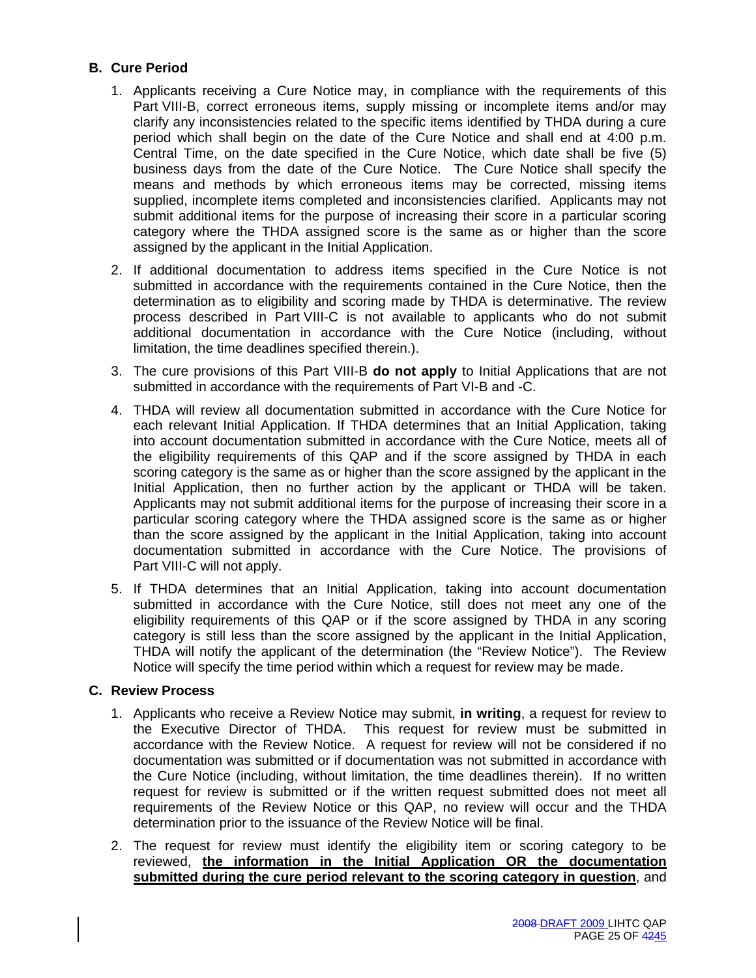# **B. Cure Period**

- 1. Applicants receiving a Cure Notice may, in compliance with the requirements of this Part VIII-B, correct erroneous items, supply missing or incomplete items and/or may clarify any inconsistencies related to the specific items identified by THDA during a cure period which shall begin on the date of the Cure Notice and shall end at 4:00 p.m. Central Time, on the date specified in the Cure Notice, which date shall be five (5) business days from the date of the Cure Notice. The Cure Notice shall specify the means and methods by which erroneous items may be corrected, missing items supplied, incomplete items completed and inconsistencies clarified. Applicants may not submit additional items for the purpose of increasing their score in a particular scoring category where the THDA assigned score is the same as or higher than the score assigned by the applicant in the Initial Application.
- 2. If additional documentation to address items specified in the Cure Notice is not submitted in accordance with the requirements contained in the Cure Notice, then the determination as to eligibility and scoring made by THDA is determinative. The review process described in Part VIII-C is not available to applicants who do not submit additional documentation in accordance with the Cure Notice (including, without limitation, the time deadlines specified therein.).
- 3. The cure provisions of this Part VIII-B **do not apply** to Initial Applications that are not submitted in accordance with the requirements of Part VI-B and -C.
- 4. THDA will review all documentation submitted in accordance with the Cure Notice for each relevant Initial Application. If THDA determines that an Initial Application, taking into account documentation submitted in accordance with the Cure Notice, meets all of the eligibility requirements of this QAP and if the score assigned by THDA in each scoring category is the same as or higher than the score assigned by the applicant in the Initial Application, then no further action by the applicant or THDA will be taken. Applicants may not submit additional items for the purpose of increasing their score in a particular scoring category where the THDA assigned score is the same as or higher than the score assigned by the applicant in the Initial Application, taking into account documentation submitted in accordance with the Cure Notice. The provisions of Part VIII-C will not apply.
- 5. If THDA determines that an Initial Application, taking into account documentation submitted in accordance with the Cure Notice, still does not meet any one of the eligibility requirements of this QAP or if the score assigned by THDA in any scoring category is still less than the score assigned by the applicant in the Initial Application, THDA will notify the applicant of the determination (the "Review Notice"). The Review Notice will specify the time period within which a request for review may be made.

# **C. Review Process**

- 1. Applicants who receive a Review Notice may submit, **in writing**, a request for review to the Executive Director of THDA. This request for review must be submitted in accordance with the Review Notice. A request for review will not be considered if no documentation was submitted or if documentation was not submitted in accordance with the Cure Notice (including, without limitation, the time deadlines therein). If no written request for review is submitted or if the written request submitted does not meet all requirements of the Review Notice or this QAP, no review will occur and the THDA determination prior to the issuance of the Review Notice will be final.
- 2. The request for review must identify the eligibility item or scoring category to be reviewed, **the information in the Initial Application OR the documentation submitted during the cure period relevant to the scoring category in question**, and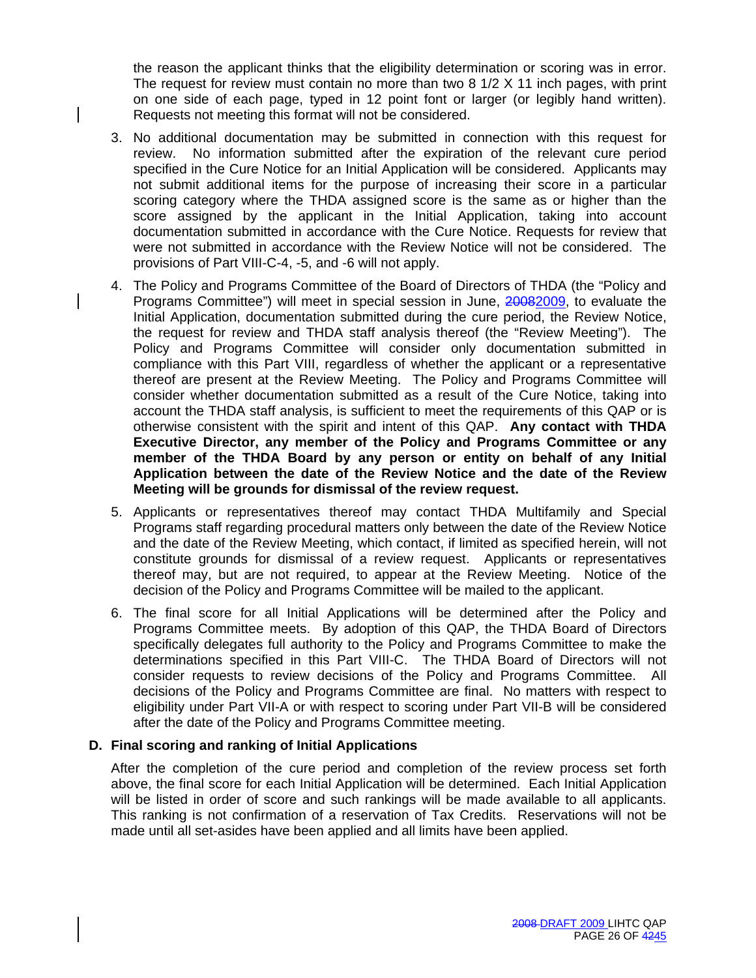the reason the applicant thinks that the eligibility determination or scoring was in error. The request for review must contain no more than two 8 1/2 X 11 inch pages, with print on one side of each page, typed in 12 point font or larger (or legibly hand written). Requests not meeting this format will not be considered.

- 3. No additional documentation may be submitted in connection with this request for review. No information submitted after the expiration of the relevant cure period specified in the Cure Notice for an Initial Application will be considered. Applicants may not submit additional items for the purpose of increasing their score in a particular scoring category where the THDA assigned score is the same as or higher than the score assigned by the applicant in the Initial Application, taking into account documentation submitted in accordance with the Cure Notice. Requests for review that were not submitted in accordance with the Review Notice will not be considered. The provisions of Part VIII-C-4, -5, and -6 will not apply.
- 4. The Policy and Programs Committee of the Board of Directors of THDA (the "Policy and Programs Committee") will meet in special session in June, 20082009, to evaluate the Initial Application, documentation submitted during the cure period, the Review Notice, the request for review and THDA staff analysis thereof (the "Review Meeting"). The Policy and Programs Committee will consider only documentation submitted in compliance with this Part VIII, regardless of whether the applicant or a representative thereof are present at the Review Meeting. The Policy and Programs Committee will consider whether documentation submitted as a result of the Cure Notice, taking into account the THDA staff analysis, is sufficient to meet the requirements of this QAP or is otherwise consistent with the spirit and intent of this QAP. **Any contact with THDA Executive Director, any member of the Policy and Programs Committee or any member of the THDA Board by any person or entity on behalf of any Initial Application between the date of the Review Notice and the date of the Review Meeting will be grounds for dismissal of the review request.**
- 5. Applicants or representatives thereof may contact THDA Multifamily and Special Programs staff regarding procedural matters only between the date of the Review Notice and the date of the Review Meeting, which contact, if limited as specified herein, will not constitute grounds for dismissal of a review request. Applicants or representatives thereof may, but are not required, to appear at the Review Meeting. Notice of the decision of the Policy and Programs Committee will be mailed to the applicant.
- 6. The final score for all Initial Applications will be determined after the Policy and Programs Committee meets. By adoption of this QAP, the THDA Board of Directors specifically delegates full authority to the Policy and Programs Committee to make the determinations specified in this Part VIII-C. The THDA Board of Directors will not consider requests to review decisions of the Policy and Programs Committee. All decisions of the Policy and Programs Committee are final. No matters with respect to eligibility under Part VII-A or with respect to scoring under Part VII-B will be considered after the date of the Policy and Programs Committee meeting.

#### **D. Final scoring and ranking of Initial Applications**

After the completion of the cure period and completion of the review process set forth above, the final score for each Initial Application will be determined. Each Initial Application will be listed in order of score and such rankings will be made available to all applicants. This ranking is not confirmation of a reservation of Tax Credits. Reservations will not be made until all set-asides have been applied and all limits have been applied.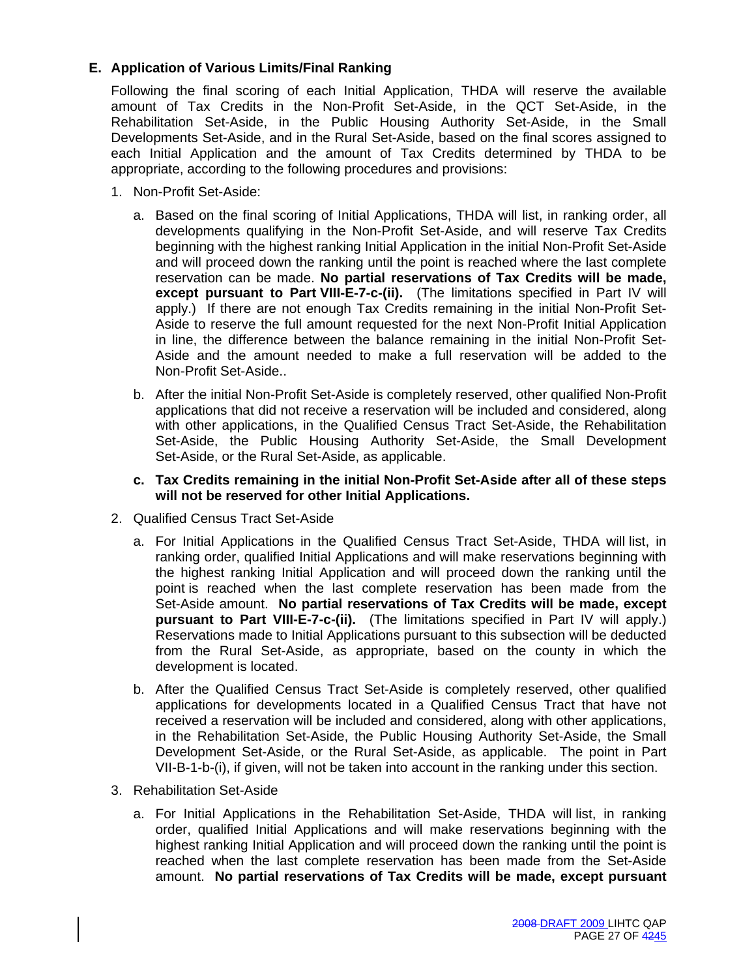# **E. Application of Various Limits/Final Ranking**

Following the final scoring of each Initial Application, THDA will reserve the available amount of Tax Credits in the Non-Profit Set-Aside, in the QCT Set-Aside, in the Rehabilitation Set-Aside, in the Public Housing Authority Set-Aside, in the Small Developments Set-Aside, and in the Rural Set-Aside, based on the final scores assigned to each Initial Application and the amount of Tax Credits determined by THDA to be appropriate, according to the following procedures and provisions:

- 1. Non-Profit Set-Aside:
	- a. Based on the final scoring of Initial Applications, THDA will list, in ranking order, all developments qualifying in the Non-Profit Set-Aside, and will reserve Tax Credits beginning with the highest ranking Initial Application in the initial Non-Profit Set-Aside and will proceed down the ranking until the point is reached where the last complete reservation can be made. **No partial reservations of Tax Credits will be made, except pursuant to Part VIII-E-7-c-(ii).** (The limitations specified in Part IV will apply.) If there are not enough Tax Credits remaining in the initial Non-Profit Set-Aside to reserve the full amount requested for the next Non-Profit Initial Application in line, the difference between the balance remaining in the initial Non-Profit Set-Aside and the amount needed to make a full reservation will be added to the Non-Profit Set-Aside..
	- b. After the initial Non-Profit Set-Aside is completely reserved, other qualified Non-Profit applications that did not receive a reservation will be included and considered, along with other applications, in the Qualified Census Tract Set-Aside, the Rehabilitation Set-Aside, the Public Housing Authority Set-Aside, the Small Development Set-Aside, or the Rural Set-Aside, as applicable.
	- **c. Tax Credits remaining in the initial Non-Profit Set-Aside after all of these steps will not be reserved for other Initial Applications.**
- 2. Qualified Census Tract Set-Aside
	- a. For Initial Applications in the Qualified Census Tract Set-Aside, THDA will list, in ranking order, qualified Initial Applications and will make reservations beginning with the highest ranking Initial Application and will proceed down the ranking until the point is reached when the last complete reservation has been made from the Set-Aside amount. **No partial reservations of Tax Credits will be made, except pursuant to Part VIII-E-7-c-(ii).** (The limitations specified in Part IV will apply.) Reservations made to Initial Applications pursuant to this subsection will be deducted from the Rural Set-Aside, as appropriate, based on the county in which the development is located.
	- b. After the Qualified Census Tract Set-Aside is completely reserved, other qualified applications for developments located in a Qualified Census Tract that have not received a reservation will be included and considered, along with other applications, in the Rehabilitation Set-Aside, the Public Housing Authority Set-Aside, the Small Development Set-Aside, or the Rural Set-Aside, as applicable. The point in Part VII-B-1-b-(i), if given, will not be taken into account in the ranking under this section.
- 3. Rehabilitation Set-Aside
	- a. For Initial Applications in the Rehabilitation Set-Aside, THDA will list, in ranking order, qualified Initial Applications and will make reservations beginning with the highest ranking Initial Application and will proceed down the ranking until the point is reached when the last complete reservation has been made from the Set-Aside amount. **No partial reservations of Tax Credits will be made, except pursuant**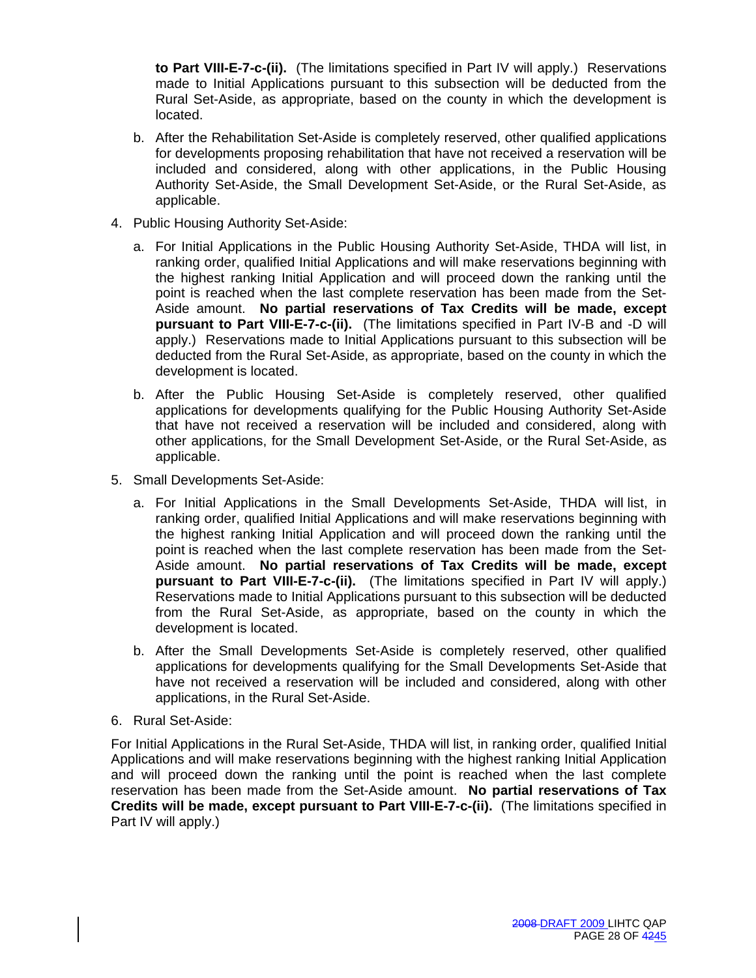**to Part VIII-E-7-c-(ii).** (The limitations specified in Part IV will apply.) Reservations made to Initial Applications pursuant to this subsection will be deducted from the Rural Set-Aside, as appropriate, based on the county in which the development is located.

- b. After the Rehabilitation Set-Aside is completely reserved, other qualified applications for developments proposing rehabilitation that have not received a reservation will be included and considered, along with other applications, in the Public Housing Authority Set-Aside, the Small Development Set-Aside, or the Rural Set-Aside, as applicable.
- 4. Public Housing Authority Set-Aside:
	- a. For Initial Applications in the Public Housing Authority Set-Aside, THDA will list, in ranking order, qualified Initial Applications and will make reservations beginning with the highest ranking Initial Application and will proceed down the ranking until the point is reached when the last complete reservation has been made from the Set-Aside amount. **No partial reservations of Tax Credits will be made, except pursuant to Part VIII-E-7-c-(ii).** (The limitations specified in Part IV-B and -D will apply.) Reservations made to Initial Applications pursuant to this subsection will be deducted from the Rural Set-Aside, as appropriate, based on the county in which the development is located.
	- b. After the Public Housing Set-Aside is completely reserved, other qualified applications for developments qualifying for the Public Housing Authority Set-Aside that have not received a reservation will be included and considered, along with other applications, for the Small Development Set-Aside, or the Rural Set-Aside, as applicable.
- 5. Small Developments Set-Aside:
	- a. For Initial Applications in the Small Developments Set-Aside, THDA will list, in ranking order, qualified Initial Applications and will make reservations beginning with the highest ranking Initial Application and will proceed down the ranking until the point is reached when the last complete reservation has been made from the Set-Aside amount. **No partial reservations of Tax Credits will be made, except pursuant to Part VIII-E-7-c-(ii).** (The limitations specified in Part IV will apply.) Reservations made to Initial Applications pursuant to this subsection will be deducted from the Rural Set-Aside, as appropriate, based on the county in which the development is located.
	- b. After the Small Developments Set-Aside is completely reserved, other qualified applications for developments qualifying for the Small Developments Set-Aside that have not received a reservation will be included and considered, along with other applications, in the Rural Set-Aside.
- 6. Rural Set-Aside:

For Initial Applications in the Rural Set-Aside, THDA will list, in ranking order, qualified Initial Applications and will make reservations beginning with the highest ranking Initial Application and will proceed down the ranking until the point is reached when the last complete reservation has been made from the Set-Aside amount. **No partial reservations of Tax Credits will be made, except pursuant to Part VIII-E-7-c-(ii).** (The limitations specified in Part IV will apply.)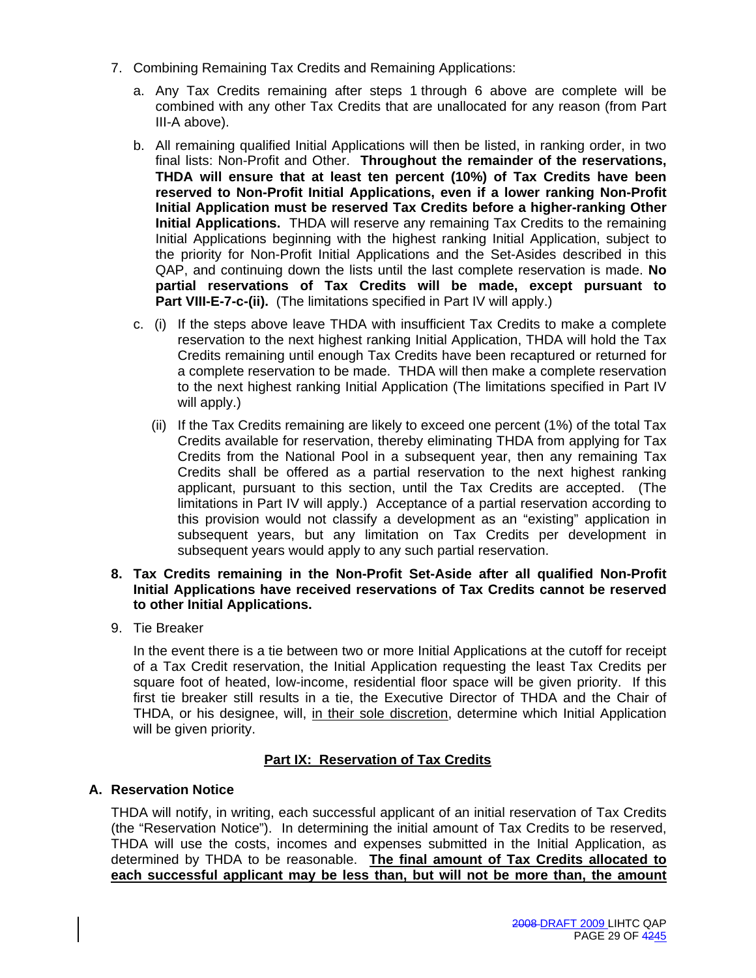- 7. Combining Remaining Tax Credits and Remaining Applications:
	- a. Any Tax Credits remaining after steps 1 through 6 above are complete will be combined with any other Tax Credits that are unallocated for any reason (from Part III-A above).
	- b. All remaining qualified Initial Applications will then be listed, in ranking order, in two final lists: Non-Profit and Other. **Throughout the remainder of the reservations, THDA will ensure that at least ten percent (10%) of Tax Credits have been reserved to Non-Profit Initial Applications, even if a lower ranking Non-Profit Initial Application must be reserved Tax Credits before a higher-ranking Other Initial Applications.** THDA will reserve any remaining Tax Credits to the remaining Initial Applications beginning with the highest ranking Initial Application, subject to the priority for Non-Profit Initial Applications and the Set-Asides described in this QAP, and continuing down the lists until the last complete reservation is made. **No partial reservations of Tax Credits will be made, except pursuant to Part VIII-E-7-c-(ii).** (The limitations specified in Part IV will apply.)
	- c. (i) If the steps above leave THDA with insufficient Tax Credits to make a complete reservation to the next highest ranking Initial Application, THDA will hold the Tax Credits remaining until enough Tax Credits have been recaptured or returned for a complete reservation to be made. THDA will then make a complete reservation to the next highest ranking Initial Application (The limitations specified in Part IV will apply.)
		- (ii) If the Tax Credits remaining are likely to exceed one percent (1%) of the total Tax Credits available for reservation, thereby eliminating THDA from applying for Tax Credits from the National Pool in a subsequent year, then any remaining Tax Credits shall be offered as a partial reservation to the next highest ranking applicant, pursuant to this section, until the Tax Credits are accepted. (The limitations in Part IV will apply.) Acceptance of a partial reservation according to this provision would not classify a development as an "existing" application in subsequent years, but any limitation on Tax Credits per development in subsequent years would apply to any such partial reservation.

# **8. Tax Credits remaining in the Non-Profit Set-Aside after all qualified Non-Profit Initial Applications have received reservations of Tax Credits cannot be reserved to other Initial Applications.**

9. Tie Breaker

In the event there is a tie between two or more Initial Applications at the cutoff for receipt of a Tax Credit reservation, the Initial Application requesting the least Tax Credits per square foot of heated, low-income, residential floor space will be given priority. If this first tie breaker still results in a tie, the Executive Director of THDA and the Chair of THDA, or his designee, will, in their sole discretion, determine which Initial Application will be given priority.

# **Part IX: Reservation of Tax Credits**

# **A. Reservation Notice**

THDA will notify, in writing, each successful applicant of an initial reservation of Tax Credits (the "Reservation Notice"). In determining the initial amount of Tax Credits to be reserved, THDA will use the costs, incomes and expenses submitted in the Initial Application, as determined by THDA to be reasonable. **The final amount of Tax Credits allocated to each successful applicant may be less than, but will not be more than, the amount**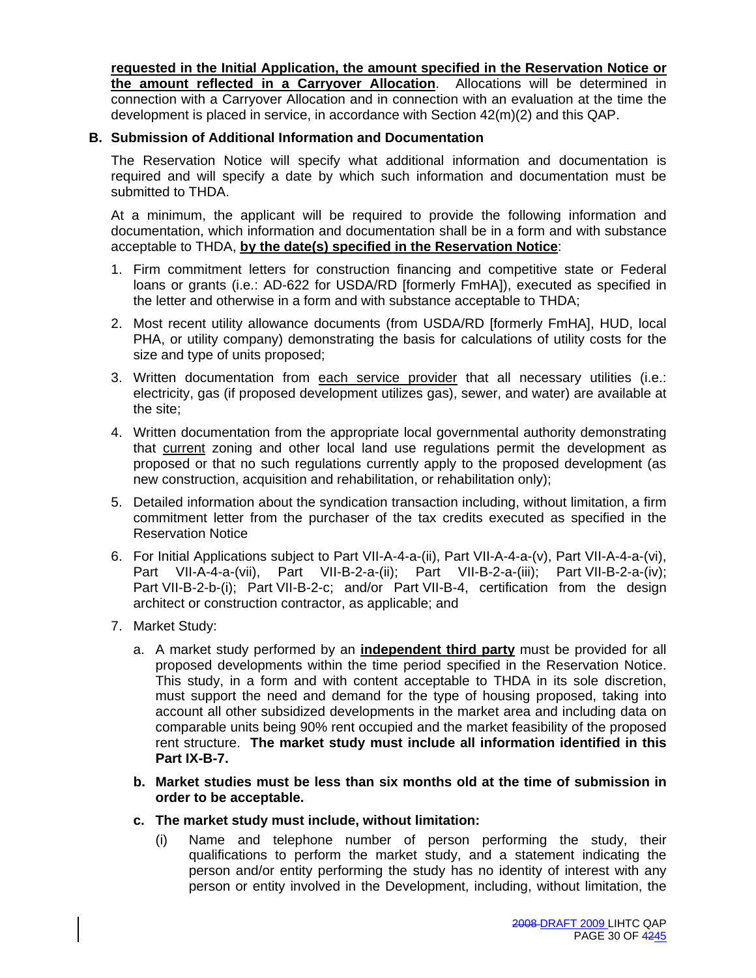**requested in the Initial Application, the amount specified in the Reservation Notice or the amount reflected in a Carryover Allocation**. Allocations will be determined in connection with a Carryover Allocation and in connection with an evaluation at the time the development is placed in service, in accordance with Section 42(m)(2) and this QAP.

# **B. Submission of Additional Information and Documentation**

The Reservation Notice will specify what additional information and documentation is required and will specify a date by which such information and documentation must be submitted to THDA.

At a minimum, the applicant will be required to provide the following information and documentation, which information and documentation shall be in a form and with substance acceptable to THDA, **by the date(s) specified in the Reservation Notice**:

- 1. Firm commitment letters for construction financing and competitive state or Federal loans or grants (i.e.: AD-622 for USDA/RD [formerly FmHA]), executed as specified in the letter and otherwise in a form and with substance acceptable to THDA;
- 2. Most recent utility allowance documents (from USDA/RD [formerly FmHA], HUD, local PHA, or utility company) demonstrating the basis for calculations of utility costs for the size and type of units proposed;
- 3. Written documentation from each service provider that all necessary utilities (i.e.: electricity, gas (if proposed development utilizes gas), sewer, and water) are available at the site;
- 4. Written documentation from the appropriate local governmental authority demonstrating that current zoning and other local land use regulations permit the development as proposed or that no such regulations currently apply to the proposed development (as new construction, acquisition and rehabilitation, or rehabilitation only);
- 5. Detailed information about the syndication transaction including, without limitation, a firm commitment letter from the purchaser of the tax credits executed as specified in the Reservation Notice
- 6. For Initial Applications subject to Part VII-A-4-a-(ii), Part VII-A-4-a-(v), Part VII-A-4-a-(vi), Part VII-A-4-a-(vii), Part VII-B-2-a-(ii); Part VII-B-2-a-(iii); Part VII-B-2-a-(iv); Part VII-B-2-b-(i); Part VII-B-2-c; and/or Part VII-B-4, certification from the design architect or construction contractor, as applicable; and
- 7. Market Study:
	- a. A market study performed by an **independent third party** must be provided for all proposed developments within the time period specified in the Reservation Notice. This study, in a form and with content acceptable to THDA in its sole discretion, must support the need and demand for the type of housing proposed, taking into account all other subsidized developments in the market area and including data on comparable units being 90% rent occupied and the market feasibility of the proposed rent structure. **The market study must include all information identified in this Part IX-B-7.**
	- **b. Market studies must be less than six months old at the time of submission in order to be acceptable.**
	- **c. The market study must include, without limitation:** 
		- (i) Name and telephone number of person performing the study, their qualifications to perform the market study, and a statement indicating the person and/or entity performing the study has no identity of interest with any person or entity involved in the Development, including, without limitation, the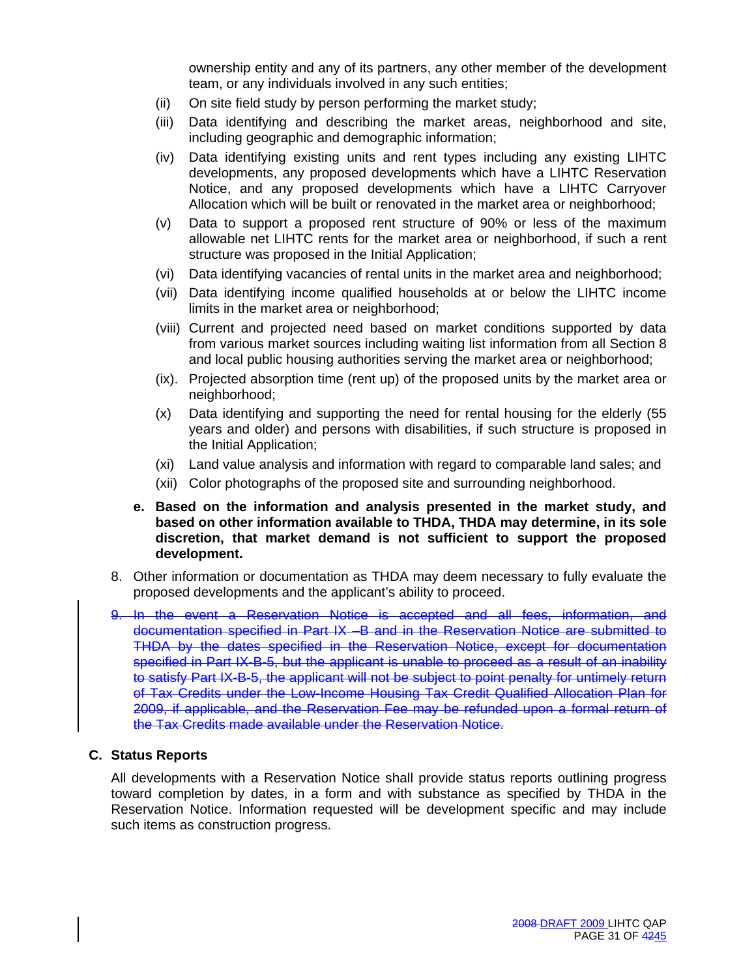ownership entity and any of its partners, any other member of the development team, or any individuals involved in any such entities;

- (ii) On site field study by person performing the market study;
- (iii) Data identifying and describing the market areas, neighborhood and site, including geographic and demographic information;
- (iv) Data identifying existing units and rent types including any existing LIHTC developments, any proposed developments which have a LIHTC Reservation Notice, and any proposed developments which have a LIHTC Carryover Allocation which will be built or renovated in the market area or neighborhood;
- (v) Data to support a proposed rent structure of 90% or less of the maximum allowable net LIHTC rents for the market area or neighborhood, if such a rent structure was proposed in the Initial Application;
- (vi) Data identifying vacancies of rental units in the market area and neighborhood;
- (vii) Data identifying income qualified households at or below the LIHTC income limits in the market area or neighborhood;
- (viii) Current and projected need based on market conditions supported by data from various market sources including waiting list information from all Section 8 and local public housing authorities serving the market area or neighborhood;
- (ix). Projected absorption time (rent up) of the proposed units by the market area or neighborhood;
- (x) Data identifying and supporting the need for rental housing for the elderly (55 years and older) and persons with disabilities, if such structure is proposed in the Initial Application;
- (xi) Land value analysis and information with regard to comparable land sales; and
- (xii) Color photographs of the proposed site and surrounding neighborhood.
- **e. Based on the information and analysis presented in the market study, and based on other information available to THDA, THDA may determine, in its sole discretion, that market demand is not sufficient to support the proposed development.**
- 8. Other information or documentation as THDA may deem necessary to fully evaluate the proposed developments and the applicant's ability to proceed.
- 9. In the event a Reservation Notice is accepted and all fees, information, and documentation specified in Part IX –B and in the Reservation Notice are submitted to THDA by the dates specified in the Reservation Notice, except for documentation specified in Part IX-B-5, but the applicant is unable to proceed as a result of an inability to satisfy Part IX-B-5, the applicant will not be subject to point penalty for untimely return of Tax Credits under the Low-Income Housing Tax Credit Qualified Allocation Plan for 2009, if applicable, and the Reservation Fee may be refunded upon a formal return of the Tax Credits made available under the Reservation Notice.

#### **C. Status Reports**

All developments with a Reservation Notice shall provide status reports outlining progress toward completion by dates, in a form and with substance as specified by THDA in the Reservation Notice. Information requested will be development specific and may include such items as construction progress.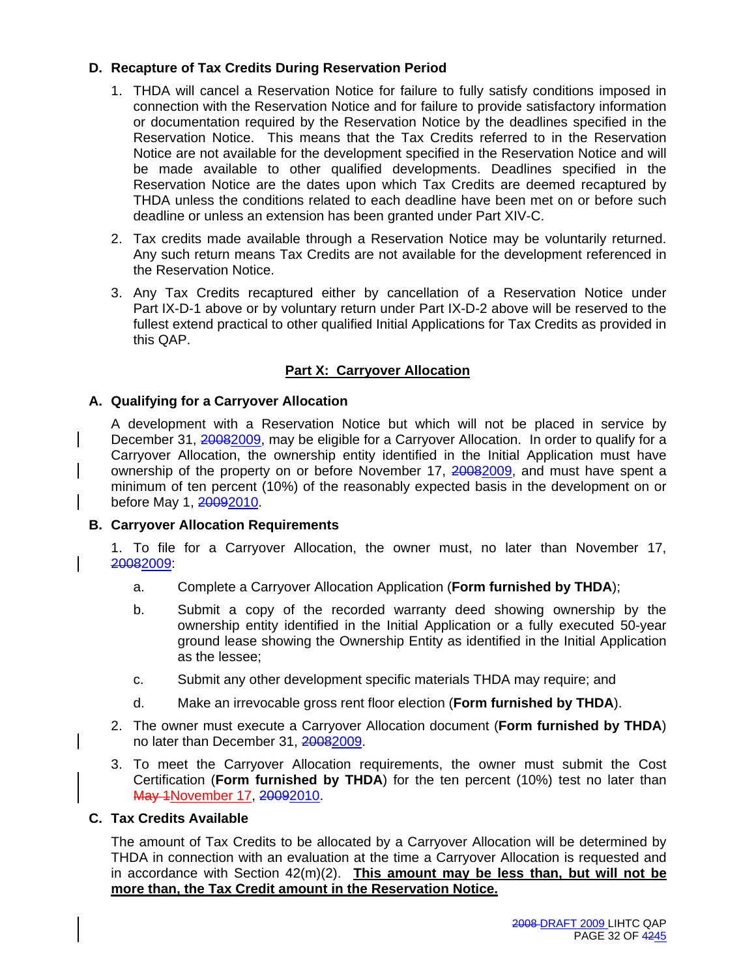# **D. Recapture of Tax Credits During Reservation Period**

- 1. THDA will cancel a Reservation Notice for failure to fully satisfy conditions imposed in connection with the Reservation Notice and for failure to provide satisfactory information or documentation required by the Reservation Notice by the deadlines specified in the Reservation Notice. This means that the Tax Credits referred to in the Reservation Notice are not available for the development specified in the Reservation Notice and will be made available to other qualified developments. Deadlines specified in the Reservation Notice are the dates upon which Tax Credits are deemed recaptured by THDA unless the conditions related to each deadline have been met on or before such deadline or unless an extension has been granted under Part XIV-C.
- 2. Tax credits made available through a Reservation Notice may be voluntarily returned. Any such return means Tax Credits are not available for the development referenced in the Reservation Notice.
- 3. Any Tax Credits recaptured either by cancellation of a Reservation Notice under Part IX-D-1 above or by voluntary return under Part IX-D-2 above will be reserved to the fullest extend practical to other qualified Initial Applications for Tax Credits as provided in this QAP.

# **Part X: Carryover Allocation**

# **A. Qualifying for a Carryover Allocation**

A development with a Reservation Notice but which will not be placed in service by December 31, 20082009, may be eligible for a Carryover Allocation. In order to qualify for a Carryover Allocation, the ownership entity identified in the Initial Application must have ownership of the property on or before November 17, 20082009, and must have spent a minimum of ten percent (10%) of the reasonably expected basis in the development on or before May 1, 20092010.

#### **B. Carryover Allocation Requirements**

1. To file for a Carryover Allocation, the owner must, no later than November 17, 20082009:

- a. Complete a Carryover Allocation Application (**Form furnished by THDA**);
- b. Submit a copy of the recorded warranty deed showing ownership by the ownership entity identified in the Initial Application or a fully executed 50-year ground lease showing the Ownership Entity as identified in the Initial Application as the lessee;
- c. Submit any other development specific materials THDA may require; and
- d. Make an irrevocable gross rent floor election (**Form furnished by THDA**).
- 2. The owner must execute a Carryover Allocation document (**Form furnished by THDA**) no later than December 31, 20082009.
- 3. To meet the Carryover Allocation requirements, the owner must submit the Cost Certification (**Form furnished by THDA**) for the ten percent (10%) test no later than May 1November 17, 20092010.

#### **C. Tax Credits Available**

The amount of Tax Credits to be allocated by a Carryover Allocation will be determined by THDA in connection with an evaluation at the time a Carryover Allocation is requested and in accordance with Section 42(m)(2). **This amount may be less than, but will not be more than, the Tax Credit amount in the Reservation Notice.**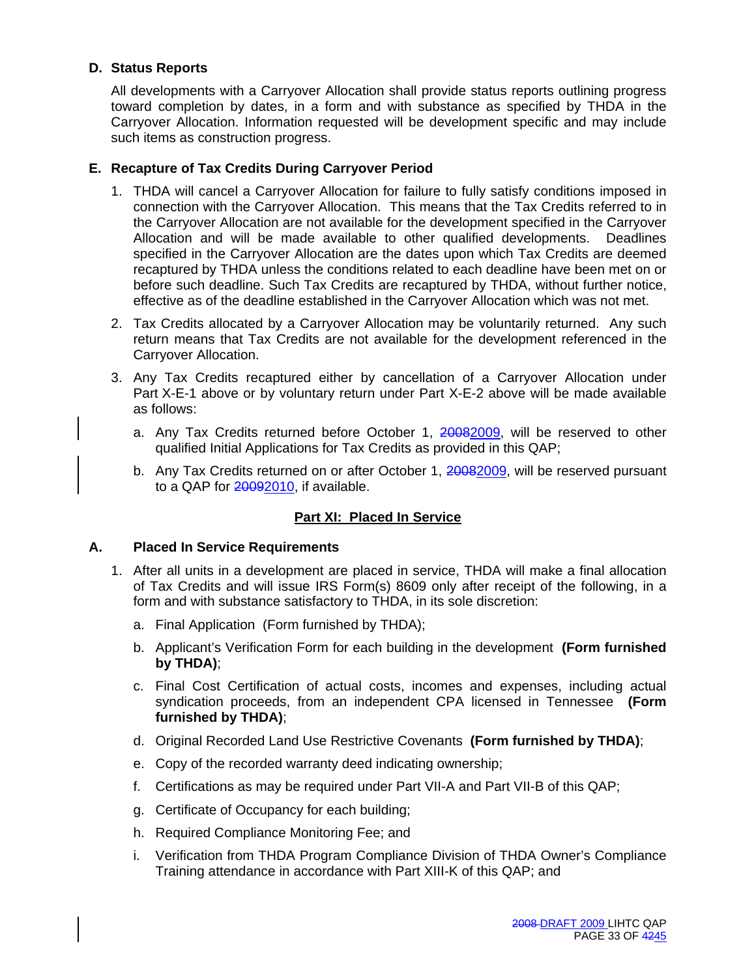# **D. Status Reports**

All developments with a Carryover Allocation shall provide status reports outlining progress toward completion by dates, in a form and with substance as specified by THDA in the Carryover Allocation. Information requested will be development specific and may include such items as construction progress.

# **E. Recapture of Tax Credits During Carryover Period**

- 1. THDA will cancel a Carryover Allocation for failure to fully satisfy conditions imposed in connection with the Carryover Allocation. This means that the Tax Credits referred to in the Carryover Allocation are not available for the development specified in the Carryover Allocation and will be made available to other qualified developments. Deadlines specified in the Carryover Allocation are the dates upon which Tax Credits are deemed recaptured by THDA unless the conditions related to each deadline have been met on or before such deadline. Such Tax Credits are recaptured by THDA, without further notice, effective as of the deadline established in the Carryover Allocation which was not met.
- 2. Tax Credits allocated by a Carryover Allocation may be voluntarily returned. Any such return means that Tax Credits are not available for the development referenced in the Carryover Allocation.
- 3. Any Tax Credits recaptured either by cancellation of a Carryover Allocation under Part X-E-1 above or by voluntary return under Part X-E-2 above will be made available as follows:
	- a. Any Tax Credits returned before October 1, 20082009, will be reserved to other qualified Initial Applications for Tax Credits as provided in this QAP;
	- b. Any Tax Credits returned on or after October 1, 20082009, will be reserved pursuant to a QAP for 20092010, if available.

# **Part XI: Placed In Service**

# **A. Placed In Service Requirements**

- 1. After all units in a development are placed in service, THDA will make a final allocation of Tax Credits and will issue IRS Form(s) 8609 only after receipt of the following, in a form and with substance satisfactory to THDA, in its sole discretion:
	- a. Final Application (Form furnished by THDA);
	- b. Applicant's Verification Form for each building in the development **(Form furnished by THDA)**;
	- c. Final Cost Certification of actual costs, incomes and expenses, including actual syndication proceeds, from an independent CPA licensed in Tennessee **(Form furnished by THDA)**;
	- d. Original Recorded Land Use Restrictive Covenants **(Form furnished by THDA)**;
	- e. Copy of the recorded warranty deed indicating ownership;
	- f. Certifications as may be required under Part VII-A and Part VII-B of this QAP;
	- g. Certificate of Occupancy for each building;
	- h. Required Compliance Monitoring Fee; and
	- i. Verification from THDA Program Compliance Division of THDA Owner's Compliance Training attendance in accordance with Part XIII-K of this QAP; and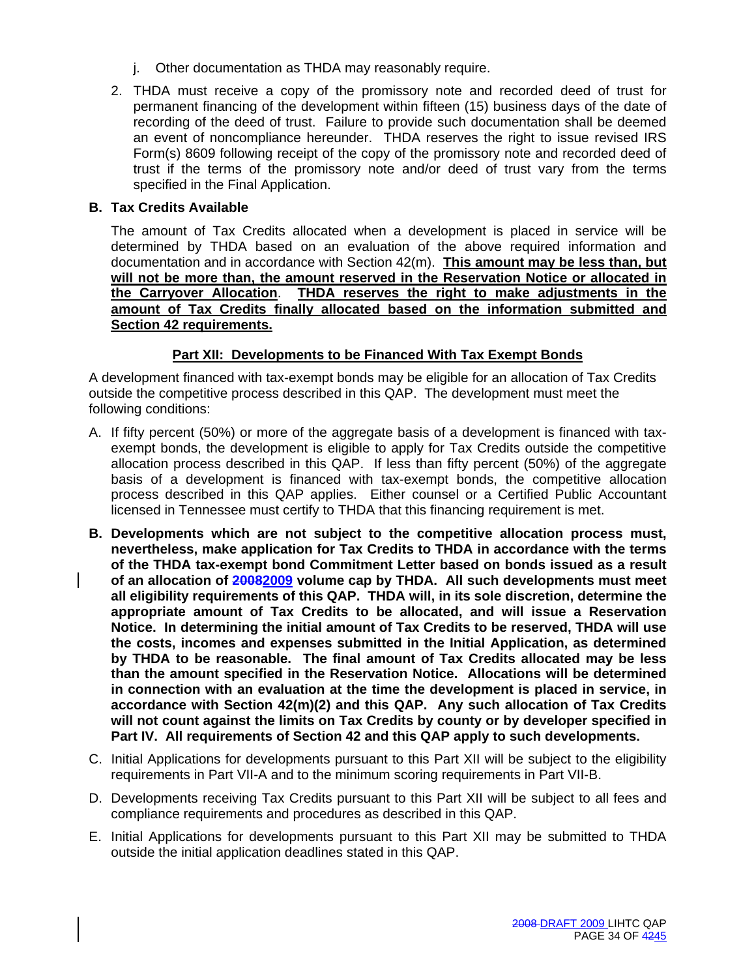- j. Other documentation as THDA may reasonably require.
- 2. THDA must receive a copy of the promissory note and recorded deed of trust for permanent financing of the development within fifteen (15) business days of the date of recording of the deed of trust. Failure to provide such documentation shall be deemed an event of noncompliance hereunder. THDA reserves the right to issue revised IRS Form(s) 8609 following receipt of the copy of the promissory note and recorded deed of trust if the terms of the promissory note and/or deed of trust vary from the terms specified in the Final Application.

# **B. Tax Credits Available**

The amount of Tax Credits allocated when a development is placed in service will be determined by THDA based on an evaluation of the above required information and documentation and in accordance with Section 42(m). **This amount may be less than, but will not be more than, the amount reserved in the Reservation Notice or allocated in the Carryover Allocation**. **THDA reserves the right to make adjustments in the amount of Tax Credits finally allocated based on the information submitted and Section 42 requirements.**

# **Part XII: Developments to be Financed With Tax Exempt Bonds**

A development financed with tax-exempt bonds may be eligible for an allocation of Tax Credits outside the competitive process described in this QAP. The development must meet the following conditions:

- A. If fifty percent (50%) or more of the aggregate basis of a development is financed with taxexempt bonds, the development is eligible to apply for Tax Credits outside the competitive allocation process described in this QAP. If less than fifty percent (50%) of the aggregate basis of a development is financed with tax-exempt bonds, the competitive allocation process described in this QAP applies. Either counsel or a Certified Public Accountant licensed in Tennessee must certify to THDA that this financing requirement is met.
- **B. Developments which are not subject to the competitive allocation process must, nevertheless, make application for Tax Credits to THDA in accordance with the terms of the THDA tax-exempt bond Commitment Letter based on bonds issued as a result of an allocation of 20082009 volume cap by THDA. All such developments must meet all eligibility requirements of this QAP. THDA will, in its sole discretion, determine the appropriate amount of Tax Credits to be allocated, and will issue a Reservation Notice. In determining the initial amount of Tax Credits to be reserved, THDA will use the costs, incomes and expenses submitted in the Initial Application, as determined by THDA to be reasonable. The final amount of Tax Credits allocated may be less than the amount specified in the Reservation Notice. Allocations will be determined in connection with an evaluation at the time the development is placed in service, in accordance with Section 42(m)(2) and this QAP. Any such allocation of Tax Credits will not count against the limits on Tax Credits by county or by developer specified in Part IV. All requirements of Section 42 and this QAP apply to such developments.**
- C. Initial Applications for developments pursuant to this Part XII will be subject to the eligibility requirements in Part VII-A and to the minimum scoring requirements in Part VII-B.
- D. Developments receiving Tax Credits pursuant to this Part XII will be subject to all fees and compliance requirements and procedures as described in this QAP.
- E. Initial Applications for developments pursuant to this Part XII may be submitted to THDA outside the initial application deadlines stated in this QAP.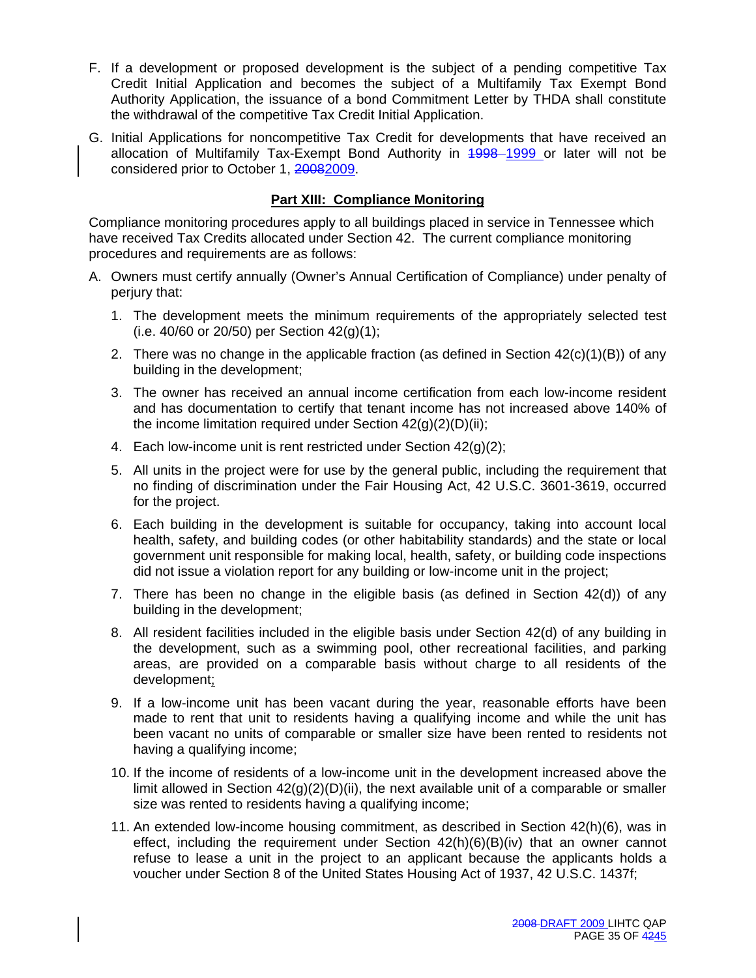- F. If a development or proposed development is the subject of a pending competitive Tax Credit Initial Application and becomes the subject of a Multifamily Tax Exempt Bond Authority Application, the issuance of a bond Commitment Letter by THDA shall constitute the withdrawal of the competitive Tax Credit Initial Application.
- G. Initial Applications for noncompetitive Tax Credit for developments that have received an allocation of Multifamily Tax-Exempt Bond Authority in 1998–1999 or later will not be considered prior to October 1, 20082009.

# **Part XIII: Compliance Monitoring**

Compliance monitoring procedures apply to all buildings placed in service in Tennessee which have received Tax Credits allocated under Section 42. The current compliance monitoring procedures and requirements are as follows:

- A. Owners must certify annually (Owner's Annual Certification of Compliance) under penalty of perjury that:
	- 1. The development meets the minimum requirements of the appropriately selected test (i.e. 40/60 or 20/50) per Section 42(g)(1);
	- 2. There was no change in the applicable fraction (as defined in Section 42(c)(1)(B)) of any building in the development;
	- 3. The owner has received an annual income certification from each low-income resident and has documentation to certify that tenant income has not increased above 140% of the income limitation required under Section  $42(q)(2)(D)(ii)$ ;
	- 4. Each low-income unit is rent restricted under Section 42(g)(2);
	- 5. All units in the project were for use by the general public, including the requirement that no finding of discrimination under the Fair Housing Act, 42 U.S.C. 3601-3619, occurred for the project.
	- 6. Each building in the development is suitable for occupancy, taking into account local health, safety, and building codes (or other habitability standards) and the state or local government unit responsible for making local, health, safety, or building code inspections did not issue a violation report for any building or low-income unit in the project;
	- 7. There has been no change in the eligible basis (as defined in Section 42(d)) of any building in the development;
	- 8. All resident facilities included in the eligible basis under Section 42(d) of any building in the development, such as a swimming pool, other recreational facilities, and parking areas, are provided on a comparable basis without charge to all residents of the development;
	- 9. If a low-income unit has been vacant during the year, reasonable efforts have been made to rent that unit to residents having a qualifying income and while the unit has been vacant no units of comparable or smaller size have been rented to residents not having a qualifying income;
	- 10. If the income of residents of a low-income unit in the development increased above the limit allowed in Section  $42(q)(2)(D)(ii)$ , the next available unit of a comparable or smaller size was rented to residents having a qualifying income;
	- 11. An extended low-income housing commitment, as described in Section 42(h)(6), was in effect, including the requirement under Section  $42(h)(6)(B)(iv)$  that an owner cannot refuse to lease a unit in the project to an applicant because the applicants holds a voucher under Section 8 of the United States Housing Act of 1937, 42 U.S.C. 1437f;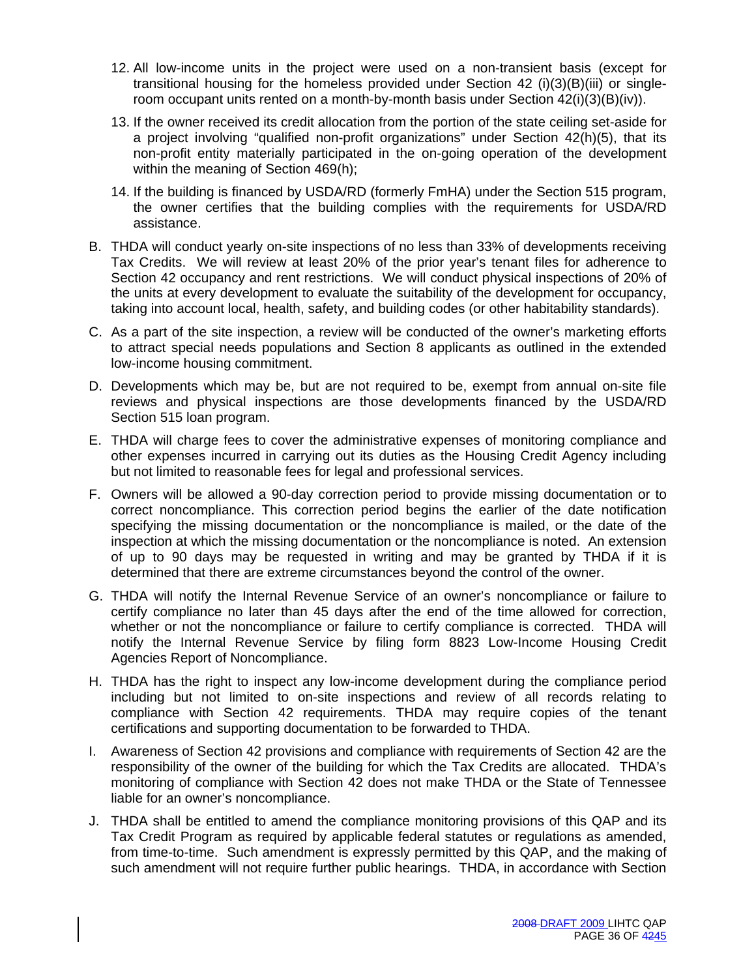- 12. All low-income units in the project were used on a non-transient basis (except for transitional housing for the homeless provided under Section 42 (i)(3)(B)(iii) or singleroom occupant units rented on a month-by-month basis under Section 42(i)(3)(B)(iv)).
- 13. If the owner received its credit allocation from the portion of the state ceiling set-aside for a project involving "qualified non-profit organizations" under Section 42(h)(5), that its non-profit entity materially participated in the on-going operation of the development within the meaning of Section 469(h);
- 14. If the building is financed by USDA/RD (formerly FmHA) under the Section 515 program, the owner certifies that the building complies with the requirements for USDA/RD assistance.
- B. THDA will conduct yearly on-site inspections of no less than 33% of developments receiving Tax Credits. We will review at least 20% of the prior year's tenant files for adherence to Section 42 occupancy and rent restrictions. We will conduct physical inspections of 20% of the units at every development to evaluate the suitability of the development for occupancy, taking into account local, health, safety, and building codes (or other habitability standards).
- C. As a part of the site inspection, a review will be conducted of the owner's marketing efforts to attract special needs populations and Section 8 applicants as outlined in the extended low-income housing commitment.
- D. Developments which may be, but are not required to be, exempt from annual on-site file reviews and physical inspections are those developments financed by the USDA/RD Section 515 loan program.
- E. THDA will charge fees to cover the administrative expenses of monitoring compliance and other expenses incurred in carrying out its duties as the Housing Credit Agency including but not limited to reasonable fees for legal and professional services.
- F. Owners will be allowed a 90-day correction period to provide missing documentation or to correct noncompliance. This correction period begins the earlier of the date notification specifying the missing documentation or the noncompliance is mailed, or the date of the inspection at which the missing documentation or the noncompliance is noted. An extension of up to 90 days may be requested in writing and may be granted by THDA if it is determined that there are extreme circumstances beyond the control of the owner.
- G. THDA will notify the Internal Revenue Service of an owner's noncompliance or failure to certify compliance no later than 45 days after the end of the time allowed for correction, whether or not the noncompliance or failure to certify compliance is corrected. THDA will notify the Internal Revenue Service by filing form 8823 Low-Income Housing Credit Agencies Report of Noncompliance.
- H. THDA has the right to inspect any low-income development during the compliance period including but not limited to on-site inspections and review of all records relating to compliance with Section 42 requirements. THDA may require copies of the tenant certifications and supporting documentation to be forwarded to THDA.
- I. Awareness of Section 42 provisions and compliance with requirements of Section 42 are the responsibility of the owner of the building for which the Tax Credits are allocated. THDA's monitoring of compliance with Section 42 does not make THDA or the State of Tennessee liable for an owner's noncompliance.
- J. THDA shall be entitled to amend the compliance monitoring provisions of this QAP and its Tax Credit Program as required by applicable federal statutes or regulations as amended, from time-to-time. Such amendment is expressly permitted by this QAP, and the making of such amendment will not require further public hearings. THDA, in accordance with Section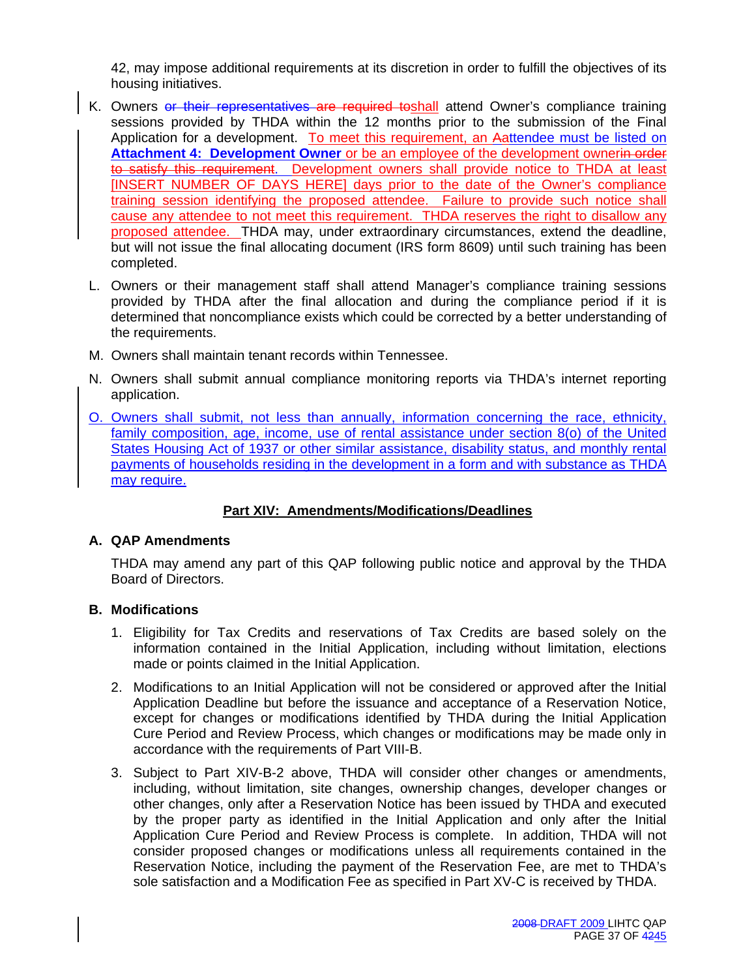42, may impose additional requirements at its discretion in order to fulfill the objectives of its housing initiatives.

- K. Owners or their representatives are required toshall attend Owner's compliance training sessions provided by THDA within the 12 months prior to the submission of the Final Application for a development. To meet this requirement, an Aattendee must be listed on **Attachment 4: Development Owner** or be an employee of the development ownerin order to satisfy this requirement. Development owners shall provide notice to THDA at least [INSERT NUMBER OF DAYS HERE] days prior to the date of the Owner's compliance training session identifying the proposed attendee. Failure to provide such notice shall cause any attendee to not meet this requirement. THDA reserves the right to disallow any proposed attendee. THDA may, under extraordinary circumstances, extend the deadline, but will not issue the final allocating document (IRS form 8609) until such training has been completed.
- L. Owners or their management staff shall attend Manager's compliance training sessions provided by THDA after the final allocation and during the compliance period if it is determined that noncompliance exists which could be corrected by a better understanding of the requirements.
- M. Owners shall maintain tenant records within Tennessee.
- N. Owners shall submit annual compliance monitoring reports via THDA's internet reporting application.
- O. Owners shall submit, not less than annually, information concerning the race, ethnicity, family composition, age, income, use of rental assistance under section 8(o) of the United States Housing Act of 1937 or other similar assistance, disability status, and monthly rental payments of households residing in the development in a form and with substance as THDA may require.

# **Part XIV: Amendments/Modifications/Deadlines**

# **A. QAP Amendments**

THDA may amend any part of this QAP following public notice and approval by the THDA Board of Directors.

# **B. Modifications**

- 1. Eligibility for Tax Credits and reservations of Tax Credits are based solely on the information contained in the Initial Application, including without limitation, elections made or points claimed in the Initial Application.
- 2. Modifications to an Initial Application will not be considered or approved after the Initial Application Deadline but before the issuance and acceptance of a Reservation Notice, except for changes or modifications identified by THDA during the Initial Application Cure Period and Review Process, which changes or modifications may be made only in accordance with the requirements of Part VIII-B.
- 3. Subject to Part XIV-B-2 above, THDA will consider other changes or amendments, including, without limitation, site changes, ownership changes, developer changes or other changes, only after a Reservation Notice has been issued by THDA and executed by the proper party as identified in the Initial Application and only after the Initial Application Cure Period and Review Process is complete. In addition, THDA will not consider proposed changes or modifications unless all requirements contained in the Reservation Notice, including the payment of the Reservation Fee, are met to THDA's sole satisfaction and a Modification Fee as specified in Part XV-C is received by THDA.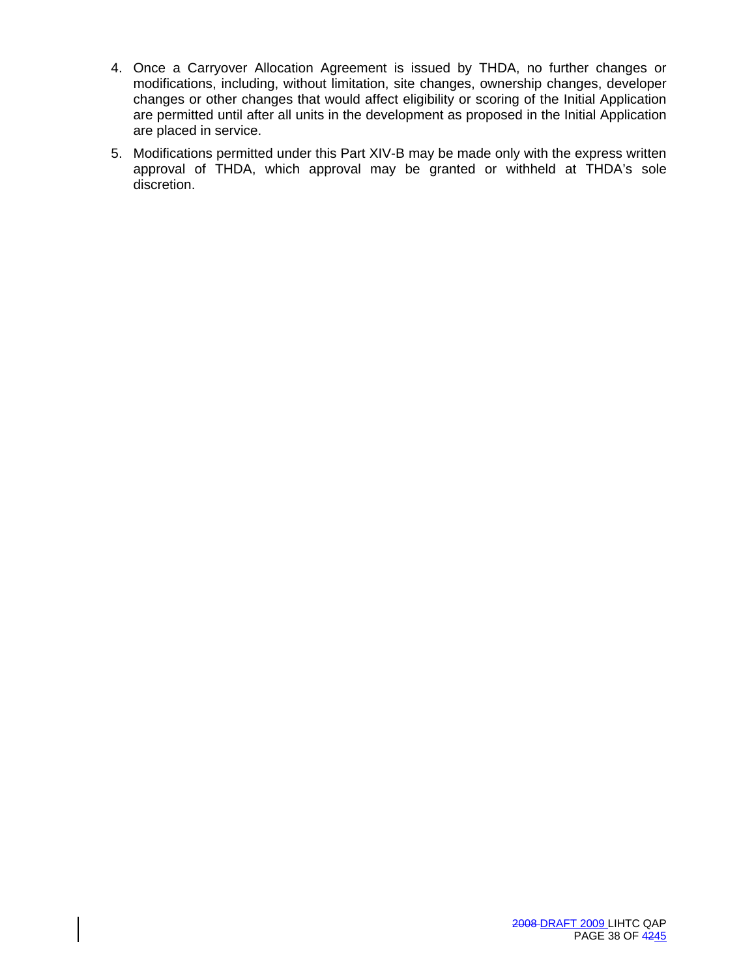- 4. Once a Carryover Allocation Agreement is issued by THDA, no further changes or modifications, including, without limitation, site changes, ownership changes, developer changes or other changes that would affect eligibility or scoring of the Initial Application are permitted until after all units in the development as proposed in the Initial Application are placed in service.
- 5. Modifications permitted under this Part XIV-B may be made only with the express written approval of THDA, which approval may be granted or withheld at THDA's sole discretion.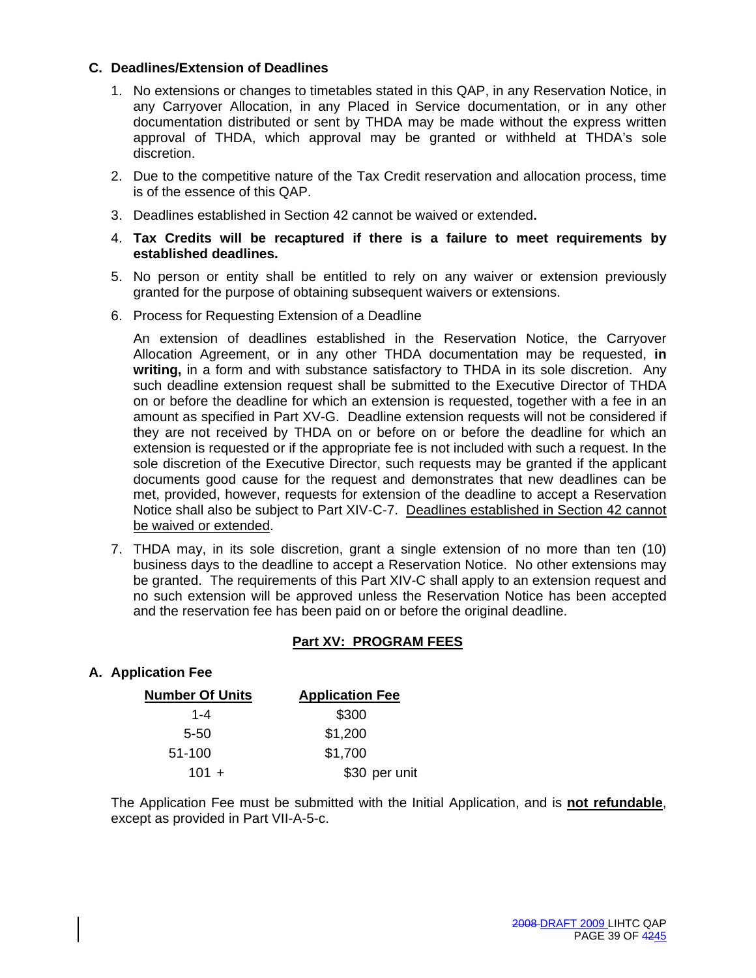# **C. Deadlines/Extension of Deadlines**

- 1. No extensions or changes to timetables stated in this QAP, in any Reservation Notice, in any Carryover Allocation, in any Placed in Service documentation, or in any other documentation distributed or sent by THDA may be made without the express written approval of THDA, which approval may be granted or withheld at THDA's sole discretion.
- 2. Due to the competitive nature of the Tax Credit reservation and allocation process, time is of the essence of this QAP.
- 3. Deadlines established in Section 42 cannot be waived or extended**.**
- 4. **Tax Credits will be recaptured if there is a failure to meet requirements by established deadlines.**
- 5. No person or entity shall be entitled to rely on any waiver or extension previously granted for the purpose of obtaining subsequent waivers or extensions.
- 6. Process for Requesting Extension of a Deadline

 An extension of deadlines established in the Reservation Notice, the Carryover Allocation Agreement, or in any other THDA documentation may be requested, **in writing,** in a form and with substance satisfactory to THDA in its sole discretion. Any such deadline extension request shall be submitted to the Executive Director of THDA on or before the deadline for which an extension is requested, together with a fee in an amount as specified in Part XV-G. Deadline extension requests will not be considered if they are not received by THDA on or before on or before the deadline for which an extension is requested or if the appropriate fee is not included with such a request. In the sole discretion of the Executive Director, such requests may be granted if the applicant documents good cause for the request and demonstrates that new deadlines can be met, provided, however, requests for extension of the deadline to accept a Reservation Notice shall also be subject to Part XIV-C-7. Deadlines established in Section 42 cannot be waived or extended.

7. THDA may, in its sole discretion, grant a single extension of no more than ten (10) business days to the deadline to accept a Reservation Notice. No other extensions may be granted. The requirements of this Part XIV-C shall apply to an extension request and no such extension will be approved unless the Reservation Notice has been accepted and the reservation fee has been paid on or before the original deadline.

# **Part XV: PROGRAM FEES**

# **A. Application Fee**

| <b>Number Of Units</b> | <b>Application Fee</b> |
|------------------------|------------------------|
| $1 - 4$                | \$300                  |
| 5-50                   | \$1,200                |
| 51-100                 | \$1,700                |
| $101 +$                | \$30 per unit          |

The Application Fee must be submitted with the Initial Application, and is **not refundable**, except as provided in Part VII-A-5-c.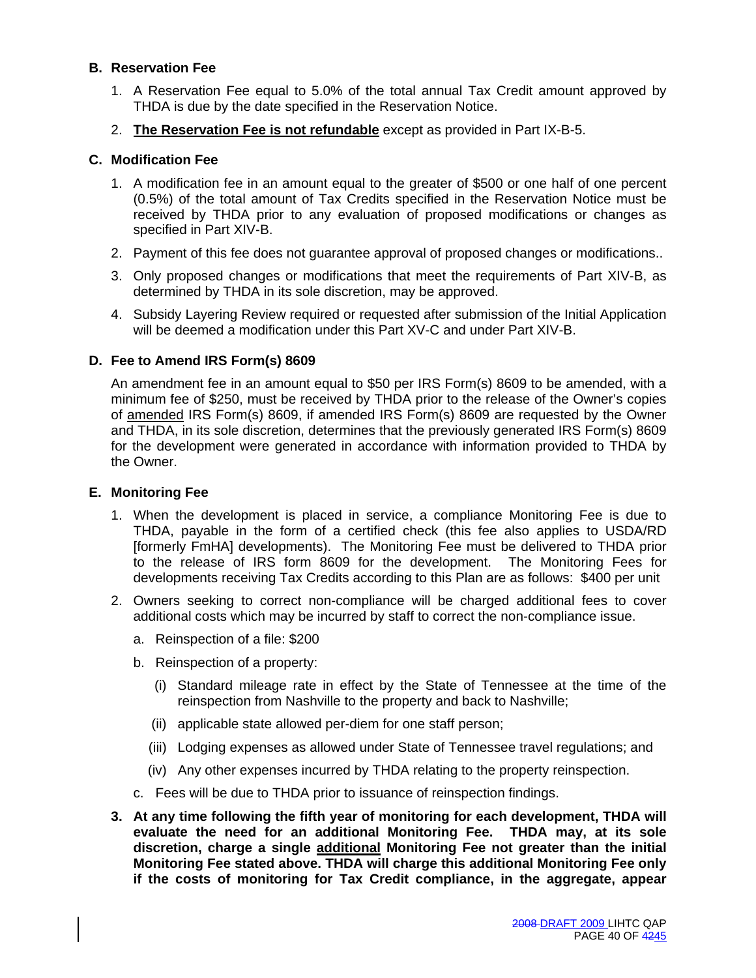# **B. Reservation Fee**

- 1. A Reservation Fee equal to 5.0% of the total annual Tax Credit amount approved by THDA is due by the date specified in the Reservation Notice.
- 2. **The Reservation Fee is not refundable** except as provided in Part IX-B-5.

# **C. Modification Fee**

- 1. A modification fee in an amount equal to the greater of \$500 or one half of one percent (0.5%) of the total amount of Tax Credits specified in the Reservation Notice must be received by THDA prior to any evaluation of proposed modifications or changes as specified in Part XIV-B.
- 2. Payment of this fee does not guarantee approval of proposed changes or modifications..
- 3. Only proposed changes or modifications that meet the requirements of Part XIV-B, as determined by THDA in its sole discretion, may be approved.
- 4. Subsidy Layering Review required or requested after submission of the Initial Application will be deemed a modification under this Part XV-C and under Part XIV-B.

# **D. Fee to Amend IRS Form(s) 8609**

An amendment fee in an amount equal to \$50 per IRS Form(s) 8609 to be amended, with a minimum fee of \$250, must be received by THDA prior to the release of the Owner's copies of amended IRS Form(s) 8609, if amended IRS Form(s) 8609 are requested by the Owner and THDA, in its sole discretion, determines that the previously generated IRS Form(s) 8609 for the development were generated in accordance with information provided to THDA by the Owner.

# **E. Monitoring Fee**

- 1. When the development is placed in service, a compliance Monitoring Fee is due to THDA, payable in the form of a certified check (this fee also applies to USDA/RD [formerly FmHA] developments). The Monitoring Fee must be delivered to THDA prior to the release of IRS form 8609 for the development. The Monitoring Fees for developments receiving Tax Credits according to this Plan are as follows: \$400 per unit
- 2. Owners seeking to correct non-compliance will be charged additional fees to cover additional costs which may be incurred by staff to correct the non-compliance issue.
	- a. Reinspection of a file: \$200
	- b. Reinspection of a property:
		- (i) Standard mileage rate in effect by the State of Tennessee at the time of the reinspection from Nashville to the property and back to Nashville;
		- (ii) applicable state allowed per-diem for one staff person;
		- (iii) Lodging expenses as allowed under State of Tennessee travel regulations; and
		- (iv) Any other expenses incurred by THDA relating to the property reinspection.
	- c. Fees will be due to THDA prior to issuance of reinspection findings.
- **3. At any time following the fifth year of monitoring for each development, THDA will evaluate the need for an additional Monitoring Fee. THDA may, at its sole discretion, charge a single additional Monitoring Fee not greater than the initial Monitoring Fee stated above. THDA will charge this additional Monitoring Fee only if the costs of monitoring for Tax Credit compliance, in the aggregate, appear**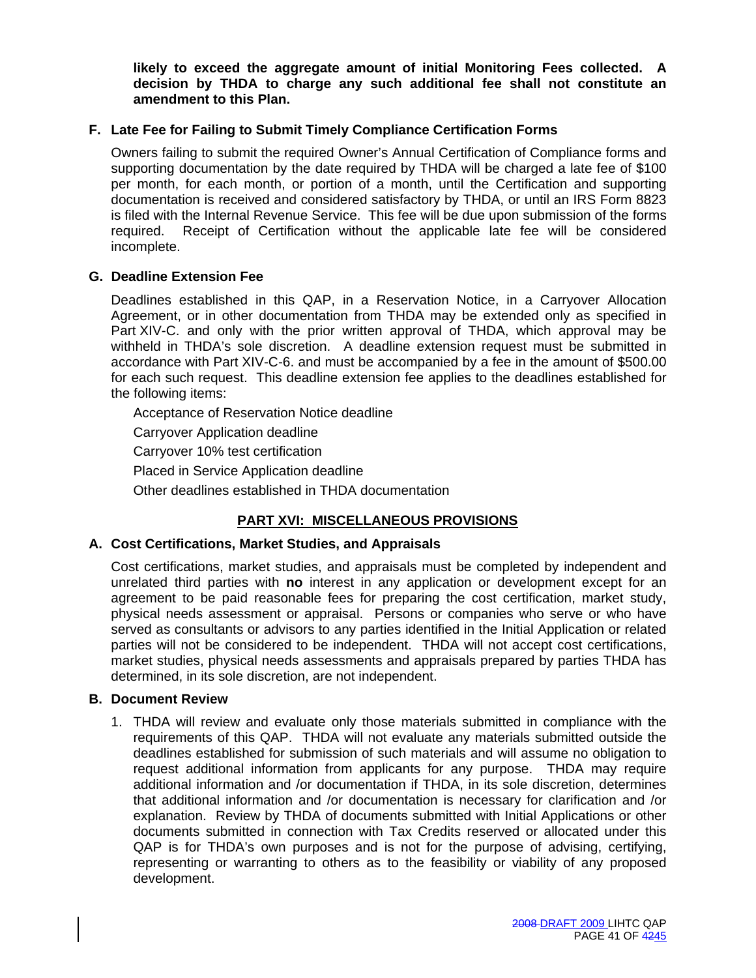**likely to exceed the aggregate amount of initial Monitoring Fees collected. A decision by THDA to charge any such additional fee shall not constitute an amendment to this Plan.** 

# **F. Late Fee for Failing to Submit Timely Compliance Certification Forms**

Owners failing to submit the required Owner's Annual Certification of Compliance forms and supporting documentation by the date required by THDA will be charged a late fee of \$100 per month, for each month, or portion of a month, until the Certification and supporting documentation is received and considered satisfactory by THDA, or until an IRS Form 8823 is filed with the Internal Revenue Service. This fee will be due upon submission of the forms required. Receipt of Certification without the applicable late fee will be considered incomplete.

#### **G. Deadline Extension Fee**

Deadlines established in this QAP, in a Reservation Notice, in a Carryover Allocation Agreement, or in other documentation from THDA may be extended only as specified in Part XIV-C. and only with the prior written approval of THDA, which approval may be withheld in THDA's sole discretion. A deadline extension request must be submitted in accordance with Part XIV-C-6. and must be accompanied by a fee in the amount of \$500.00 for each such request. This deadline extension fee applies to the deadlines established for the following items:

Acceptance of Reservation Notice deadline Carryover Application deadline Carryover 10% test certification Placed in Service Application deadline

Other deadlines established in THDA documentation

# **PART XVI: MISCELLANEOUS PROVISIONS**

#### **A. Cost Certifications, Market Studies, and Appraisals**

Cost certifications, market studies, and appraisals must be completed by independent and unrelated third parties with **no** interest in any application or development except for an agreement to be paid reasonable fees for preparing the cost certification, market study, physical needs assessment or appraisal. Persons or companies who serve or who have served as consultants or advisors to any parties identified in the Initial Application or related parties will not be considered to be independent. THDA will not accept cost certifications, market studies, physical needs assessments and appraisals prepared by parties THDA has determined, in its sole discretion, are not independent.

#### **B. Document Review**

1. THDA will review and evaluate only those materials submitted in compliance with the requirements of this QAP. THDA will not evaluate any materials submitted outside the deadlines established for submission of such materials and will assume no obligation to request additional information from applicants for any purpose. THDA may require additional information and /or documentation if THDA, in its sole discretion, determines that additional information and /or documentation is necessary for clarification and /or explanation. Review by THDA of documents submitted with Initial Applications or other documents submitted in connection with Tax Credits reserved or allocated under this QAP is for THDA's own purposes and is not for the purpose of advising, certifying, representing or warranting to others as to the feasibility or viability of any proposed development.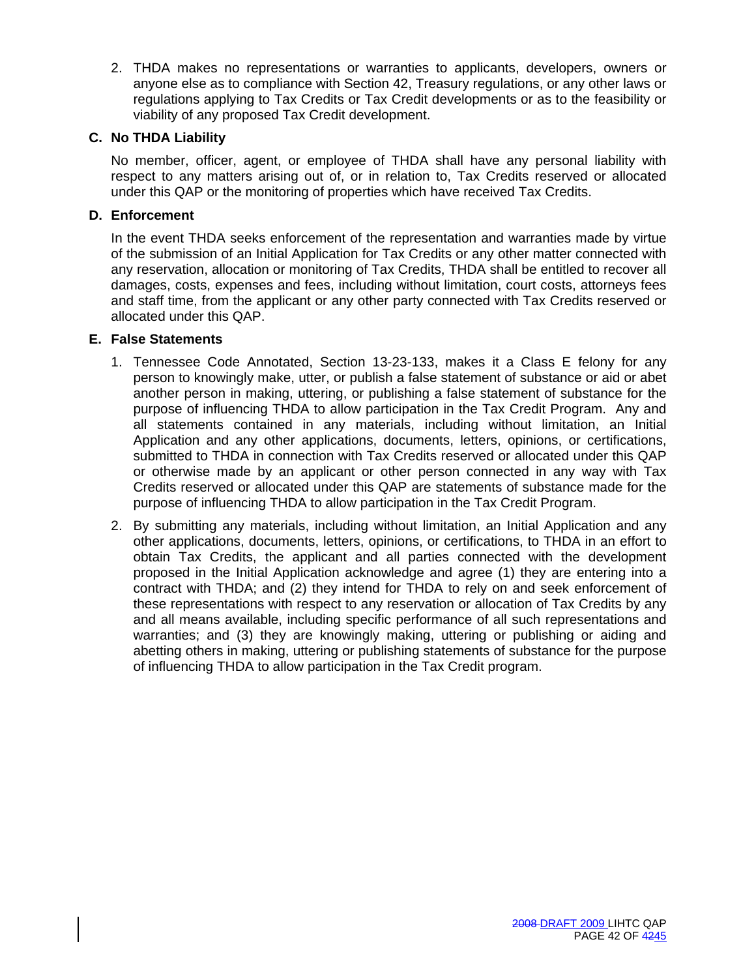2. THDA makes no representations or warranties to applicants, developers, owners or anyone else as to compliance with Section 42, Treasury regulations, or any other laws or regulations applying to Tax Credits or Tax Credit developments or as to the feasibility or viability of any proposed Tax Credit development.

# **C. No THDA Liability**

No member, officer, agent, or employee of THDA shall have any personal liability with respect to any matters arising out of, or in relation to, Tax Credits reserved or allocated under this QAP or the monitoring of properties which have received Tax Credits.

# **D. Enforcement**

In the event THDA seeks enforcement of the representation and warranties made by virtue of the submission of an Initial Application for Tax Credits or any other matter connected with any reservation, allocation or monitoring of Tax Credits, THDA shall be entitled to recover all damages, costs, expenses and fees, including without limitation, court costs, attorneys fees and staff time, from the applicant or any other party connected with Tax Credits reserved or allocated under this QAP.

# **E. False Statements**

- 1. Tennessee Code Annotated, Section 13-23-133, makes it a Class E felony for any person to knowingly make, utter, or publish a false statement of substance or aid or abet another person in making, uttering, or publishing a false statement of substance for the purpose of influencing THDA to allow participation in the Tax Credit Program. Any and all statements contained in any materials, including without limitation, an Initial Application and any other applications, documents, letters, opinions, or certifications, submitted to THDA in connection with Tax Credits reserved or allocated under this QAP or otherwise made by an applicant or other person connected in any way with Tax Credits reserved or allocated under this QAP are statements of substance made for the purpose of influencing THDA to allow participation in the Tax Credit Program.
- 2. By submitting any materials, including without limitation, an Initial Application and any other applications, documents, letters, opinions, or certifications, to THDA in an effort to obtain Tax Credits, the applicant and all parties connected with the development proposed in the Initial Application acknowledge and agree (1) they are entering into a contract with THDA; and (2) they intend for THDA to rely on and seek enforcement of these representations with respect to any reservation or allocation of Tax Credits by any and all means available, including specific performance of all such representations and warranties; and (3) they are knowingly making, uttering or publishing or aiding and abetting others in making, uttering or publishing statements of substance for the purpose of influencing THDA to allow participation in the Tax Credit program.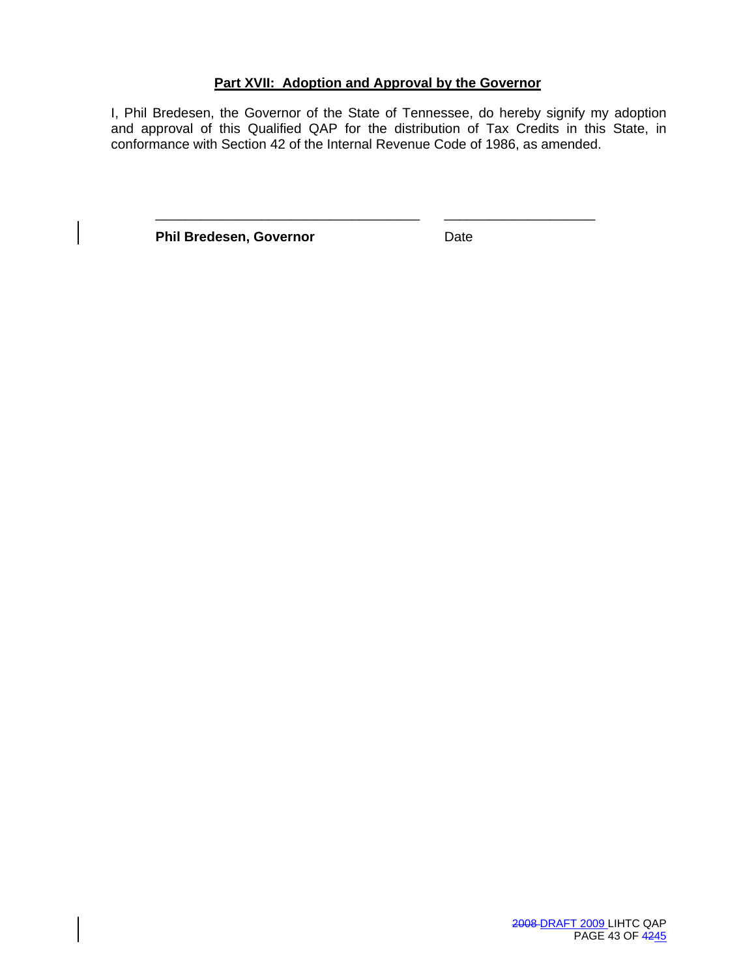# **Part XVII: Adoption and Approval by the Governor**

\_\_\_\_\_\_\_\_\_\_\_\_\_\_\_\_\_\_\_\_\_\_\_\_\_\_\_\_\_\_\_\_\_\_\_ \_\_\_\_\_\_\_\_\_\_\_\_\_\_\_\_\_\_\_\_

I, Phil Bredesen, the Governor of the State of Tennessee, do hereby signify my adoption and approval of this Qualified QAP for the distribution of Tax Credits in this State, in conformance with Section 42 of the Internal Revenue Code of 1986, as amended.

**Phil Bredesen, Governor Contract Contract Property**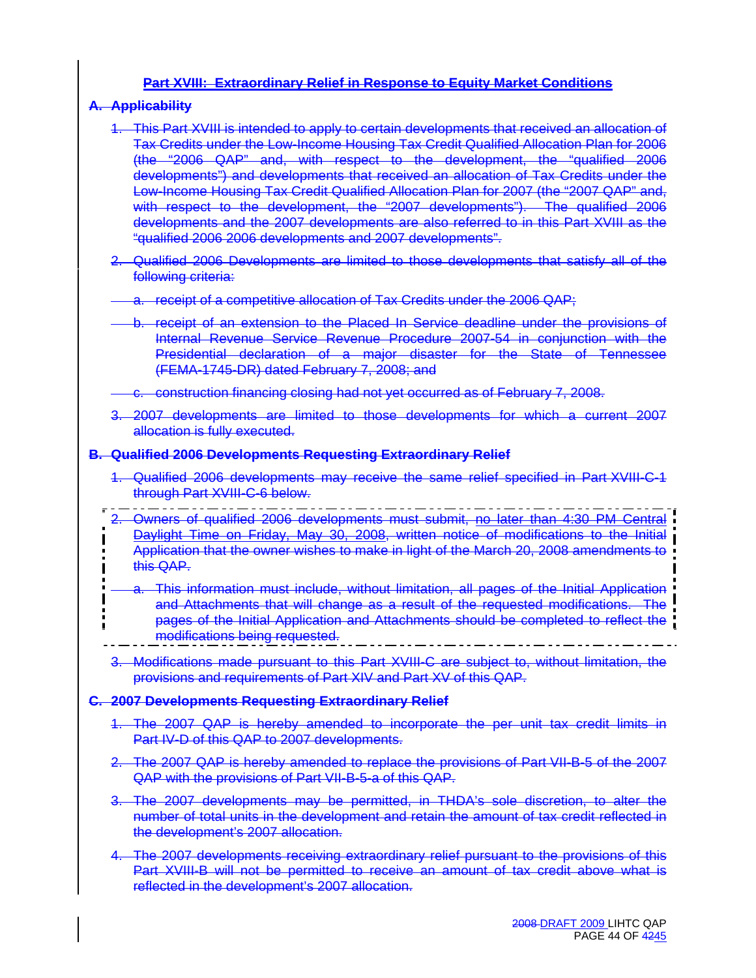# **Part XVIII: Extraordinary Relief in Response to Equity Market Conditions**

#### **A. Applicability**

- 1. This Part XVIII is intended to apply to certain developments that received an allocation of Tax Credits under the Low-Income Housing Tax Credit Qualified Allocation Plan for 2006 (the "2006 QAP" and, with respect to the development, the "qualified 2006 developments") and developments that received an allocation of Tax Credits under the Low-Income Housing Tax Credit Qualified Allocation Plan for 2007 (the "2007 QAP" and, with respect to the development, the "2007 developments"). The qualified 2006 developments and the 2007 developments are also referred to in this Part XVIII as the "qualified 2006 2006 developments and 2007 developments".
- 2. Qualified 2006 Developments are limited to those developments that satisfy all of the following criteria:
- a. receipt of a competitive allocation of Tax Credits under the 2006 QAP;
- b. receipt of an extension to the Placed In Service deadline under the provisions of Internal Revenue Service Revenue Procedure 2007-54 in conjunction with the Presidential declaration of a major disaster for the State of Tennessee (FEMA-1745-DR) dated February 7, 2008; and

c. construction financing closing had not yet occurred as of February 7, 2008.

3. 2007 developments are limited to those developments for which a current 2007 allocation is fully executed.

#### **B. Qualified 2006 Developments Requesting Extraordinary Relief**

- 1. Qualified 2006 developments may receive the same relief specified in Part XVIII-C-1 through Part XVIII-C-6 below.
- 2. Owners of qualified 2006 developments must submit, no later than 4:30 PM Central Daylight Time on Friday, May 30, 2008, written notice of modifications to the Initial Application that the owner wishes to make in light of the March 20, 2008 amendments to this QAP.
- a. This information must include, without limitation, all pages of the Initial Application and Attachments that will change as a result of the requested modifications. The pages of the Initial Application and Attachments should be completed to reflect the modifications being requested.
- 3. Modifications made pursuant to this Part XVIII-C are subject to, without limitation, the provisions and requirements of Part XIV and Part XV of this QAP.

#### **C. 2007 Developments Requesting Extraordinary Relief**

- 1. The 2007 QAP is hereby amended to incorporate the per unit tax credit limits in Part IV-D of this QAP to 2007 developments.
- 2. The 2007 QAP is hereby amended to replace the provisions of Part VII-B-5 of the 2007 QAP with the provisions of Part VII-B-5-a of this QAP.
- 3. The 2007 developments may be permitted, in THDA's sole discretion, to alter the number of total units in the development and retain the amount of tax credit reflected in the development's 2007 allocation.
- 4. The 2007 developments receiving extraordinary relief pursuant to the provisions of this Part XVIII-B will not be permitted to receive an amount of tax credit above what is reflected in the development's 2007 allocation.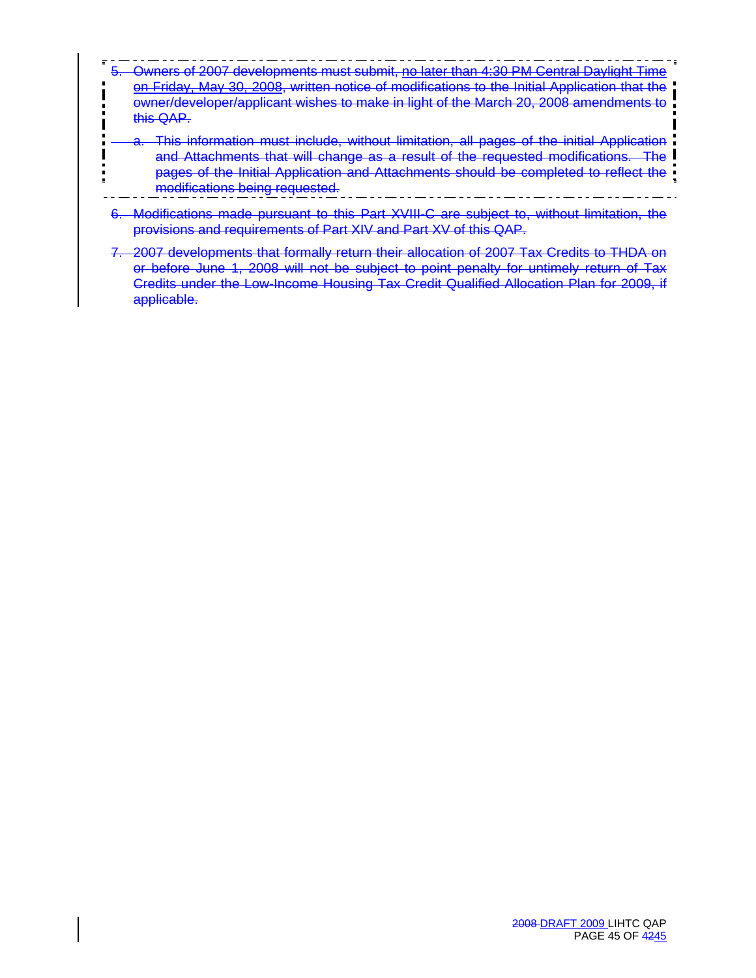- 5. Owners of 2007 developments must submit, no later than 4:30 PM Central Daylight Time on Friday, May 30, 2008, written notice of modifications to the Initial Application that the owner/developer/applicant wishes to make in light of the March 20, 2008 amendments to this QAP.
	- a. This information must include, without limitation, all pages of the initial Application and Attachments that will change as a result of the requested modifications. The pages of the Initial Application and Attachments should be completed to reflect the modifications being requested.
- 6. Modifications made pursuant to this Part XVIII-C are subject to, without limitation, the provisions and requirements of Part XIV and Part XV of this QAP.
- 7. 2007 developments that formally return their allocation of 2007 Tax Credits to THDA on or before June 1, 2008 will not be subject to point penalty for untimely return of Tax Credits under the Low-Income Housing Tax Credit Qualified Allocation Plan for 2009, if applicable.